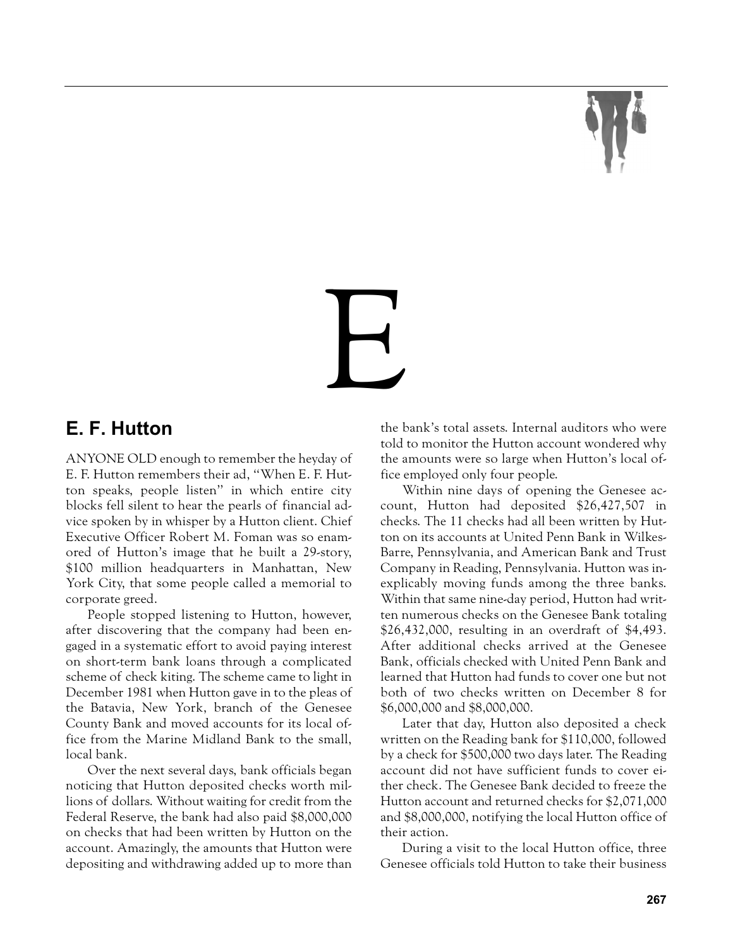# E

# **E. F. Hutton**

ANYONE OLD enough to remember the heyday of E. F. Hutton remembers their ad, "When E. F. Hutton speaks, people listen" in which entire city blocks fell silent to hear the pearls of financial advice spoken by in whisper by a Hutton client. Chief Executive Officer Robert M. Foman was so enamored of Hutton's image that he built a 29-story, \$100 million headquarters in Manhattan, New York City, that some people called a memorial to corporate greed.

People stopped listening to Hutton, however, after discovering that the company had been engaged in a systematic effort to avoid paying interest on short-term bank loans through a complicated scheme of check kiting. The scheme came to light in December 1981 when Hutton gave in to the pleas of the Batavia, New York, branch of the Genesee County Bank and moved accounts for its local office from the Marine Midland Bank to the small, local bank.

Over the next several days, bank officials began noticing that Hutton deposited checks worth millions of dollars. Without waiting for credit from the Federal Reserve, the bank had also paid \$8,000,000 on checks that had been written by Hutton on the account. Amazingly, the amounts that Hutton were depositing and withdrawing added up to more than the bank's total assets. Internal auditors who were told to monitor the Hutton account wondered why the amounts were so large when Hutton's local office employed only four people.

Within nine days of opening the Genesee account, Hutton had deposited \$26,427,507 in checks. The 11 checks had all been written by Hutton on its accounts at United Penn Bank in Wilkes-Barre, Pennsylvania, and American Bank and Trust Company in Reading, Pennsylvania. Hutton was inexplicably moving funds among the three banks. Within that same nine-day period, Hutton had written numerous checks on the Genesee Bank totaling \$26,432,000, resulting in an overdraft of \$4,493. After additional checks arrived at the Genesee Bank, officials checked with United Penn Bank and learned that Hutton had funds to cover one but not both of two checks written on December 8 for \$6,000,000 and \$8,000,000.

Later that day, Hutton also deposited a check written on the Reading bank for \$110,000, followed by a check for \$500,000 two days later. The Reading account did not have sufficient funds to cover either check. The Genesee Bank decided to freeze the Hutton account and returned checks for \$2,071,000 and \$8,000,000, notifying the local Hutton office of their action.

During a visit to the local Hutton office, three Genesee officials told Hutton to take their business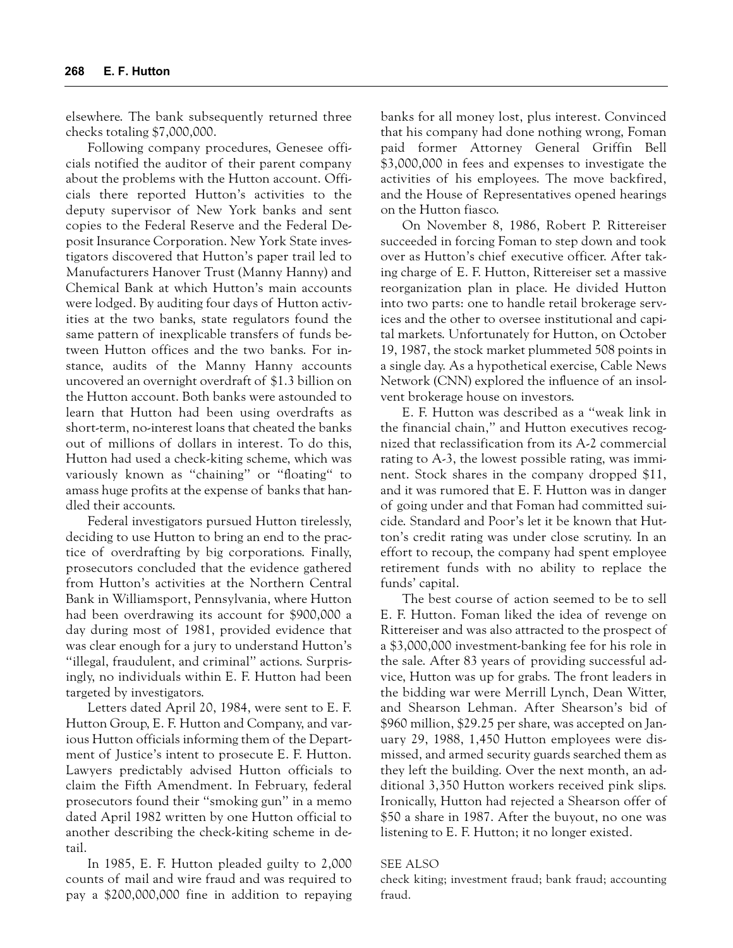elsewhere. The bank subsequently returned three checks totaling \$7,000,000.

Following company procedures, Genesee officials notified the auditor of their parent company about the problems with the Hutton account. Officials there reported Hutton's activities to the deputy supervisor of New York banks and sent copies to the Federal Reserve and the Federal Deposit Insurance Corporation. New York State investigators discovered that Hutton's paper trail led to Manufacturers Hanover Trust (Manny Hanny) and Chemical Bank at which Hutton's main accounts were lodged. By auditing four days of Hutton activities at the two banks, state regulators found the same pattern of inexplicable transfers of funds between Hutton offices and the two banks. For instance, audits of the Manny Hanny accounts uncovered an overnight overdraft of \$1.3 billion on the Hutton account. Both banks were astounded to learn that Hutton had been using overdrafts as short-term, no-interest loans that cheated the banks out of millions of dollars in interest. To do this, Hutton had used a check-kiting scheme, which was variously known as "chaining" or "floating" to amass huge profits at the expense of banks that handled their accounts.

Federal investigators pursued Hutton tirelessly, deciding to use Hutton to bring an end to the practice of overdrafting by big corporations. Finally, prosecutors concluded that the evidence gathered from Hutton's activities at the Northern Central Bank in Williamsport, Pennsylvania, where Hutton had been overdrawing its account for \$900,000 a day during most of 1981, provided evidence that was clear enough for a jury to understand Hutton's "illegal, fraudulent, and criminal" actions. Surprisingly, no individuals within E. F. Hutton had been targeted by investigators.

Letters dated April 20, 1984, were sent to E. F. Hutton Group, E. F. Hutton and Company, and various Hutton officials informing them of the Department of Justice's intent to prosecute E. F. Hutton. Lawyers predictably advised Hutton officials to claim the Fifth Amendment. In February, federal prosecutors found their "smoking gun" in a memo dated April 1982 written by one Hutton official to another describing the check-kiting scheme in detail.

In 1985, E. F. Hutton pleaded guilty to 2,000 counts of mail and wire fraud and was required to pay a \$200,000,000 fine in addition to repaying

banks for all money lost, plus interest. Convinced that his company had done nothing wrong, Foman paid former Attorney General Griffin Bell \$3,000,000 in fees and expenses to investigate the activities of his employees. The move backfired, and the House of Representatives opened hearings on the Hutton fiasco.

On November 8, 1986, Robert P. Rittereiser succeeded in forcing Foman to step down and took over as Hutton's chief executive officer. After taking charge of E. F. Hutton, Rittereiser set a massive reorganization plan in place. He divided Hutton into two parts: one to handle retail brokerage services and the other to oversee institutional and capital markets. Unfortunately for Hutton, on October 19, 1987, the stock market plummeted 508 points in a single day. As a hypothetical exercise, Cable News Network (CNN) explored the influence of an insolvent brokerage house on investors.

E. F. Hutton was described as a "weak link in the financial chain," and Hutton executives recognized that reclassification from its A-2 commercial rating to A-3, the lowest possible rating, was imminent. Stock shares in the company dropped \$11, and it was rumored that E. F. Hutton was in danger of going under and that Foman had committed suicide. Standard and Poor's let it be known that Hutton's credit rating was under close scrutiny. In an effort to recoup, the company had spent employee retirement funds with no ability to replace the funds' capital.

The best course of action seemed to be to sell E. F. Hutton. Foman liked the idea of revenge on Rittereiser and was also attracted to the prospect of a \$3,000,000 investment-banking fee for his role in the sale. After 83 years of providing successful advice, Hutton was up for grabs. The front leaders in the bidding war were Merrill Lynch, Dean Witter, and Shearson Lehman. After Shearson's bid of \$960 million, \$29.25 per share, was accepted on January 29, 1988, 1,450 Hutton employees were dismissed, and armed security guards searched them as they left the building. Over the next month, an additional 3,350 Hutton workers received pink slips. Ironically, Hutton had rejected a Shearson offer of \$50 a share in 1987. After the buyout, no one was listening to E. F. Hutton; it no longer existed.

### SEE ALSO

check kiting; investment fraud; bank fraud; accounting fraud.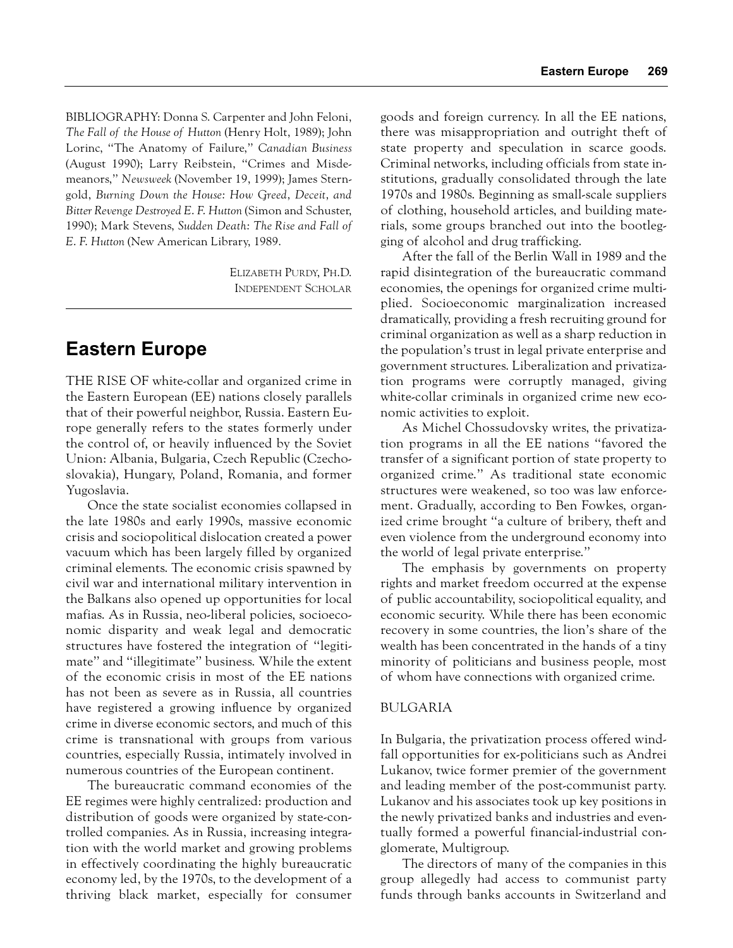BIBLIOGRAPHY: Donna S. Carpenter and John Feloni, *The Fall of the House of Hutton* (Henry Holt, 1989); John Lorinc, "The Anatomy of Failure," *Canadian Business* (August 1990); Larry Reibstein, "Crimes and Misdemeanors," *Newsweek* (November 19, 1999); James Sterngold, *Burning Down the House: How Greed, Deceit, and Bitter Revenge Destroyed E. F. Hutton* (Simon and Schuster, 1990); Mark Stevens, *Sudden Death: The Rise and Fall of E. F. Hutton* (New American Library, 1989.

> ELIZABETH PURDY, PH.D. INDEPENDENT SCHOLAR

# **Eastern Europe**

THE RISE OF white-collar and organized crime in the Eastern European (EE) nations closely parallels that of their powerful neighbor, Russia. Eastern Europe generally refers to the states formerly under the control of, or heavily influenced by the Soviet Union: Albania, Bulgaria, Czech Republic (Czechoslovakia), Hungary, Poland, Romania, and former Yugoslavia.

Once the state socialist economies collapsed in the late 1980s and early 1990s, massive economic crisis and sociopolitical dislocation created a power vacuum which has been largely filled by organized criminal elements. The economic crisis spawned by civil war and international military intervention in the Balkans also opened up opportunities for local mafias. As in Russia, neo-liberal policies, socioeconomic disparity and weak legal and democratic structures have fostered the integration of "legitimate" and "illegitimate" business. While the extent of the economic crisis in most of the EE nations has not been as severe as in Russia, all countries have registered a growing influence by organized crime in diverse economic sectors, and much of this crime is transnational with groups from various countries, especially Russia, intimately involved in numerous countries of the European continent.

The bureaucratic command economies of the EE regimes were highly centralized: production and distribution of goods were organized by state-controlled companies. As in Russia, increasing integration with the world market and growing problems in effectively coordinating the highly bureaucratic economy led, by the 1970s, to the development of a thriving black market, especially for consumer goods and foreign currency. In all the EE nations, there was misappropriation and outright theft of state property and speculation in scarce goods. Criminal networks, including officials from state institutions, gradually consolidated through the late 1970s and 1980s. Beginning as small-scale suppliers of clothing, household articles, and building materials, some groups branched out into the bootlegging of alcohol and drug trafficking.

After the fall of the Berlin Wall in 1989 and the rapid disintegration of the bureaucratic command economies, the openings for organized crime multiplied. Socioeconomic marginalization increased dramatically, providing a fresh recruiting ground for criminal organization as well as a sharp reduction in the population's trust in legal private enterprise and government structures. Liberalization and privatization programs were corruptly managed, giving white-collar criminals in organized crime new economic activities to exploit.

As Michel Chossudovsky writes, the privatization programs in all the EE nations "favored the transfer of a significant portion of state property to organized crime." As traditional state economic structures were weakened, so too was law enforcement. Gradually, according to Ben Fowkes, organized crime brought "a culture of bribery, theft and even violence from the underground economy into the world of legal private enterprise."

The emphasis by governments on property rights and market freedom occurred at the expense of public accountability, sociopolitical equality, and economic security. While there has been economic recovery in some countries, the lion's share of the wealth has been concentrated in the hands of a tiny minority of politicians and business people, most of whom have connections with organized crime.

### BULGARIA

In Bulgaria, the privatization process offered windfall opportunities for ex-politicians such as Andrei Lukanov, twice former premier of the government and leading member of the post-communist party. Lukanov and his associates took up key positions in the newly privatized banks and industries and eventually formed a powerful financial-industrial conglomerate, Multigroup.

The directors of many of the companies in this group allegedly had access to communist party funds through banks accounts in Switzerland and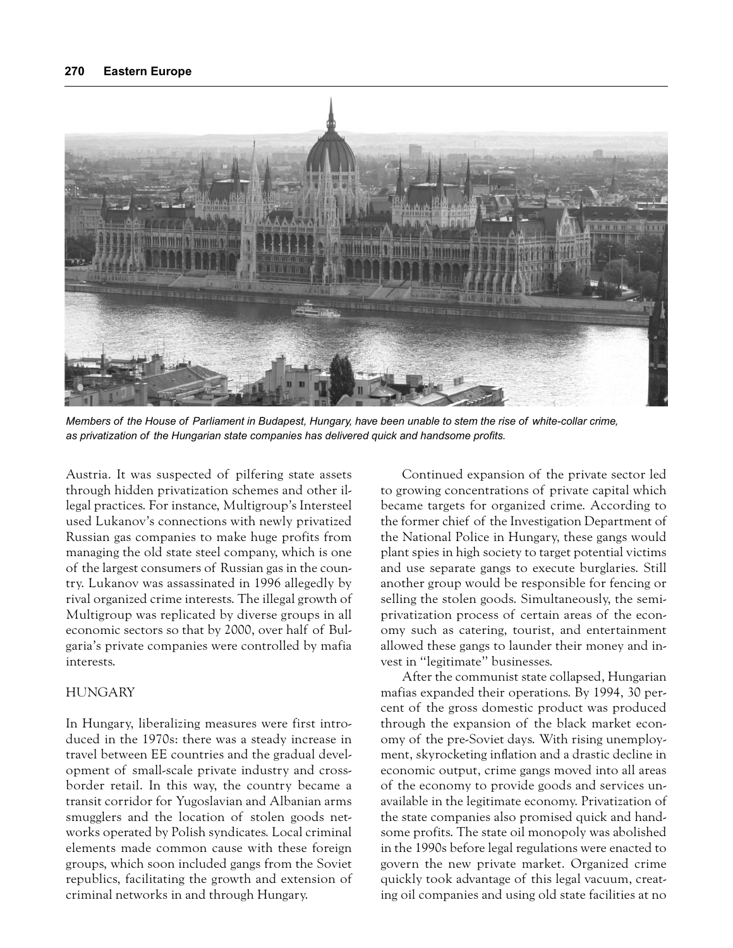

*Members of the House of Parliament in Budapest, Hungary, have been unable to stem the rise of white-collar crime, as privatization of the Hungarian state companies has delivered quick and handsome profits.*

Austria. It was suspected of pilfering state assets through hidden privatization schemes and other illegal practices. For instance, Multigroup's Intersteel used Lukanov's connections with newly privatized Russian gas companies to make huge profits from managing the old state steel company, which is one of the largest consumers of Russian gas in the country. Lukanov was assassinated in 1996 allegedly by rival organized crime interests. The illegal growth of Multigroup was replicated by diverse groups in all economic sectors so that by 2000, over half of Bulgaria's private companies were controlled by mafia interests.

### HUNGARY

In Hungary, liberalizing measures were first introduced in the 1970s: there was a steady increase in travel between EE countries and the gradual development of small-scale private industry and crossborder retail. In this way, the country became a transit corridor for Yugoslavian and Albanian arms smugglers and the location of stolen goods networks operated by Polish syndicates. Local criminal elements made common cause with these foreign groups, which soon included gangs from the Soviet republics, facilitating the growth and extension of criminal networks in and through Hungary.

Continued expansion of the private sector led to growing concentrations of private capital which became targets for organized crime. According to the former chief of the Investigation Department of the National Police in Hungary, these gangs would plant spies in high society to target potential victims and use separate gangs to execute burglaries. Still another group would be responsible for fencing or selling the stolen goods. Simultaneously, the semiprivatization process of certain areas of the economy such as catering, tourist, and entertainment allowed these gangs to launder their money and invest in "legitimate" businesses.

After the communist state collapsed, Hungarian mafias expanded their operations. By 1994, 30 percent of the gross domestic product was produced through the expansion of the black market economy of the pre-Soviet days. With rising unemployment, skyrocketing inflation and a drastic decline in economic output, crime gangs moved into all areas of the economy to provide goods and services unavailable in the legitimate economy. Privatization of the state companies also promised quick and handsome profits. The state oil monopoly was abolished in the 1990s before legal regulations were enacted to govern the new private market. Organized crime quickly took advantage of this legal vacuum, creating oil companies and using old state facilities at no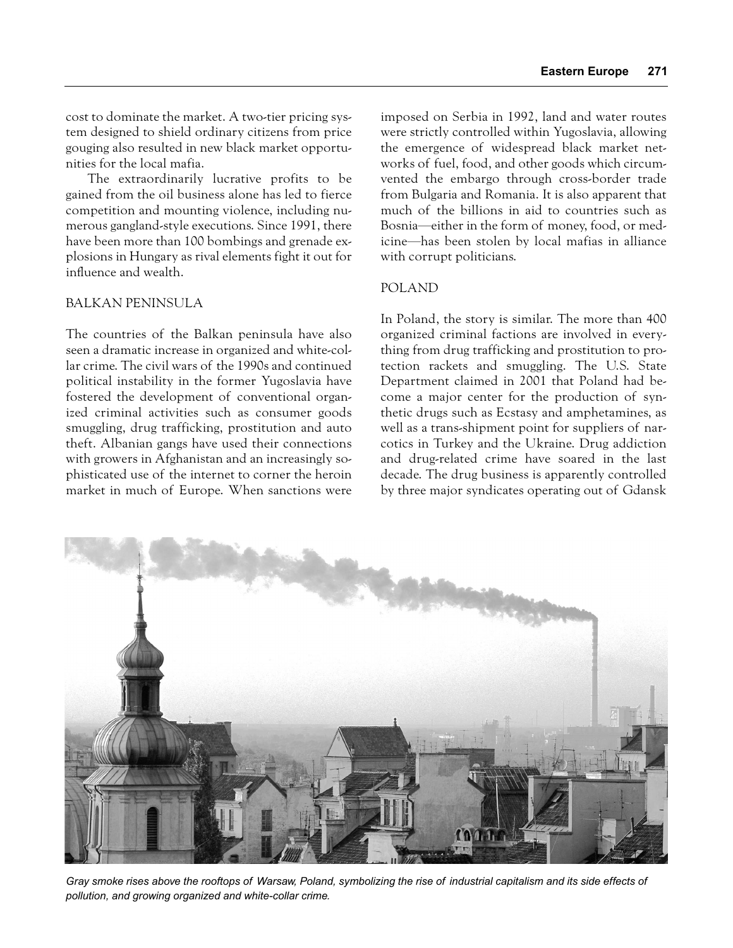cost to dominate the market. A two-tier pricing system designed to shield ordinary citizens from price gouging also resulted in new black market opportunities for the local mafia.

The extraordinarily lucrative profits to be gained from the oil business alone has led to fierce competition and mounting violence, including numerous gangland-style executions. Since 1991, there have been more than 100 bombings and grenade explosions in Hungary as rival elements fight it out for influence and wealth.

### BALKAN PENINSULA

The countries of the Balkan peninsula have also seen a dramatic increase in organized and white-collar crime. The civil wars of the 1990s and continued political instability in the former Yugoslavia have fostered the development of conventional organized criminal activities such as consumer goods smuggling, drug trafficking, prostitution and auto theft. Albanian gangs have used their connections with growers in Afghanistan and an increasingly sophisticated use of the internet to corner the heroin market in much of Europe. When sanctions were imposed on Serbia in 1992, land and water routes were strictly controlled within Yugoslavia, allowing the emergence of widespread black market networks of fuel, food, and other goods which circumvented the embargo through cross-border trade from Bulgaria and Romania. It is also apparent that much of the billions in aid to countries such as Bosnia—either in the form of money, food, or medicine—has been stolen by local mafias in alliance with corrupt politicians.

### POLAND

In Poland, the story is similar. The more than 400 organized criminal factions are involved in everything from drug trafficking and prostitution to protection rackets and smuggling. The U.S. State Department claimed in 2001 that Poland had become a major center for the production of synthetic drugs such as Ecstasy and amphetamines, as well as a trans-shipment point for suppliers of narcotics in Turkey and the Ukraine. Drug addiction and drug-related crime have soared in the last decade. The drug business is apparently controlled by three major syndicates operating out of Gdansk



*Gray smoke rises above the rooftops of Warsaw, Poland, symbolizing the rise of industrial capitalism and its side effects of pollution, and growing organized and white-collar crime.*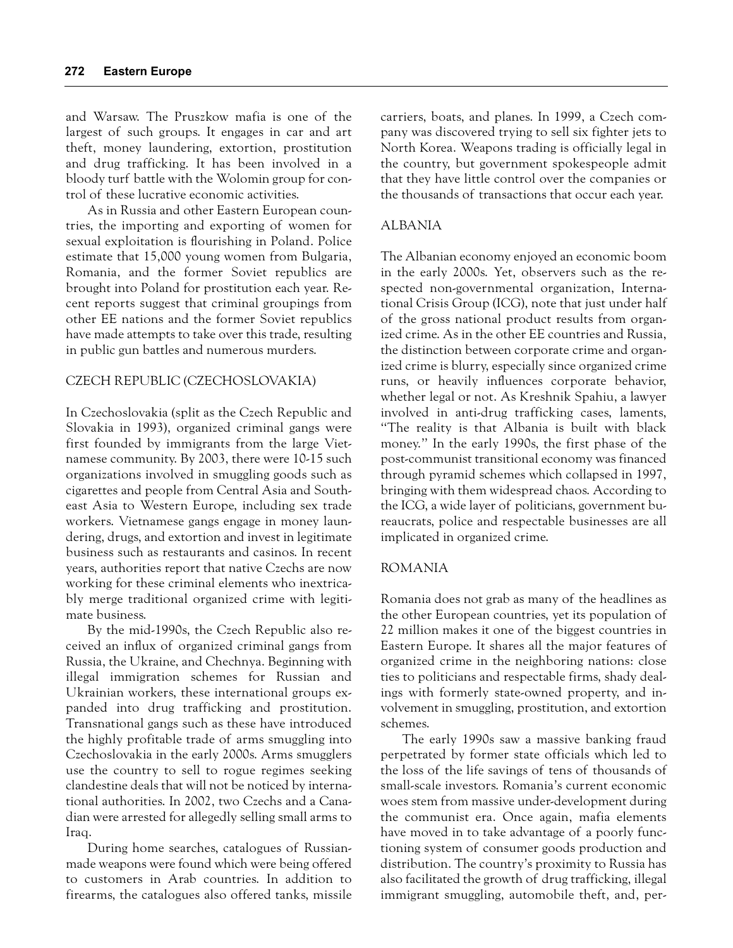and Warsaw. The Pruszkow mafia is one of the largest of such groups. It engages in car and art theft, money laundering, extortion, prostitution and drug trafficking. It has been involved in a bloody turf battle with the Wolomin group for control of these lucrative economic activities.

As in Russia and other Eastern European countries, the importing and exporting of women for sexual exploitation is flourishing in Poland. Police estimate that 15,000 young women from Bulgaria, Romania, and the former Soviet republics are brought into Poland for prostitution each year. Recent reports suggest that criminal groupings from other EE nations and the former Soviet republics have made attempts to take over this trade, resulting in public gun battles and numerous murders.

### CZECH REPUBLIC (CZECHOSLOVAKIA)

In Czechoslovakia (split as the Czech Republic and Slovakia in 1993), organized criminal gangs were first founded by immigrants from the large Vietnamese community. By 2003, there were 10-15 such organizations involved in smuggling goods such as cigarettes and people from Central Asia and Southeast Asia to Western Europe, including sex trade workers. Vietnamese gangs engage in money laundering, drugs, and extortion and invest in legitimate business such as restaurants and casinos. In recent years, authorities report that native Czechs are now working for these criminal elements who inextricably merge traditional organized crime with legitimate business.

By the mid-1990s, the Czech Republic also received an influx of organized criminal gangs from Russia, the Ukraine, and Chechnya. Beginning with illegal immigration schemes for Russian and Ukrainian workers, these international groups expanded into drug trafficking and prostitution. Transnational gangs such as these have introduced the highly profitable trade of arms smuggling into Czechoslovakia in the early 2000s. Arms smugglers use the country to sell to rogue regimes seeking clandestine deals that will not be noticed by international authorities. In 2002, two Czechs and a Canadian were arrested for allegedly selling small arms to Iraq.

During home searches, catalogues of Russianmade weapons were found which were being offered to customers in Arab countries. In addition to firearms, the catalogues also offered tanks, missile carriers, boats, and planes. In 1999, a Czech company was discovered trying to sell six fighter jets to North Korea. Weapons trading is officially legal in the country, but government spokespeople admit that they have little control over the companies or the thousands of transactions that occur each year.

### ALBANIA

The Albanian economy enjoyed an economic boom in the early 2000s. Yet, observers such as the respected non-governmental organization, International Crisis Group (ICG), note that just under half of the gross national product results from organized crime. As in the other EE countries and Russia, the distinction between corporate crime and organized crime is blurry, especially since organized crime runs, or heavily influences corporate behavior, whether legal or not. As Kreshnik Spahiu, a lawyer involved in anti-drug trafficking cases, laments, "The reality is that Albania is built with black money." In the early 1990s, the first phase of the post-communist transitional economy was financed through pyramid schemes which collapsed in 1997, bringing with them widespread chaos. According to the ICG, a wide layer of politicians, government bureaucrats, police and respectable businesses are all implicated in organized crime.

### ROMANIA

Romania does not grab as many of the headlines as the other European countries, yet its population of 22 million makes it one of the biggest countries in Eastern Europe. It shares all the major features of organized crime in the neighboring nations: close ties to politicians and respectable firms, shady dealings with formerly state-owned property, and involvement in smuggling, prostitution, and extortion schemes.

The early 1990s saw a massive banking fraud perpetrated by former state officials which led to the loss of the life savings of tens of thousands of small-scale investors. Romania's current economic woes stem from massive under-development during the communist era. Once again, mafia elements have moved in to take advantage of a poorly functioning system of consumer goods production and distribution. The country's proximity to Russia has also facilitated the growth of drug trafficking, illegal immigrant smuggling, automobile theft, and, per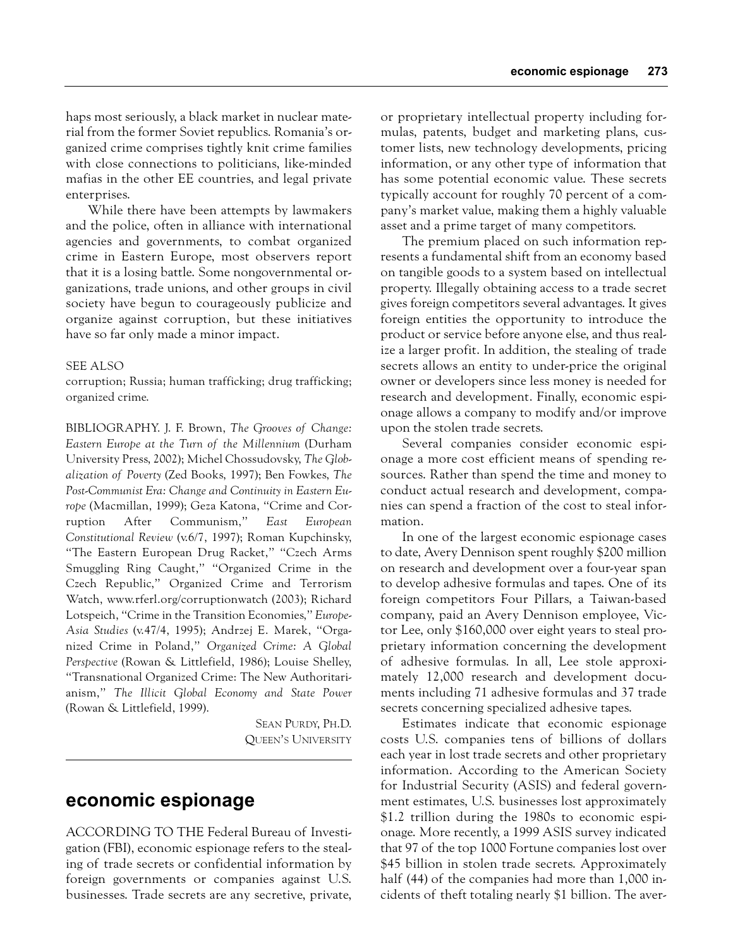haps most seriously, a black market in nuclear material from the former Soviet republics. Romania's organized crime comprises tightly knit crime families with close connections to politicians, like-minded mafias in the other EE countries, and legal private enterprises.

While there have been attempts by lawmakers and the police, often in alliance with international agencies and governments, to combat organized crime in Eastern Europe, most observers report that it is a losing battle. Some nongovernmental organizations, trade unions, and other groups in civil society have begun to courageously publicize and organize against corruption, but these initiatives have so far only made a minor impact.

### SEE ALSO

corruption; Russia; human trafficking; drug trafficking; organized crime.

BIBLIOGRAPHY. J. F. Brown, *The Grooves of Change: Eastern Europe at the Turn of the Millennium* (Durham University Press, 2002); Michel Chossudovsky, *The Globalization of Poverty* (Zed Books, 1997); Ben Fowkes, *The Post-Communist Era: Change and Continuity in Eastern Europe* (Macmillan, 1999); Geza Katona, "Crime and Corruption After Communism," *East European Constitutional Review* (v.6/7, 1997); Roman Kupchinsky, "The Eastern European Drug Racket," "Czech Arms Smuggling Ring Caught," "Organized Crime in the Czech Republic," Organized Crime and Terrorism Watch, www.rferl.org/corruptionwatch (2003); Richard Lotspeich, "Crime in the Transition Economies," *Europe-Asia Studies* (v.47/4, 1995); Andrzej E. Marek, "Organized Crime in Poland," *Organized Crime: A Global Perspective* (Rowan & Littlefield, 1986); Louise Shelley, "Transnational Organized Crime: The New Authoritarianism," *The Illicit Global Economy and State Power* (Rowan & Littlefield, 1999).

> SEAN PURDY, PH.D. QUEEN'S UNIVERSITY

# **economic espionage**

ACCORDING TO THE Federal Bureau of Investigation (FBI), economic espionage refers to the stealing of trade secrets or confidential information by foreign governments or companies against U.S. businesses. Trade secrets are any secretive, private, or proprietary intellectual property including formulas, patents, budget and marketing plans, customer lists, new technology developments, pricing information, or any other type of information that has some potential economic value. These secrets typically account for roughly 70 percent of a company's market value, making them a highly valuable asset and a prime target of many competitors.

The premium placed on such information represents a fundamental shift from an economy based on tangible goods to a system based on intellectual property. Illegally obtaining access to a trade secret gives foreign competitors several advantages. It gives foreign entities the opportunity to introduce the product or service before anyone else, and thus realize a larger profit. In addition, the stealing of trade secrets allows an entity to under-price the original owner or developers since less money is needed for research and development. Finally, economic espionage allows a company to modify and/or improve upon the stolen trade secrets.

Several companies consider economic espionage a more cost efficient means of spending resources. Rather than spend the time and money to conduct actual research and development, companies can spend a fraction of the cost to steal information.

In one of the largest economic espionage cases to date, Avery Dennison spent roughly \$200 million on research and development over a four-year span to develop adhesive formulas and tapes. One of its foreign competitors Four Pillars, a Taiwan-based company, paid an Avery Dennison employee, Victor Lee, only \$160,000 over eight years to steal proprietary information concerning the development of adhesive formulas. In all, Lee stole approximately 12,000 research and development documents including 71 adhesive formulas and 37 trade secrets concerning specialized adhesive tapes.

Estimates indicate that economic espionage costs U.S. companies tens of billions of dollars each year in lost trade secrets and other proprietary information. According to the American Society for Industrial Security (ASIS) and federal government estimates, U.S. businesses lost approximately \$1.2 trillion during the 1980s to economic espionage. More recently, a 1999 ASIS survey indicated that 97 of the top 1000 Fortune companies lost over \$45 billion in stolen trade secrets. Approximately half (44) of the companies had more than 1,000 incidents of theft totaling nearly \$1 billion. The aver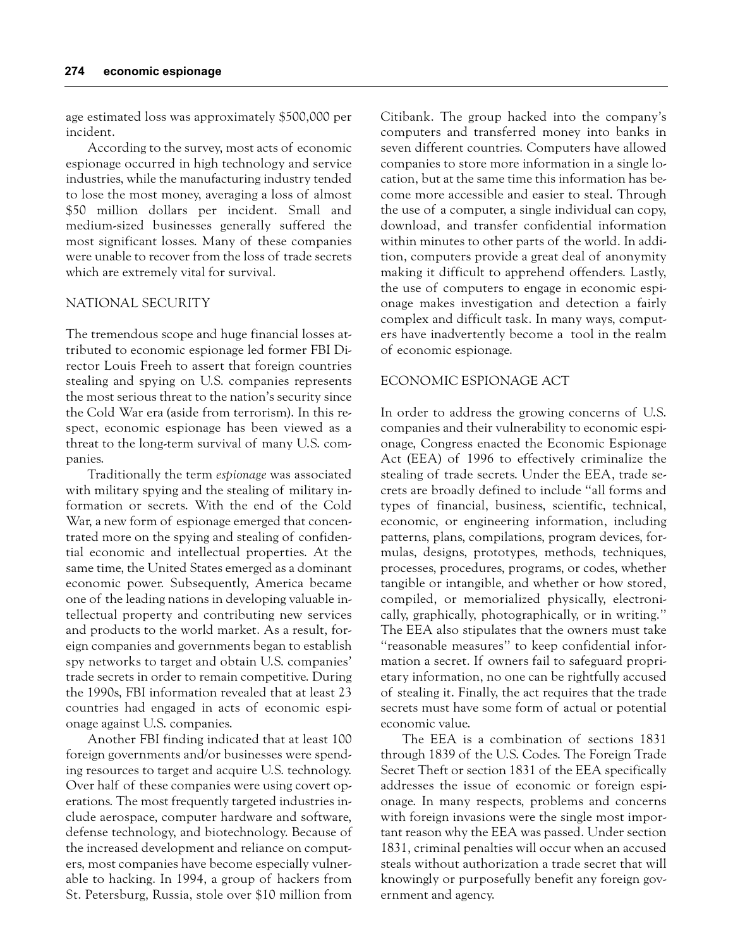age estimated loss was approximately \$500,000 per incident.

According to the survey, most acts of economic espionage occurred in high technology and service industries, while the manufacturing industry tended to lose the most money, averaging a loss of almost \$50 million dollars per incident. Small and medium-sized businesses generally suffered the most significant losses. Many of these companies were unable to recover from the loss of trade secrets which are extremely vital for survival.

### NATIONAL SECURITY

The tremendous scope and huge financial losses attributed to economic espionage led former FBI Director Louis Freeh to assert that foreign countries stealing and spying on U.S. companies represents the most serious threat to the nation's security since the Cold War era (aside from terrorism). In this respect, economic espionage has been viewed as a threat to the long-term survival of many U.S. companies.

Traditionally the term *espionage* was associated with military spying and the stealing of military information or secrets. With the end of the Cold War, a new form of espionage emerged that concentrated more on the spying and stealing of confidential economic and intellectual properties. At the same time, the United States emerged as a dominant economic power. Subsequently, America became one of the leading nations in developing valuable intellectual property and contributing new services and products to the world market. As a result, foreign companies and governments began to establish spy networks to target and obtain U.S. companies' trade secrets in order to remain competitive. During the 1990s, FBI information revealed that at least 23 countries had engaged in acts of economic espionage against U.S. companies.

Another FBI finding indicated that at least 100 foreign governments and/or businesses were spending resources to target and acquire U.S. technology. Over half of these companies were using covert operations. The most frequently targeted industries include aerospace, computer hardware and software, defense technology, and biotechnology. Because of the increased development and reliance on computers, most companies have become especially vulnerable to hacking. In 1994, a group of hackers from St. Petersburg, Russia, stole over \$10 million from Citibank. The group hacked into the company's computers and transferred money into banks in seven different countries. Computers have allowed companies to store more information in a single location, but at the same time this information has become more accessible and easier to steal. Through the use of a computer, a single individual can copy, download, and transfer confidential information within minutes to other parts of the world. In addition, computers provide a great deal of anonymity making it difficult to apprehend offenders. Lastly, the use of computers to engage in economic espionage makes investigation and detection a fairly complex and difficult task. In many ways, computers have inadvertently become a tool in the realm of economic espionage.

### ECONOMIC ESPIONAGE ACT

In order to address the growing concerns of U.S. companies and their vulnerability to economic espionage, Congress enacted the Economic Espionage Act (EEA) of 1996 to effectively criminalize the stealing of trade secrets. Under the EEA, trade secrets are broadly defined to include "all forms and types of financial, business, scientific, technical, economic, or engineering information, including patterns, plans, compilations, program devices, formulas, designs, prototypes, methods, techniques, processes, procedures, programs, or codes, whether tangible or intangible, and whether or how stored, compiled, or memorialized physically, electronically, graphically, photographically, or in writing." The EEA also stipulates that the owners must take "reasonable measures" to keep confidential information a secret. If owners fail to safeguard proprietary information, no one can be rightfully accused of stealing it. Finally, the act requires that the trade secrets must have some form of actual or potential economic value.

The EEA is a combination of sections 1831 through 1839 of the U.S. Codes. The Foreign Trade Secret Theft or section 1831 of the EEA specifically addresses the issue of economic or foreign espionage. In many respects, problems and concerns with foreign invasions were the single most important reason why the EEA was passed. Under section 1831, criminal penalties will occur when an accused steals without authorization a trade secret that will knowingly or purposefully benefit any foreign government and agency.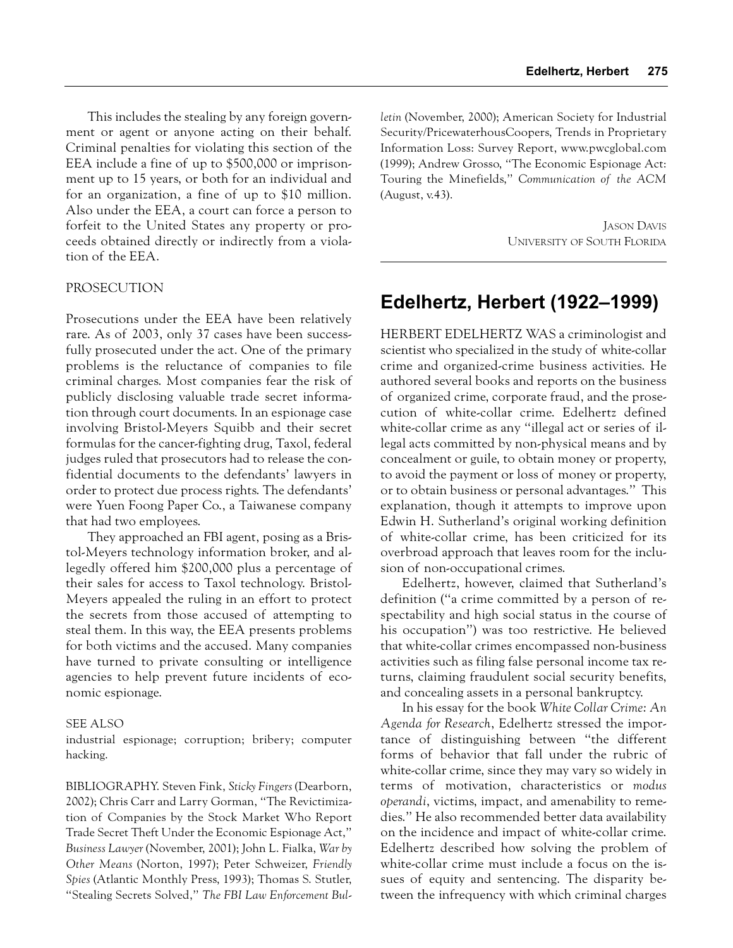This includes the stealing by any foreign government or agent or anyone acting on their behalf. Criminal penalties for violating this section of the EEA include a fine of up to \$500,000 or imprisonment up to 15 years, or both for an individual and for an organization, a fine of up to \$10 million. Also under the EEA, a court can force a person to forfeit to the United States any property or proceeds obtained directly or indirectly from a violation of the EEA.

### PROSECUTION

Prosecutions under the EEA have been relatively rare. As of 2003, only 37 cases have been successfully prosecuted under the act. One of the primary problems is the reluctance of companies to file criminal charges. Most companies fear the risk of publicly disclosing valuable trade secret information through court documents. In an espionage case involving Bristol-Meyers Squibb and their secret formulas for the cancer-fighting drug, Taxol, federal judges ruled that prosecutors had to release the confidential documents to the defendants' lawyers in order to protect due process rights. The defendants' were Yuen Foong Paper Co., a Taiwanese company that had two employees.

They approached an FBI agent, posing as a Bristol-Meyers technology information broker, and allegedly offered him \$200,000 plus a percentage of their sales for access to Taxol technology. Bristol-Meyers appealed the ruling in an effort to protect the secrets from those accused of attempting to steal them. In this way, the EEA presents problems for both victims and the accused. Many companies have turned to private consulting or intelligence agencies to help prevent future incidents of economic espionage.

### SEE ALSO

industrial espionage; corruption; bribery; computer hacking.

BIBLIOGRAPHY. Steven Fink, *Sticky Fingers* (Dearborn, 2002); Chris Carr and Larry Gorman, "The Revictimization of Companies by the Stock Market Who Report Trade Secret Theft Under the Economic Espionage Act," *Business Lawyer* (November, 2001); John L. Fialka, *War by Other Means* (Norton, 1997); Peter Schweizer, *Friendly Spies* (Atlantic Monthly Press, 1993); Thomas S. Stutler, "Stealing Secrets Solved," *The FBI Law Enforcement Bul-* *letin* (November, 2000); American Society for Industrial Security/PricewaterhousCoopers, Trends in Proprietary Information Loss: Survey Report, www.pwcglobal.com (1999); Andrew Grosso, "The Economic Espionage Act: Touring the Minefields," *Communication of the ACM* (August, v.43).

> JASON DAVIS UNIVERSITY OF SOUTH FLORIDA

# **Edelhertz, Herbert (1922–1999)**

HERBERT EDELHERTZ WAS a criminologist and scientist who specialized in the study of white-collar crime and organized-crime business activities. He authored several books and reports on the business of organized crime, corporate fraud, and the prosecution of white-collar crime. Edelhertz defined white-collar crime as any "illegal act or series of illegal acts committed by non-physical means and by concealment or guile, to obtain money or property, to avoid the payment or loss of money or property, or to obtain business or personal advantages." This explanation, though it attempts to improve upon Edwin H. Sutherland's original working definition of white-collar crime, has been criticized for its overbroad approach that leaves room for the inclusion of non-occupational crimes.

Edelhertz, however, claimed that Sutherland's definition ("a crime committed by a person of respectability and high social status in the course of his occupation") was too restrictive. He believed that white-collar crimes encompassed non-business activities such as filing false personal income tax returns, claiming fraudulent social security benefits, and concealing assets in a personal bankruptcy.

In his essay for the book *White Collar Crime: An Agenda for Research*, Edelhertz stressed the importance of distinguishing between "the different forms of behavior that fall under the rubric of white-collar crime, since they may vary so widely in terms of motivation, characteristics or *modus operandi*, victims, impact, and amenability to remedies." He also recommended better data availability on the incidence and impact of white-collar crime. Edelhertz described how solving the problem of white-collar crime must include a focus on the issues of equity and sentencing. The disparity between the infrequency with which criminal charges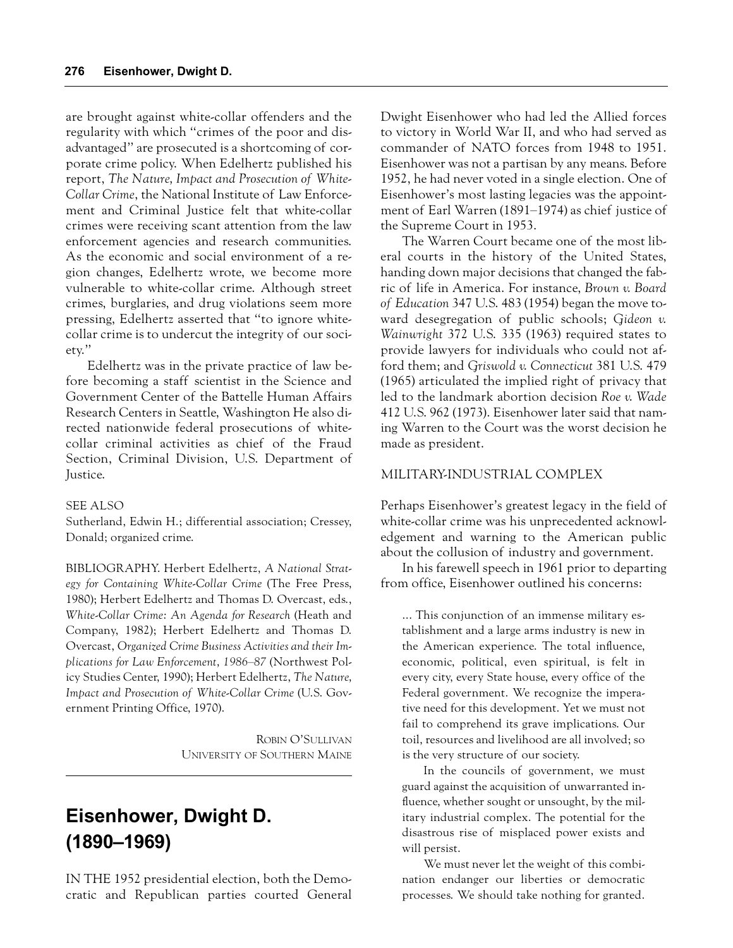are brought against white-collar offenders and the regularity with which "crimes of the poor and disadvantaged" are prosecuted is a shortcoming of corporate crime policy. When Edelhertz published his report, *The Nature, Impact and Prosecution of White-Collar Crime*, the National Institute of Law Enforcement and Criminal Justice felt that white-collar crimes were receiving scant attention from the law enforcement agencies and research communities. As the economic and social environment of a region changes, Edelhertz wrote, we become more vulnerable to white-collar crime. Although street crimes, burglaries, and drug violations seem more pressing, Edelhertz asserted that "to ignore whitecollar crime is to undercut the integrity of our society."

Edelhertz was in the private practice of law before becoming a staff scientist in the Science and Government Center of the Battelle Human Affairs Research Centers in Seattle, Washington He also directed nationwide federal prosecutions of whitecollar criminal activities as chief of the Fraud Section, Criminal Division, U.S. Department of Justice.

### SEE ALSO

Sutherland, Edwin H.; differential association; Cressey, Donald; organized crime.

BIBLIOGRAPHY. Herbert Edelhertz, *A National Strategy for Containing White-Collar Crime* (The Free Press, 1980); Herbert Edelhertz and Thomas D. Overcast, eds., *White-Collar Crime: An Agenda for Research* (Heath and Company, 1982); Herbert Edelhertz and Thomas D. Overcast, *Organized Crime Business Activities and their Implications for Law Enforcement, 1986–87* (Northwest Policy Studies Center, 1990); Herbert Edelhertz, *The Nature, Impact and Prosecution of White-Collar Crime* (U.S. Government Printing Office, 1970).

> ROBIN O'SULLIVAN UNIVERSITY OF SOUTHERN MAINE

# **Eisenhower, Dwight D. (1890–1969)**

IN THE 1952 presidential election, both the Democratic and Republican parties courted General Dwight Eisenhower who had led the Allied forces to victory in World War II, and who had served as commander of NATO forces from 1948 to 1951. Eisenhower was not a partisan by any means. Before 1952, he had never voted in a single election. One of Eisenhower's most lasting legacies was the appointment of Earl Warren (1891–1974) as chief justice of the Supreme Court in 1953.

The Warren Court became one of the most liberal courts in the history of the United States, handing down major decisions that changed the fabric of life in America. For instance, *Brown v. Board of Education* 347 U.S. 483 (1954) began the move toward desegregation of public schools; *Gideon v. Wainwright* 372 U.S. 335 (1963) required states to provide lawyers for individuals who could not afford them; and *Griswold v. Connecticut* 381 U.S. 479 (1965) articulated the implied right of privacy that led to the landmark abortion decision *Roe v. Wade* 412 U.S. 962 (1973). Eisenhower later said that naming Warren to the Court was the worst decision he made as president.

### MILITARY-INDUSTRIAL COMPLEX

Perhaps Eisenhower's greatest legacy in the field of white-collar crime was his unprecedented acknowledgement and warning to the American public about the collusion of industry and government.

In his farewell speech in 1961 prior to departing from office, Eisenhower outlined his concerns:

... This conjunction of an immense military establishment and a large arms industry is new in the American experience. The total influence, economic, political, even spiritual, is felt in every city, every State house, every office of the Federal government. We recognize the imperative need for this development. Yet we must not fail to comprehend its grave implications. Our toil, resources and livelihood are all involved; so is the very structure of our society.

In the councils of government, we must guard against the acquisition of unwarranted influence, whether sought or unsought, by the military industrial complex. The potential for the disastrous rise of misplaced power exists and will persist.

We must never let the weight of this combination endanger our liberties or democratic processes. We should take nothing for granted.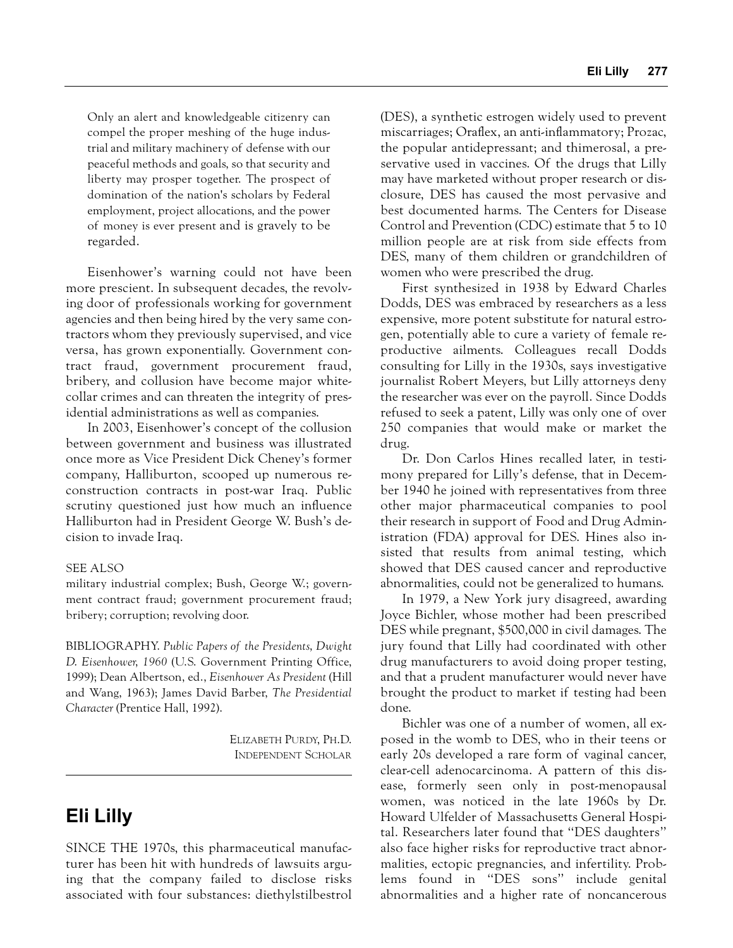Only an alert and knowledgeable citizenry can compel the proper meshing of the huge industrial and military machinery of defense with our peaceful methods and goals, so that security and liberty may prosper together. The prospect of domination of the nation's scholars by Federal employment, project allocations, and the power of money is ever present and is gravely to be regarded.

Eisenhower's warning could not have been more prescient. In subsequent decades, the revolving door of professionals working for government agencies and then being hired by the very same contractors whom they previously supervised, and vice versa, has grown exponentially. Government contract fraud, government procurement fraud, bribery, and collusion have become major whitecollar crimes and can threaten the integrity of presidential administrations as well as companies.

In 2003, Eisenhower's concept of the collusion between government and business was illustrated once more as Vice President Dick Cheney's former company, Halliburton, scooped up numerous reconstruction contracts in post-war Iraq. Public scrutiny questioned just how much an influence Halliburton had in President George W. Bush's decision to invade Iraq.

### SEE ALSO

military industrial complex; Bush, George W.; government contract fraud; government procurement fraud; bribery; corruption; revolving door.

BIBLIOGRAPHY. *Public Papers of the Presidents, Dwight D. Eisenhower, 1960* (U.S. Government Printing Office, 1999); Dean Albertson, ed., *Eisenhower As President* (Hill and Wang, 1963); James David Barber, *The Presidential Character* (Prentice Hall, 1992).

> ELIZABETH PURDY, PH.D. INDEPENDENT SCHOLAR

# **Eli Lilly**

SINCE THE 1970s, this pharmaceutical manufacturer has been hit with hundreds of lawsuits arguing that the company failed to disclose risks associated with four substances: diethylstilbestrol (DES), a synthetic estrogen widely used to prevent miscarriages; Oraflex, an anti-inflammatory; Prozac, the popular antidepressant; and thimerosal, a preservative used in vaccines. Of the drugs that Lilly may have marketed without proper research or disclosure, DES has caused the most pervasive and best documented harms. The Centers for Disease Control and Prevention (CDC) estimate that 5 to 10 million people are at risk from side effects from DES, many of them children or grandchildren of women who were prescribed the drug.

First synthesized in 1938 by Edward Charles Dodds, DES was embraced by researchers as a less expensive, more potent substitute for natural estrogen, potentially able to cure a variety of female reproductive ailments. Colleagues recall Dodds consulting for Lilly in the 1930s, says investigative journalist Robert Meyers, but Lilly attorneys deny the researcher was ever on the payroll. Since Dodds refused to seek a patent, Lilly was only one of over 250 companies that would make or market the drug.

Dr. Don Carlos Hines recalled later, in testimony prepared for Lilly's defense, that in December 1940 he joined with representatives from three other major pharmaceutical companies to pool their research in support of Food and Drug Administration (FDA) approval for DES. Hines also insisted that results from animal testing, which showed that DES caused cancer and reproductive abnormalities, could not be generalized to humans.

In 1979, a New York jury disagreed, awarding Joyce Bichler, whose mother had been prescribed DES while pregnant, \$500,000 in civil damages. The jury found that Lilly had coordinated with other drug manufacturers to avoid doing proper testing, and that a prudent manufacturer would never have brought the product to market if testing had been done.

Bichler was one of a number of women, all exposed in the womb to DES, who in their teens or early 20s developed a rare form of vaginal cancer, clear-cell adenocarcinoma. A pattern of this disease, formerly seen only in post-menopausal women, was noticed in the late 1960s by Dr. Howard Ulfelder of Massachusetts General Hospital. Researchers later found that "DES daughters" also face higher risks for reproductive tract abnormalities, ectopic pregnancies, and infertility. Problems found in "DES sons" include genital abnormalities and a higher rate of noncancerous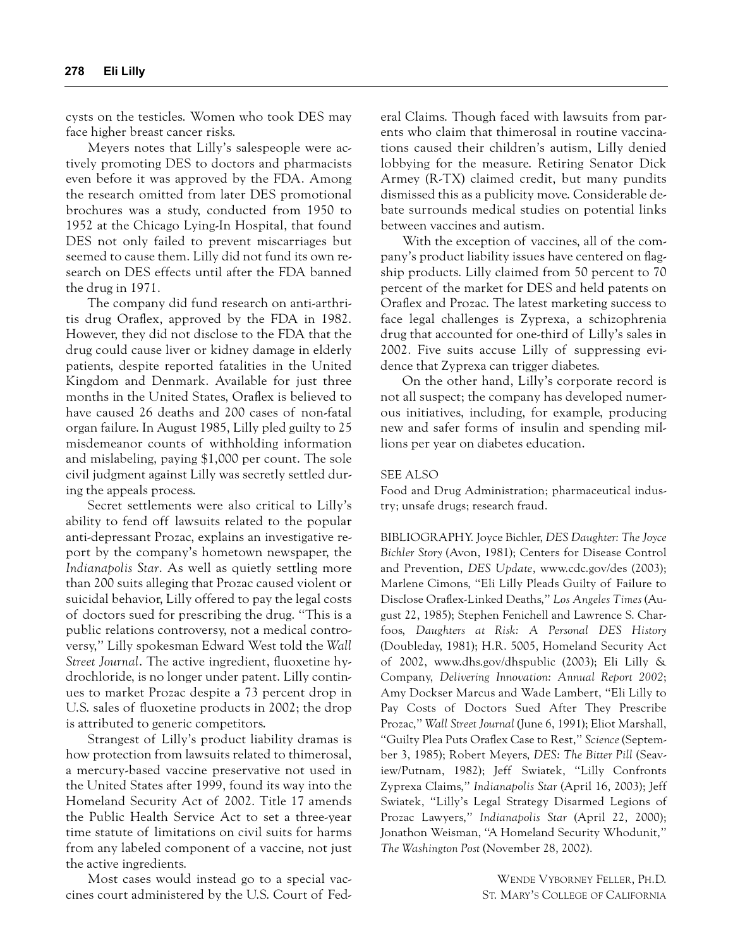cysts on the testicles. Women who took DES may face higher breast cancer risks.

Meyers notes that Lilly's salespeople were actively promoting DES to doctors and pharmacists even before it was approved by the FDA. Among the research omitted from later DES promotional brochures was a study, conducted from 1950 to 1952 at the Chicago Lying-In Hospital, that found DES not only failed to prevent miscarriages but seemed to cause them. Lilly did not fund its own research on DES effects until after the FDA banned the drug in 1971.

The company did fund research on anti-arthritis drug Oraflex, approved by the FDA in 1982. However, they did not disclose to the FDA that the drug could cause liver or kidney damage in elderly patients, despite reported fatalities in the United Kingdom and Denmark. Available for just three months in the United States, Oraflex is believed to have caused 26 deaths and 200 cases of non-fatal organ failure. In August 1985, Lilly pled guilty to 25 misdemeanor counts of withholding information and mislabeling, paying \$1,000 per count. The sole civil judgment against Lilly was secretly settled during the appeals process.

Secret settlements were also critical to Lilly's ability to fend off lawsuits related to the popular anti-depressant Prozac, explains an investigative report by the company's hometown newspaper, the *Indianapolis Star*. As well as quietly settling more than 200 suits alleging that Prozac caused violent or suicidal behavior, Lilly offered to pay the legal costs of doctors sued for prescribing the drug. "This is a public relations controversy, not a medical controversy," Lilly spokesman Edward West told the *Wall Street Journal*. The active ingredient, fluoxetine hydrochloride, is no longer under patent. Lilly continues to market Prozac despite a 73 percent drop in U.S. sales of fluoxetine products in 2002; the drop is attributed to generic competitors.

Strangest of Lilly's product liability dramas is how protection from lawsuits related to thimerosal, a mercury-based vaccine preservative not used in the United States after 1999, found its way into the Homeland Security Act of 2002. Title 17 amends the Public Health Service Act to set a three-year time statute of limitations on civil suits for harms from any labeled component of a vaccine, not just the active ingredients.

Most cases would instead go to a special vaccines court administered by the U.S. Court of Federal Claims. Though faced with lawsuits from parents who claim that thimerosal in routine vaccinations caused their children's autism, Lilly denied lobbying for the measure. Retiring Senator Dick Armey (R-TX) claimed credit, but many pundits dismissed this as a publicity move. Considerable debate surrounds medical studies on potential links between vaccines and autism.

With the exception of vaccines, all of the company's product liability issues have centered on flagship products. Lilly claimed from 50 percent to 70 percent of the market for DES and held patents on Oraflex and Prozac. The latest marketing success to face legal challenges is Zyprexa, a schizophrenia drug that accounted for one-third of Lilly's sales in 2002. Five suits accuse Lilly of suppressing evidence that Zyprexa can trigger diabetes.

On the other hand, Lilly's corporate record is not all suspect; the company has developed numerous initiatives, including, for example, producing new and safer forms of insulin and spending millions per year on diabetes education.

### SEE ALSO

Food and Drug Administration; pharmaceutical industry; unsafe drugs; research fraud.

BIBLIOGRAPHY. Joyce Bichler, *DES Daughter: The Joyce Bichler Story* (Avon, 1981); Centers for Disease Control and Prevention, *DES Update*, www.cdc.gov/des (2003); Marlene Cimons, "Eli Lilly Pleads Guilty of Failure to Disclose Oraflex-Linked Deaths," *Los Angeles Times* (August 22, 1985); Stephen Fenichell and Lawrence S. Charfoos, *Daughters at Risk: A Personal DES History* (Doubleday, 1981); H.R. 5005, Homeland Security Act of 2002, www.dhs.gov/dhspublic (2003); Eli Lilly & Company, *Delivering Innovation: Annual Report 2002*; Amy Dockser Marcus and Wade Lambert, "Eli Lilly to Pay Costs of Doctors Sued After They Prescribe Prozac," *Wall Street Journal* (June 6, 1991); Eliot Marshall, "Guilty Plea Puts Oraflex Case to Rest," *Science* (September 3, 1985); Robert Meyers, *DES: The Bitter Pill* (Seaview/Putnam, 1982); Jeff Swiatek, "Lilly Confronts Zyprexa Claims," *Indianapolis Star* (April 16, 2003); Jeff Swiatek, "Lilly's Legal Strategy Disarmed Legions of Prozac Lawyers," *Indianapolis Star* (April 22, 2000); Jonathon Weisman, "A Homeland Security Whodunit," *The Washington Post* (November 28, 2002).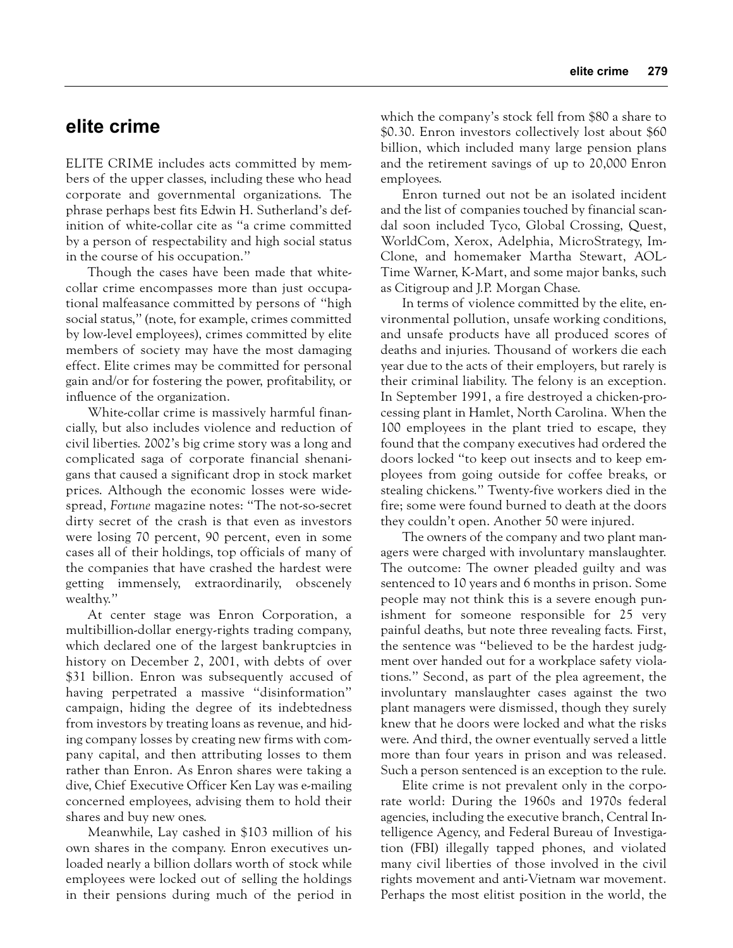# **elite crime**

ELITE CRIME includes acts committed by members of the upper classes, including these who head corporate and governmental organizations. The phrase perhaps best fits Edwin H. Sutherland's definition of white-collar cite as "a crime committed by a person of respectability and high social status in the course of his occupation."

Though the cases have been made that whitecollar crime encompasses more than just occupational malfeasance committed by persons of "high social status," (note, for example, crimes committed by low-level employees), crimes committed by elite members of society may have the most damaging effect. Elite crimes may be committed for personal gain and/or for fostering the power, profitability, or influence of the organization.

White-collar crime is massively harmful financially, but also includes violence and reduction of civil liberties. 2002's big crime story was a long and complicated saga of corporate financial shenanigans that caused a significant drop in stock market prices. Although the economic losses were widespread, *Fortune* magazine notes: "The not-so-secret dirty secret of the crash is that even as investors were losing 70 percent, 90 percent, even in some cases all of their holdings, top officials of many of the companies that have crashed the hardest were getting immensely, extraordinarily, obscenely wealthy."

At center stage was Enron Corporation, a multibillion-dollar energy-rights trading company, which declared one of the largest bankruptcies in history on December 2, 2001, with debts of over \$31 billion. Enron was subsequently accused of having perpetrated a massive "disinformation" campaign, hiding the degree of its indebtedness from investors by treating loans as revenue, and hiding company losses by creating new firms with company capital, and then attributing losses to them rather than Enron. As Enron shares were taking a dive, Chief Executive Officer Ken Lay was e-mailing concerned employees, advising them to hold their shares and buy new ones.

Meanwhile, Lay cashed in \$103 million of his own shares in the company. Enron executives unloaded nearly a billion dollars worth of stock while employees were locked out of selling the holdings in their pensions during much of the period in

which the company's stock fell from \$80 a share to \$0.30. Enron investors collectively lost about \$60 billion, which included many large pension plans and the retirement savings of up to 20,000 Enron employees.

Enron turned out not be an isolated incident and the list of companies touched by financial scandal soon included Tyco, Global Crossing, Quest, WorldCom, Xerox, Adelphia, MicroStrategy, Im-Clone, and homemaker Martha Stewart, AOL-Time Warner, K-Mart, and some major banks, such as Citigroup and J.P. Morgan Chase.

In terms of violence committed by the elite, environmental pollution, unsafe working conditions, and unsafe products have all produced scores of deaths and injuries. Thousand of workers die each year due to the acts of their employers, but rarely is their criminal liability. The felony is an exception. In September 1991, a fire destroyed a chicken-processing plant in Hamlet, North Carolina. When the 100 employees in the plant tried to escape, they found that the company executives had ordered the doors locked "to keep out insects and to keep employees from going outside for coffee breaks, or stealing chickens." Twenty-five workers died in the fire; some were found burned to death at the doors they couldn't open. Another 50 were injured.

The owners of the company and two plant managers were charged with involuntary manslaughter. The outcome: The owner pleaded guilty and was sentenced to 10 years and 6 months in prison. Some people may not think this is a severe enough punishment for someone responsible for 25 very painful deaths, but note three revealing facts. First, the sentence was "believed to be the hardest judgment over handed out for a workplace safety violations." Second, as part of the plea agreement, the involuntary manslaughter cases against the two plant managers were dismissed, though they surely knew that he doors were locked and what the risks were. And third, the owner eventually served a little more than four years in prison and was released. Such a person sentenced is an exception to the rule.

Elite crime is not prevalent only in the corporate world: During the 1960s and 1970s federal agencies, including the executive branch, Central Intelligence Agency, and Federal Bureau of Investigation (FBI) illegally tapped phones, and violated many civil liberties of those involved in the civil rights movement and anti-Vietnam war movement. Perhaps the most elitist position in the world, the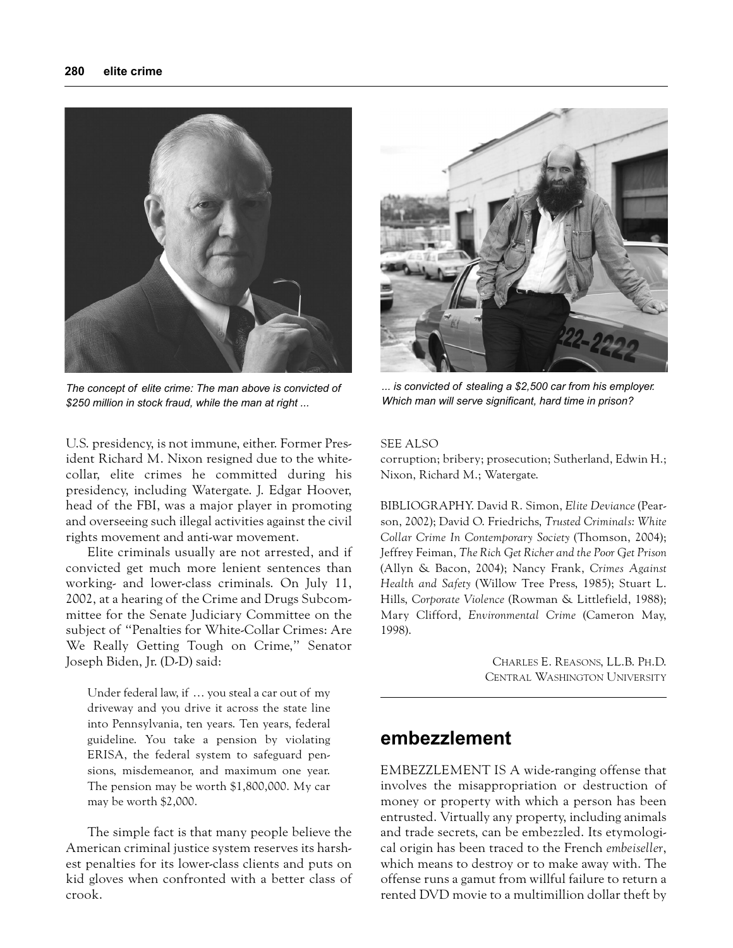

*The concept of elite crime: The man above is convicted of \$250 million in stock fraud, while the man at right ...*

U.S. presidency, is not immune, either. Former President Richard M. Nixon resigned due to the whitecollar, elite crimes he committed during his presidency, including Watergate. J. Edgar Hoover, head of the FBI, was a major player in promoting and overseeing such illegal activities against the civil rights movement and anti-war movement.

Elite criminals usually are not arrested, and if convicted get much more lenient sentences than working- and lower-class criminals. On July 11, 2002, at a hearing of the Crime and Drugs Subcommittee for the Senate Judiciary Committee on the subject of "Penalties for White-Collar Crimes: Are We Really Getting Tough on Crime," Senator Joseph Biden, Jr. (D-D) said:

Under federal law, if … you steal a car out of my driveway and you drive it across the state line into Pennsylvania, ten years. Ten years, federal guideline. You take a pension by violating ERISA, the federal system to safeguard pensions, misdemeanor, and maximum one year. The pension may be worth \$1,800,000. My car may be worth \$2,000.

The simple fact is that many people believe the American criminal justice system reserves its harshest penalties for its lower-class clients and puts on kid gloves when confronted with a better class of crook.



*... is convicted of stealing a \$2,500 car from his employer. Which man will serve significant, hard time in prison?*

### SEE ALSO

corruption; bribery; prosecution; Sutherland, Edwin H.; Nixon, Richard M.; Watergate.

BIBLIOGRAPHY. David R. Simon, *Elite Deviance* (Pearson, 2002); David O. Friedrichs, *Trusted Criminals: White Collar Crime In Contemporary Society* (Thomson, 2004); Jeffrey Feiman, *The Rich Get Richer and the Poor Get Prison* (Allyn & Bacon, 2004); Nancy Frank, *Crimes Against Health and Safety* (Willow Tree Press, 1985); Stuart L. Hills, *Corporate Violence* (Rowman & Littlefield, 1988); Mary Clifford, *Environmental Crime* (Cameron May, 1998).

> CHARLES E. REASONS, LL.B. PH.D. CENTRAL WASHINGTON UNIVERSITY

# **embezzlement**

EMBEZZLEMENT IS A wide-ranging offense that involves the misappropriation or destruction of money or property with which a person has been entrusted. Virtually any property, including animals and trade secrets, can be embezzled. Its etymological origin has been traced to the French *embeiseller*, which means to destroy or to make away with. The offense runs a gamut from willful failure to return a rented DVD movie to a multimillion dollar theft by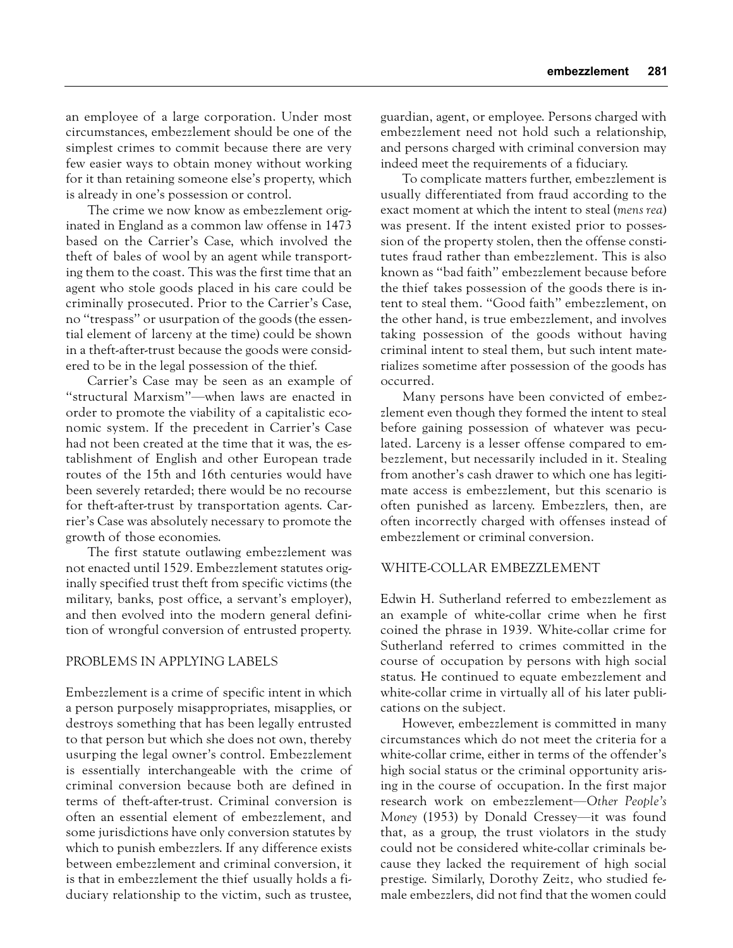an employee of a large corporation. Under most circumstances, embezzlement should be one of the simplest crimes to commit because there are very few easier ways to obtain money without working for it than retaining someone else's property, which is already in one's possession or control.

The crime we now know as embezzlement originated in England as a common law offense in 1473 based on the Carrier's Case, which involved the theft of bales of wool by an agent while transporting them to the coast. This was the first time that an agent who stole goods placed in his care could be criminally prosecuted. Prior to the Carrier's Case, no "trespass" or usurpation of the goods (the essential element of larceny at the time) could be shown in a theft-after-trust because the goods were considered to be in the legal possession of the thief.

Carrier's Case may be seen as an example of "structural Marxism"—when laws are enacted in order to promote the viability of a capitalistic economic system. If the precedent in Carrier's Case had not been created at the time that it was, the establishment of English and other European trade routes of the 15th and 16th centuries would have been severely retarded; there would be no recourse for theft-after-trust by transportation agents. Carrier's Case was absolutely necessary to promote the growth of those economies.

The first statute outlawing embezzlement was not enacted until 1529. Embezzlement statutes originally specified trust theft from specific victims (the military, banks, post office, a servant's employer), and then evolved into the modern general definition of wrongful conversion of entrusted property.

### PROBLEMS IN APPLYING LABELS

Embezzlement is a crime of specific intent in which a person purposely misappropriates, misapplies, or destroys something that has been legally entrusted to that person but which she does not own, thereby usurping the legal owner's control. Embezzlement is essentially interchangeable with the crime of criminal conversion because both are defined in terms of theft-after-trust. Criminal conversion is often an essential element of embezzlement, and some jurisdictions have only conversion statutes by which to punish embezzlers. If any difference exists between embezzlement and criminal conversion, it is that in embezzlement the thief usually holds a fiduciary relationship to the victim, such as trustee,

guardian, agent, or employee. Persons charged with embezzlement need not hold such a relationship, and persons charged with criminal conversion may indeed meet the requirements of a fiduciary.

To complicate matters further, embezzlement is usually differentiated from fraud according to the exact moment at which the intent to steal (*mens rea*) was present. If the intent existed prior to possession of the property stolen, then the offense constitutes fraud rather than embezzlement. This is also known as "bad faith" embezzlement because before the thief takes possession of the goods there is intent to steal them. "Good faith" embezzlement, on the other hand, is true embezzlement, and involves taking possession of the goods without having criminal intent to steal them, but such intent materializes sometime after possession of the goods has occurred.

Many persons have been convicted of embezzlement even though they formed the intent to steal before gaining possession of whatever was peculated. Larceny is a lesser offense compared to embezzlement, but necessarily included in it. Stealing from another's cash drawer to which one has legitimate access is embezzlement, but this scenario is often punished as larceny. Embezzlers, then, are often incorrectly charged with offenses instead of embezzlement or criminal conversion.

### WHITE-COLLAR EMBEZZLEMENT

Edwin H. Sutherland referred to embezzlement as an example of white-collar crime when he first coined the phrase in 1939. White-collar crime for Sutherland referred to crimes committed in the course of occupation by persons with high social status. He continued to equate embezzlement and white-collar crime in virtually all of his later publications on the subject.

However, embezzlement is committed in many circumstances which do not meet the criteria for a white-collar crime, either in terms of the offender's high social status or the criminal opportunity arising in the course of occupation. In the first major research work on embezzlement—*Other People's Money* (1953) by Donald Cressey—it was found that, as a group, the trust violators in the study could not be considered white-collar criminals because they lacked the requirement of high social prestige. Similarly, Dorothy Zeitz, who studied female embezzlers, did not find that the women could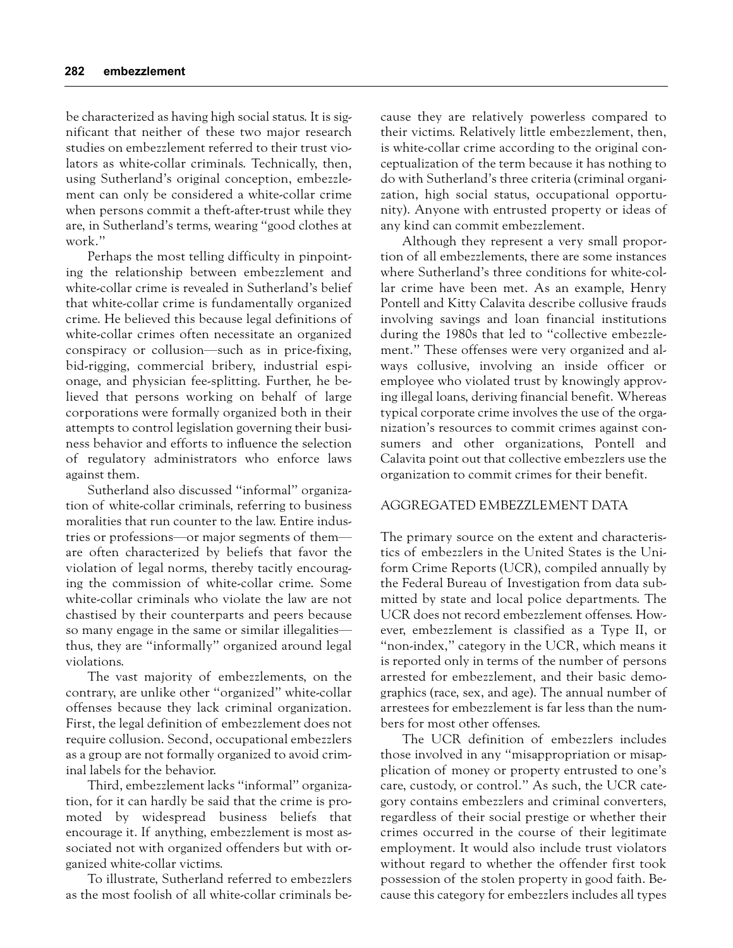be characterized as having high social status. It is significant that neither of these two major research studies on embezzlement referred to their trust violators as white-collar criminals. Technically, then, using Sutherland's original conception, embezzlement can only be considered a white-collar crime when persons commit a theft-after-trust while they are, in Sutherland's terms, wearing "good clothes at work."

Perhaps the most telling difficulty in pinpointing the relationship between embezzlement and white-collar crime is revealed in Sutherland's belief that white-collar crime is fundamentally organized crime. He believed this because legal definitions of white-collar crimes often necessitate an organized conspiracy or collusion—such as in price-fixing, bid-rigging, commercial bribery, industrial espionage, and physician fee-splitting. Further, he believed that persons working on behalf of large corporations were formally organized both in their attempts to control legislation governing their business behavior and efforts to influence the selection of regulatory administrators who enforce laws against them.

Sutherland also discussed "informal" organization of white-collar criminals, referring to business moralities that run counter to the law. Entire industries or professions—or major segments of them are often characterized by beliefs that favor the violation of legal norms, thereby tacitly encouraging the commission of white-collar crime. Some white-collar criminals who violate the law are not chastised by their counterparts and peers because so many engage in the same or similar illegalities thus, they are "informally" organized around legal violations.

The vast majority of embezzlements, on the contrary, are unlike other "organized" white-collar offenses because they lack criminal organization. First, the legal definition of embezzlement does not require collusion. Second, occupational embezzlers as a group are not formally organized to avoid criminal labels for the behavior.

Third, embezzlement lacks "informal" organization, for it can hardly be said that the crime is promoted by widespread business beliefs that encourage it. If anything, embezzlement is most associated not with organized offenders but with organized white-collar victims.

To illustrate, Sutherland referred to embezzlers as the most foolish of all white-collar criminals because they are relatively powerless compared to their victims. Relatively little embezzlement, then, is white-collar crime according to the original conceptualization of the term because it has nothing to do with Sutherland's three criteria (criminal organization, high social status, occupational opportunity). Anyone with entrusted property or ideas of any kind can commit embezzlement.

Although they represent a very small proportion of all embezzlements, there are some instances where Sutherland's three conditions for white-collar crime have been met. As an example, Henry Pontell and Kitty Calavita describe collusive frauds involving savings and loan financial institutions during the 1980s that led to "collective embezzlement." These offenses were very organized and always collusive, involving an inside officer or employee who violated trust by knowingly approving illegal loans, deriving financial benefit. Whereas typical corporate crime involves the use of the organization's resources to commit crimes against consumers and other organizations, Pontell and Calavita point out that collective embezzlers use the organization to commit crimes for their benefit.

### AGGREGATED EMBEZZLEMENT DATA

The primary source on the extent and characteristics of embezzlers in the United States is the Uniform Crime Reports (UCR), compiled annually by the Federal Bureau of Investigation from data submitted by state and local police departments. The UCR does not record embezzlement offenses. However, embezzlement is classified as a Type II, or "non-index," category in the UCR, which means it is reported only in terms of the number of persons arrested for embezzlement, and their basic demographics (race, sex, and age). The annual number of arrestees for embezzlement is far less than the numbers for most other offenses.

The UCR definition of embezzlers includes those involved in any "misappropriation or misapplication of money or property entrusted to one's care, custody, or control." As such, the UCR category contains embezzlers and criminal converters, regardless of their social prestige or whether their crimes occurred in the course of their legitimate employment. It would also include trust violators without regard to whether the offender first took possession of the stolen property in good faith. Because this category for embezzlers includes all types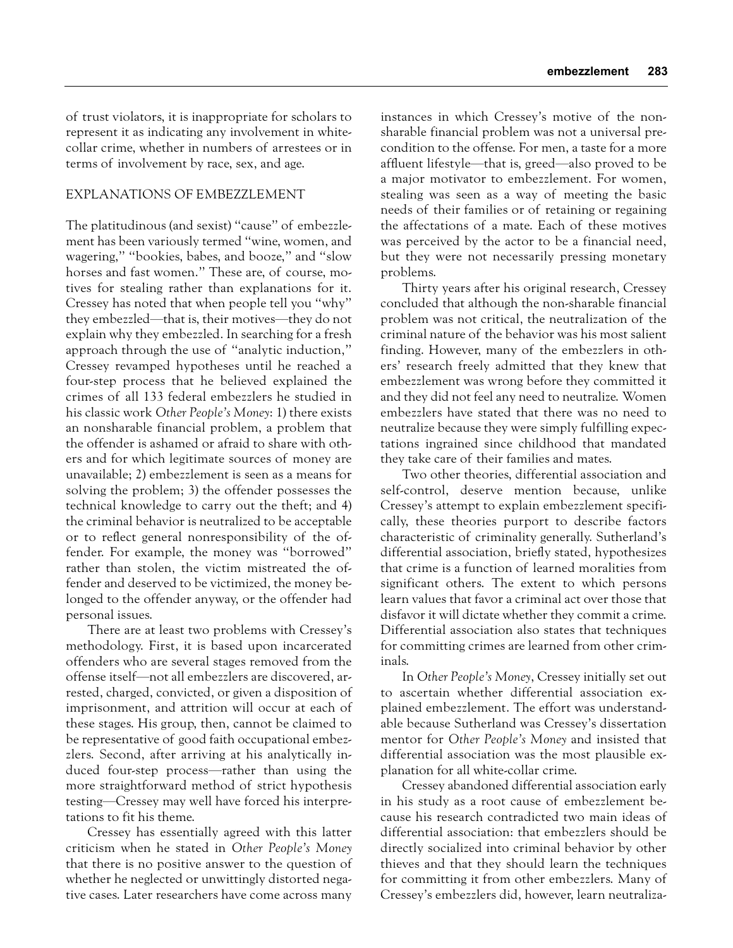of trust violators, it is inappropriate for scholars to represent it as indicating any involvement in whitecollar crime, whether in numbers of arrestees or in terms of involvement by race, sex, and age.

### EXPLANATIONS OF EMBEZZLEMENT

The platitudinous (and sexist) "cause" of embezzlement has been variously termed "wine, women, and wagering," "bookies, babes, and booze," and "slow horses and fast women." These are, of course, motives for stealing rather than explanations for it. Cressey has noted that when people tell you "why" they embezzled—that is, their motives—they do not explain why they embezzled. In searching for a fresh approach through the use of "analytic induction," Cressey revamped hypotheses until he reached a four-step process that he believed explained the crimes of all 133 federal embezzlers he studied in his classic work *Other People's Money*: 1) there exists an nonsharable financial problem, a problem that the offender is ashamed or afraid to share with others and for which legitimate sources of money are unavailable; 2) embezzlement is seen as a means for solving the problem; 3) the offender possesses the technical knowledge to carry out the theft; and 4) the criminal behavior is neutralized to be acceptable or to reflect general nonresponsibility of the offender. For example, the money was "borrowed" rather than stolen, the victim mistreated the offender and deserved to be victimized, the money belonged to the offender anyway, or the offender had personal issues.

There are at least two problems with Cressey's methodology. First, it is based upon incarcerated offenders who are several stages removed from the offense itself—not all embezzlers are discovered, arrested, charged, convicted, or given a disposition of imprisonment, and attrition will occur at each of these stages. His group, then, cannot be claimed to be representative of good faith occupational embezzlers. Second, after arriving at his analytically induced four-step process—rather than using the more straightforward method of strict hypothesis testing—Cressey may well have forced his interpretations to fit his theme.

Cressey has essentially agreed with this latter criticism when he stated in *Other People's Money* that there is no positive answer to the question of whether he neglected or unwittingly distorted negative cases. Later researchers have come across many

instances in which Cressey's motive of the nonsharable financial problem was not a universal precondition to the offense. For men, a taste for a more affluent lifestyle—that is, greed—also proved to be a major motivator to embezzlement. For women, stealing was seen as a way of meeting the basic needs of their families or of retaining or regaining the affectations of a mate. Each of these motives was perceived by the actor to be a financial need, but they were not necessarily pressing monetary problems.

Thirty years after his original research, Cressey concluded that although the non-sharable financial problem was not critical, the neutralization of the criminal nature of the behavior was his most salient finding. However, many of the embezzlers in others' research freely admitted that they knew that embezzlement was wrong before they committed it and they did not feel any need to neutralize. Women embezzlers have stated that there was no need to neutralize because they were simply fulfilling expectations ingrained since childhood that mandated they take care of their families and mates.

Two other theories, differential association and self-control, deserve mention because, unlike Cressey's attempt to explain embezzlement specifically, these theories purport to describe factors characteristic of criminality generally. Sutherland's differential association, briefly stated, hypothesizes that crime is a function of learned moralities from significant others. The extent to which persons learn values that favor a criminal act over those that disfavor it will dictate whether they commit a crime. Differential association also states that techniques for committing crimes are learned from other criminals.

In *Other People's Money*, Cressey initially set out to ascertain whether differential association explained embezzlement. The effort was understandable because Sutherland was Cressey's dissertation mentor for *Other People's Money* and insisted that differential association was the most plausible explanation for all white-collar crime.

Cressey abandoned differential association early in his study as a root cause of embezzlement because his research contradicted two main ideas of differential association: that embezzlers should be directly socialized into criminal behavior by other thieves and that they should learn the techniques for committing it from other embezzlers. Many of Cressey's embezzlers did, however, learn neutraliza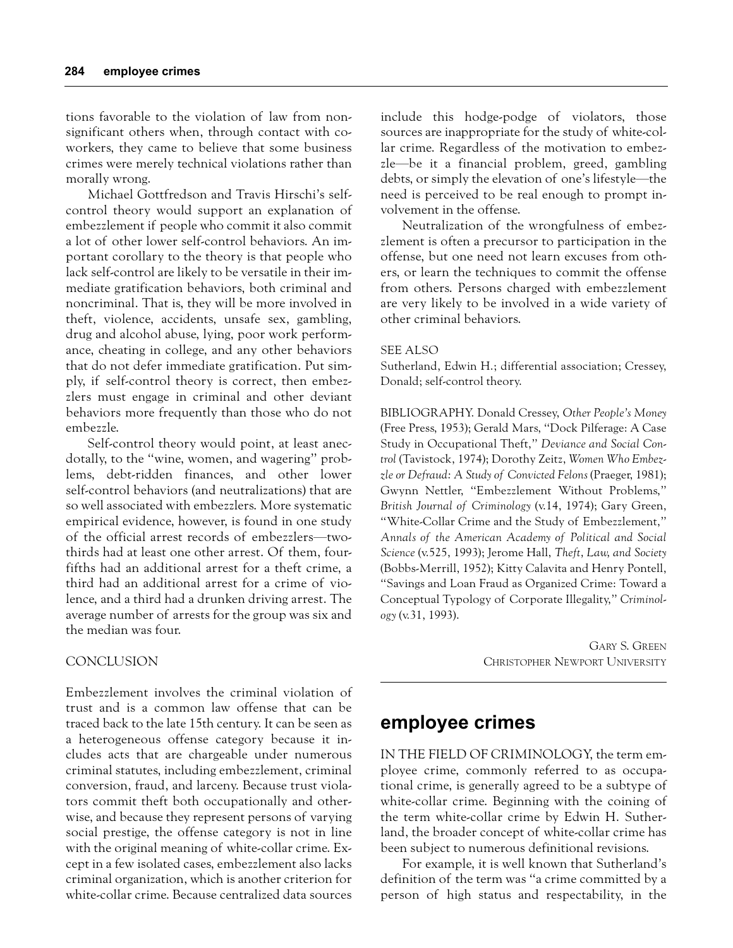tions favorable to the violation of law from nonsignificant others when, through contact with coworkers, they came to believe that some business crimes were merely technical violations rather than morally wrong.

Michael Gottfredson and Travis Hirschi's selfcontrol theory would support an explanation of embezzlement if people who commit it also commit a lot of other lower self-control behaviors. An important corollary to the theory is that people who lack self-control are likely to be versatile in their immediate gratification behaviors, both criminal and noncriminal. That is, they will be more involved in theft, violence, accidents, unsafe sex, gambling, drug and alcohol abuse, lying, poor work performance, cheating in college, and any other behaviors that do not defer immediate gratification. Put simply, if self-control theory is correct, then embezzlers must engage in criminal and other deviant behaviors more frequently than those who do not embezzle.

Self-control theory would point, at least anecdotally, to the "wine, women, and wagering" problems, debt-ridden finances, and other lower self-control behaviors (and neutralizations) that are so well associated with embezzlers. More systematic empirical evidence, however, is found in one study of the official arrest records of embezzlers—twothirds had at least one other arrest. Of them, fourfifths had an additional arrest for a theft crime, a third had an additional arrest for a crime of violence, and a third had a drunken driving arrest. The average number of arrests for the group was six and the median was four.

### **CONCLUSION**

Embezzlement involves the criminal violation of trust and is a common law offense that can be traced back to the late 15th century. It can be seen as a heterogeneous offense category because it includes acts that are chargeable under numerous criminal statutes, including embezzlement, criminal conversion, fraud, and larceny. Because trust violators commit theft both occupationally and otherwise, and because they represent persons of varying social prestige, the offense category is not in line with the original meaning of white-collar crime. Except in a few isolated cases, embezzlement also lacks criminal organization, which is another criterion for white-collar crime. Because centralized data sources

include this hodge-podge of violators, those sources are inappropriate for the study of white-collar crime. Regardless of the motivation to embezzle—be it a financial problem, greed, gambling debts, or simply the elevation of one's lifestyle—the need is perceived to be real enough to prompt involvement in the offense.

Neutralization of the wrongfulness of embezzlement is often a precursor to participation in the offense, but one need not learn excuses from others, or learn the techniques to commit the offense from others. Persons charged with embezzlement are very likely to be involved in a wide variety of other criminal behaviors.

### SEE ALSO

Sutherland, Edwin H.; differential association; Cressey, Donald; self-control theory.

BIBLIOGRAPHY. Donald Cressey, *Other People's Money* (Free Press, 1953); Gerald Mars, "Dock Pilferage: A Case Study in Occupational Theft," *Deviance and Social Control* (Tavistock, 1974); Dorothy Zeitz, *Women Who Embezzle or Defraud: A Study of Convicted Felons* (Praeger, 1981); Gwynn Nettler, "Embezzlement Without Problems," *British Journal of Criminology* (v.14, 1974); Gary Green, "White-Collar Crime and the Study of Embezzlement," *Annals of the American Academy of Political and Social Science* (v.525, 1993); Jerome Hall, *Theft, Law, and Society* (Bobbs-Merrill, 1952); Kitty Calavita and Henry Pontell, "Savings and Loan Fraud as Organized Crime: Toward a Conceptual Typology of Corporate Illegality," *Criminology* (v.31, 1993).

> GARY S. GREEN CHRISTOPHER NEWPORT UNIVERSITY

# **employee crimes**

IN THE FIELD OF CRIMINOLOGY, the term employee crime, commonly referred to as occupational crime, is generally agreed to be a subtype of white-collar crime. Beginning with the coining of the term white-collar crime by Edwin H. Sutherland, the broader concept of white-collar crime has been subject to numerous definitional revisions.

For example, it is well known that Sutherland's definition of the term was "a crime committed by a person of high status and respectability, in the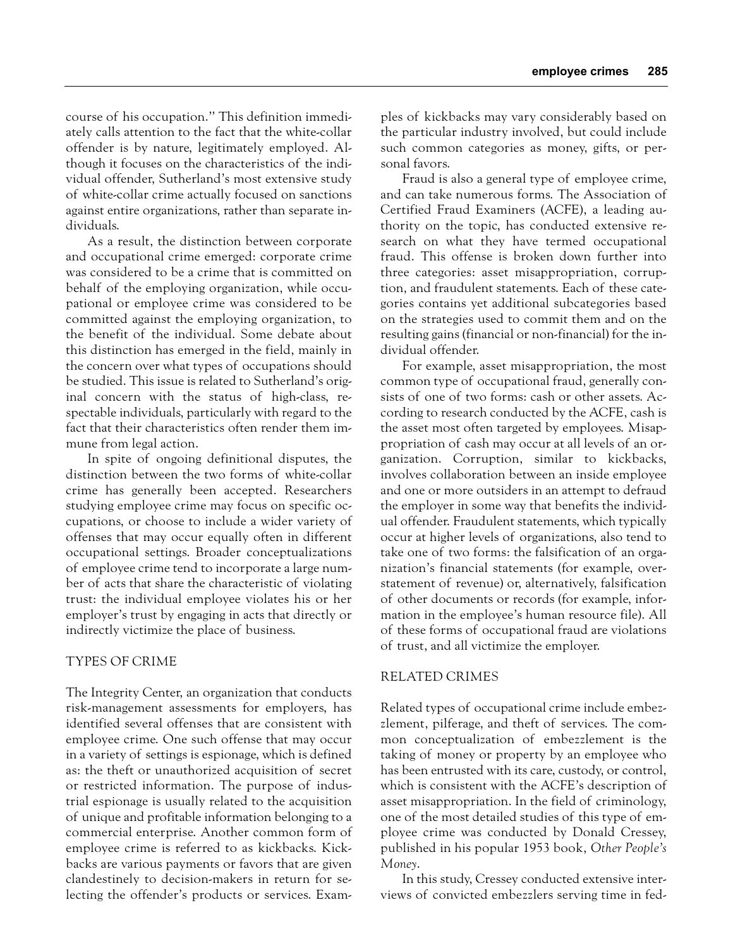course of his occupation." This definition immediately calls attention to the fact that the white-collar offender is by nature, legitimately employed. Although it focuses on the characteristics of the individual offender, Sutherland's most extensive study of white-collar crime actually focused on sanctions against entire organizations, rather than separate individuals.

As a result, the distinction between corporate and occupational crime emerged: corporate crime was considered to be a crime that is committed on behalf of the employing organization, while occupational or employee crime was considered to be committed against the employing organization, to the benefit of the individual. Some debate about this distinction has emerged in the field, mainly in the concern over what types of occupations should be studied. This issue is related to Sutherland's original concern with the status of high-class, respectable individuals, particularly with regard to the fact that their characteristics often render them immune from legal action.

In spite of ongoing definitional disputes, the distinction between the two forms of white-collar crime has generally been accepted. Researchers studying employee crime may focus on specific occupations, or choose to include a wider variety of offenses that may occur equally often in different occupational settings. Broader conceptualizations of employee crime tend to incorporate a large number of acts that share the characteristic of violating trust: the individual employee violates his or her employer's trust by engaging in acts that directly or indirectly victimize the place of business.

### TYPES OF CRIME

The Integrity Center, an organization that conducts risk-management assessments for employers, has identified several offenses that are consistent with employee crime. One such offense that may occur in a variety of settings is espionage, which is defined as: the theft or unauthorized acquisition of secret or restricted information. The purpose of industrial espionage is usually related to the acquisition of unique and profitable information belonging to a commercial enterprise. Another common form of employee crime is referred to as kickbacks. Kickbacks are various payments or favors that are given clandestinely to decision-makers in return for selecting the offender's products or services. Examples of kickbacks may vary considerably based on the particular industry involved, but could include such common categories as money, gifts, or personal favors.

Fraud is also a general type of employee crime, and can take numerous forms. The Association of Certified Fraud Examiners (ACFE), a leading authority on the topic, has conducted extensive research on what they have termed occupational fraud. This offense is broken down further into three categories: asset misappropriation, corruption, and fraudulent statements. Each of these categories contains yet additional subcategories based on the strategies used to commit them and on the resulting gains (financial or non-financial) for the individual offender.

For example, asset misappropriation, the most common type of occupational fraud, generally consists of one of two forms: cash or other assets. According to research conducted by the ACFE, cash is the asset most often targeted by employees. Misappropriation of cash may occur at all levels of an organization. Corruption, similar to kickbacks, involves collaboration between an inside employee and one or more outsiders in an attempt to defraud the employer in some way that benefits the individual offender. Fraudulent statements, which typically occur at higher levels of organizations, also tend to take one of two forms: the falsification of an organization's financial statements (for example, overstatement of revenue) or, alternatively, falsification of other documents or records (for example, information in the employee's human resource file). All of these forms of occupational fraud are violations of trust, and all victimize the employer.

### RELATED CRIMES

Related types of occupational crime include embezzlement, pilferage, and theft of services. The common conceptualization of embezzlement is the taking of money or property by an employee who has been entrusted with its care, custody, or control, which is consistent with the ACFE's description of asset misappropriation. In the field of criminology, one of the most detailed studies of this type of employee crime was conducted by Donald Cressey, published in his popular 1953 book, *Other People's Money*.

In this study, Cressey conducted extensive interviews of convicted embezzlers serving time in fed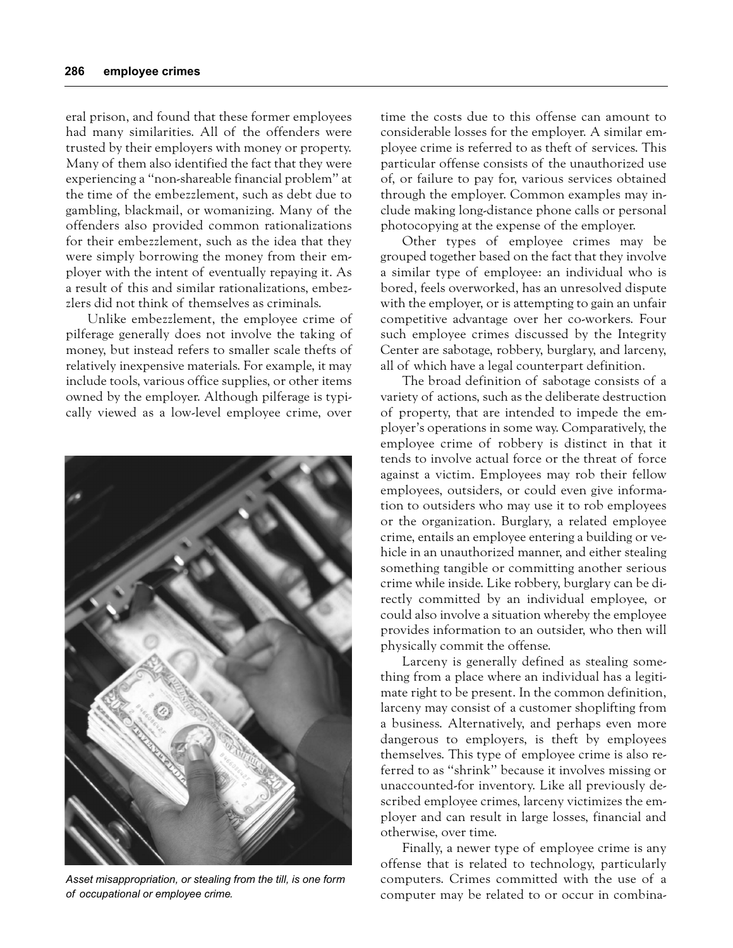eral prison, and found that these former employees had many similarities. All of the offenders were trusted by their employers with money or property. Many of them also identified the fact that they were experiencing a "non-shareable financial problem" at the time of the embezzlement, such as debt due to gambling, blackmail, or womanizing. Many of the offenders also provided common rationalizations for their embezzlement, such as the idea that they were simply borrowing the money from their employer with the intent of eventually repaying it. As a result of this and similar rationalizations, embezzlers did not think of themselves as criminals.

Unlike embezzlement, the employee crime of pilferage generally does not involve the taking of money, but instead refers to smaller scale thefts of relatively inexpensive materials. For example, it may include tools, various office supplies, or other items owned by the employer. Although pilferage is typically viewed as a low-level employee crime, over



*Asset misappropriation, or stealing from the till, is one form of occupational or employee crime.*

time the costs due to this offense can amount to considerable losses for the employer. A similar employee crime is referred to as theft of services. This particular offense consists of the unauthorized use of, or failure to pay for, various services obtained through the employer. Common examples may include making long-distance phone calls or personal photocopying at the expense of the employer.

Other types of employee crimes may be grouped together based on the fact that they involve a similar type of employee: an individual who is bored, feels overworked, has an unresolved dispute with the employer, or is attempting to gain an unfair competitive advantage over her co-workers. Four such employee crimes discussed by the Integrity Center are sabotage, robbery, burglary, and larceny, all of which have a legal counterpart definition.

The broad definition of sabotage consists of a variety of actions, such as the deliberate destruction of property, that are intended to impede the employer's operations in some way. Comparatively, the employee crime of robbery is distinct in that it tends to involve actual force or the threat of force against a victim. Employees may rob their fellow employees, outsiders, or could even give information to outsiders who may use it to rob employees or the organization. Burglary, a related employee crime, entails an employee entering a building or vehicle in an unauthorized manner, and either stealing something tangible or committing another serious crime while inside. Like robbery, burglary can be directly committed by an individual employee, or could also involve a situation whereby the employee provides information to an outsider, who then will physically commit the offense.

Larceny is generally defined as stealing something from a place where an individual has a legitimate right to be present. In the common definition, larceny may consist of a customer shoplifting from a business. Alternatively, and perhaps even more dangerous to employers, is theft by employees themselves. This type of employee crime is also referred to as "shrink" because it involves missing or unaccounted-for inventory. Like all previously described employee crimes, larceny victimizes the employer and can result in large losses, financial and otherwise, over time.

Finally, a newer type of employee crime is any offense that is related to technology, particularly computers. Crimes committed with the use of a computer may be related to or occur in combina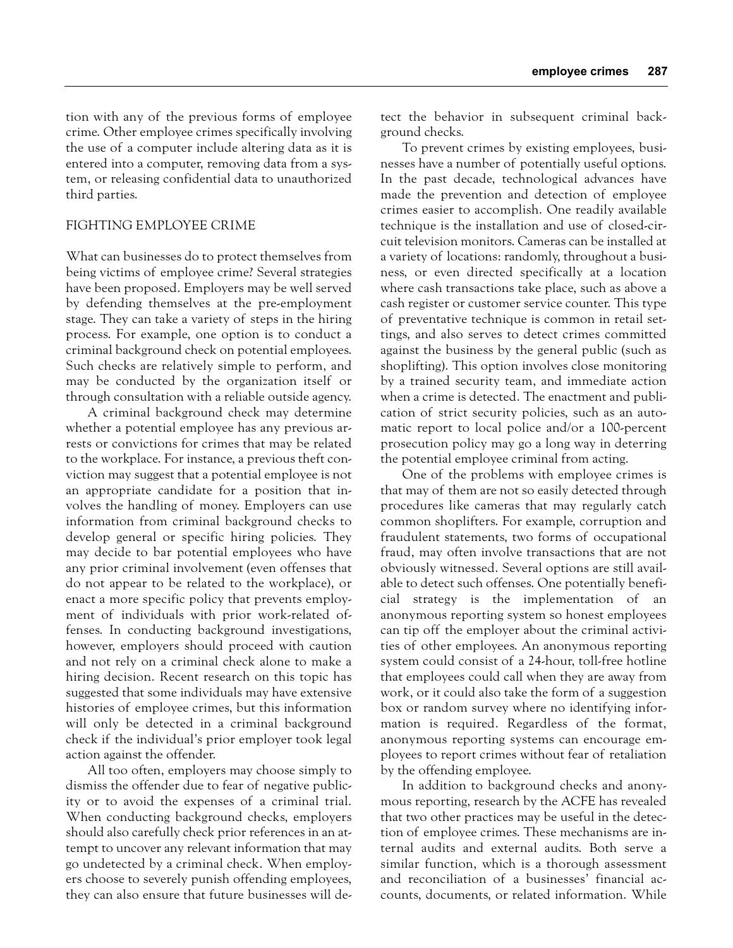tion with any of the previous forms of employee crime. Other employee crimes specifically involving the use of a computer include altering data as it is entered into a computer, removing data from a system, or releasing confidential data to unauthorized third parties.

### FIGHTING EMPLOYEE CRIME

What can businesses do to protect themselves from being victims of employee crime? Several strategies have been proposed. Employers may be well served by defending themselves at the pre-employment stage. They can take a variety of steps in the hiring process. For example, one option is to conduct a criminal background check on potential employees. Such checks are relatively simple to perform, and may be conducted by the organization itself or through consultation with a reliable outside agency.

A criminal background check may determine whether a potential employee has any previous arrests or convictions for crimes that may be related to the workplace. For instance, a previous theft conviction may suggest that a potential employee is not an appropriate candidate for a position that involves the handling of money. Employers can use information from criminal background checks to develop general or specific hiring policies. They may decide to bar potential employees who have any prior criminal involvement (even offenses that do not appear to be related to the workplace), or enact a more specific policy that prevents employment of individuals with prior work-related offenses. In conducting background investigations, however, employers should proceed with caution and not rely on a criminal check alone to make a hiring decision. Recent research on this topic has suggested that some individuals may have extensive histories of employee crimes, but this information will only be detected in a criminal background check if the individual's prior employer took legal action against the offender.

All too often, employers may choose simply to dismiss the offender due to fear of negative publicity or to avoid the expenses of a criminal trial. When conducting background checks, employers should also carefully check prior references in an attempt to uncover any relevant information that may go undetected by a criminal check. When employers choose to severely punish offending employees, they can also ensure that future businesses will detect the behavior in subsequent criminal background checks.

To prevent crimes by existing employees, businesses have a number of potentially useful options. In the past decade, technological advances have made the prevention and detection of employee crimes easier to accomplish. One readily available technique is the installation and use of closed-circuit television monitors. Cameras can be installed at a variety of locations: randomly, throughout a business, or even directed specifically at a location where cash transactions take place, such as above a cash register or customer service counter. This type of preventative technique is common in retail settings, and also serves to detect crimes committed against the business by the general public (such as shoplifting). This option involves close monitoring by a trained security team, and immediate action when a crime is detected. The enactment and publication of strict security policies, such as an automatic report to local police and/or a 100-percent prosecution policy may go a long way in deterring the potential employee criminal from acting.

One of the problems with employee crimes is that may of them are not so easily detected through procedures like cameras that may regularly catch common shoplifters. For example, corruption and fraudulent statements, two forms of occupational fraud, may often involve transactions that are not obviously witnessed. Several options are still available to detect such offenses. One potentially beneficial strategy is the implementation of an anonymous reporting system so honest employees can tip off the employer about the criminal activities of other employees. An anonymous reporting system could consist of a 24-hour, toll-free hotline that employees could call when they are away from work, or it could also take the form of a suggestion box or random survey where no identifying information is required. Regardless of the format, anonymous reporting systems can encourage employees to report crimes without fear of retaliation by the offending employee.

In addition to background checks and anonymous reporting, research by the ACFE has revealed that two other practices may be useful in the detection of employee crimes. These mechanisms are internal audits and external audits. Both serve a similar function, which is a thorough assessment and reconciliation of a businesses' financial accounts, documents, or related information. While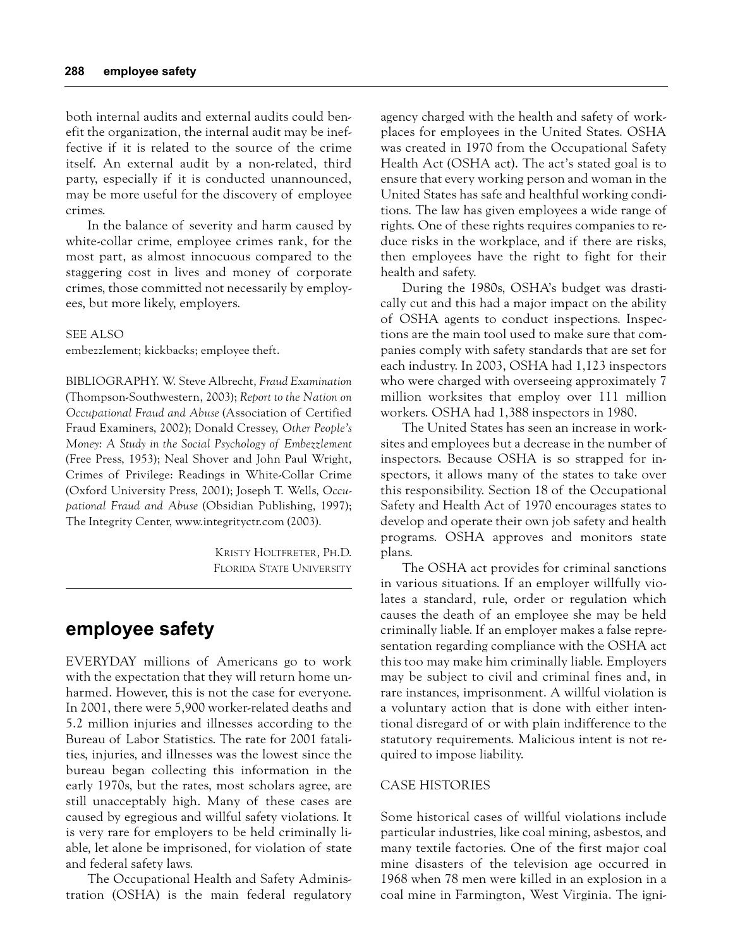both internal audits and external audits could benefit the organization, the internal audit may be ineffective if it is related to the source of the crime itself. An external audit by a non-related, third party, especially if it is conducted unannounced, may be more useful for the discovery of employee crimes.

In the balance of severity and harm caused by white-collar crime, employee crimes rank, for the most part, as almost innocuous compared to the staggering cost in lives and money of corporate crimes, those committed not necessarily by employees, but more likely, employers.

### SEE ALSO

embezzlement; kickbacks; employee theft.

BIBLIOGRAPHY. W. Steve Albrecht, *Fraud Examination* (Thompson-Southwestern, 2003); *Report to the Nation on Occupational Fraud and Abuse* (Association of Certified Fraud Examiners, 2002); Donald Cressey, *Other People's Money: A Study in the Social Psychology of Embezzlement* (Free Press, 1953); Neal Shover and John Paul Wright, Crimes of Privilege: Readings in White-Collar Crime (Oxford University Press, 2001); Joseph T. Wells, *Occupational Fraud and Abuse* (Obsidian Publishing, 1997); The Integrity Center, www.integrityctr.com (2003).

> KRISTY HOLTFRETER, PH.D. FLORIDA STATE UNIVERSITY

# **employee safety**

EVERYDAY millions of Americans go to work with the expectation that they will return home unharmed. However, this is not the case for everyone. In 2001, there were 5,900 worker-related deaths and 5.2 million injuries and illnesses according to the Bureau of Labor Statistics. The rate for 2001 fatalities, injuries, and illnesses was the lowest since the bureau began collecting this information in the early 1970s, but the rates, most scholars agree, are still unacceptably high. Many of these cases are caused by egregious and willful safety violations. It is very rare for employers to be held criminally liable, let alone be imprisoned, for violation of state and federal safety laws.

The Occupational Health and Safety Administration (OSHA) is the main federal regulatory

agency charged with the health and safety of workplaces for employees in the United States. OSHA was created in 1970 from the Occupational Safety Health Act (OSHA act). The act's stated goal is to ensure that every working person and woman in the United States has safe and healthful working conditions. The law has given employees a wide range of rights. One of these rights requires companies to reduce risks in the workplace, and if there are risks, then employees have the right to fight for their health and safety.

During the 1980s, OSHA's budget was drastically cut and this had a major impact on the ability of OSHA agents to conduct inspections. Inspections are the main tool used to make sure that companies comply with safety standards that are set for each industry. In 2003, OSHA had 1,123 inspectors who were charged with overseeing approximately 7 million worksites that employ over 111 million workers. OSHA had 1,388 inspectors in 1980.

The United States has seen an increase in worksites and employees but a decrease in the number of inspectors. Because OSHA is so strapped for inspectors, it allows many of the states to take over this responsibility. Section 18 of the Occupational Safety and Health Act of 1970 encourages states to develop and operate their own job safety and health programs. OSHA approves and monitors state plans.

The OSHA act provides for criminal sanctions in various situations. If an employer willfully violates a standard, rule, order or regulation which causes the death of an employee she may be held criminally liable. If an employer makes a false representation regarding compliance with the OSHA act this too may make him criminally liable. Employers may be subject to civil and criminal fines and, in rare instances, imprisonment. A willful violation is a voluntary action that is done with either intentional disregard of or with plain indifference to the statutory requirements. Malicious intent is not required to impose liability.

### CASE HISTORIES

Some historical cases of willful violations include particular industries, like coal mining, asbestos, and many textile factories. One of the first major coal mine disasters of the television age occurred in 1968 when 78 men were killed in an explosion in a coal mine in Farmington, West Virginia. The igni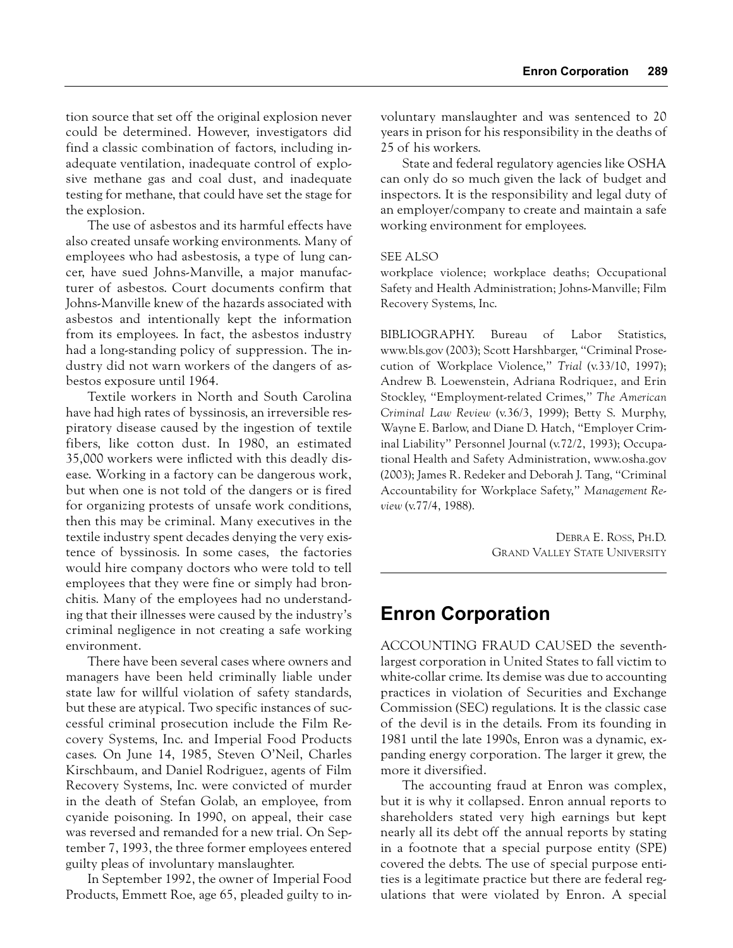tion source that set off the original explosion never could be determined. However, investigators did find a classic combination of factors, including inadequate ventilation, inadequate control of explosive methane gas and coal dust, and inadequate testing for methane, that could have set the stage for the explosion.

The use of asbestos and its harmful effects have also created unsafe working environments. Many of employees who had asbestosis, a type of lung cancer, have sued Johns-Manville, a major manufacturer of asbestos. Court documents confirm that Johns-Manville knew of the hazards associated with asbestos and intentionally kept the information from its employees. In fact, the asbestos industry had a long-standing policy of suppression. The industry did not warn workers of the dangers of asbestos exposure until 1964.

Textile workers in North and South Carolina have had high rates of byssinosis, an irreversible respiratory disease caused by the ingestion of textile fibers, like cotton dust. In 1980, an estimated 35,000 workers were inflicted with this deadly disease. Working in a factory can be dangerous work, but when one is not told of the dangers or is fired for organizing protests of unsafe work conditions, then this may be criminal. Many executives in the textile industry spent decades denying the very existence of byssinosis. In some cases, the factories would hire company doctors who were told to tell employees that they were fine or simply had bronchitis. Many of the employees had no understanding that their illnesses were caused by the industry's criminal negligence in not creating a safe working environment.

There have been several cases where owners and managers have been held criminally liable under state law for willful violation of safety standards, but these are atypical. Two specific instances of successful criminal prosecution include the Film Recovery Systems, Inc. and Imperial Food Products cases. On June 14, 1985, Steven O'Neil, Charles Kirschbaum, and Daniel Rodriguez, agents of Film Recovery Systems, Inc. were convicted of murder in the death of Stefan Golab, an employee, from cyanide poisoning. In 1990, on appeal, their case was reversed and remanded for a new trial. On September 7, 1993, the three former employees entered guilty pleas of involuntary manslaughter.

In September 1992, the owner of Imperial Food Products, Emmett Roe, age 65, pleaded guilty to involuntary manslaughter and was sentenced to 20 years in prison for his responsibility in the deaths of 25 of his workers.

State and federal regulatory agencies like OSHA can only do so much given the lack of budget and inspectors. It is the responsibility and legal duty of an employer/company to create and maintain a safe working environment for employees.

### SEE ALSO

workplace violence; workplace deaths; Occupational Safety and Health Administration; Johns-Manville; Film Recovery Systems, Inc.

BIBLIOGRAPHY. Bureau of Labor Statistics, www.bls.gov (2003); Scott Harshbarger, "Criminal Prosecution of Workplace Violence," *Trial* (v.33/10, 1997); Andrew B. Loewenstein, Adriana Rodriquez, and Erin Stockley, "Employment-related Crimes," *The American Criminal Law Review* (v.36/3, 1999); Betty S. Murphy, Wayne E. Barlow, and Diane D. Hatch, "Employer Criminal Liability" Personnel Journal (v.72/2, 1993); Occupational Health and Safety Administration, www.osha.gov (2003); James R. Redeker and Deborah J. Tang, "Criminal Accountability for Workplace Safety," *Management Review* (v.77/4, 1988).

> DEBRA E. ROSS, PH.D. GRAND VALLEY STATE UNIVERSITY

# **Enron Corporation**

ACCOUNTING FRAUD CAUSED the seventhlargest corporation in United States to fall victim to white-collar crime. Its demise was due to accounting practices in violation of Securities and Exchange Commission (SEC) regulations. It is the classic case of the devil is in the details. From its founding in 1981 until the late 1990s, Enron was a dynamic, expanding energy corporation. The larger it grew, the more it diversified.

The accounting fraud at Enron was complex, but it is why it collapsed. Enron annual reports to shareholders stated very high earnings but kept nearly all its debt off the annual reports by stating in a footnote that a special purpose entity (SPE) covered the debts. The use of special purpose entities is a legitimate practice but there are federal regulations that were violated by Enron. A special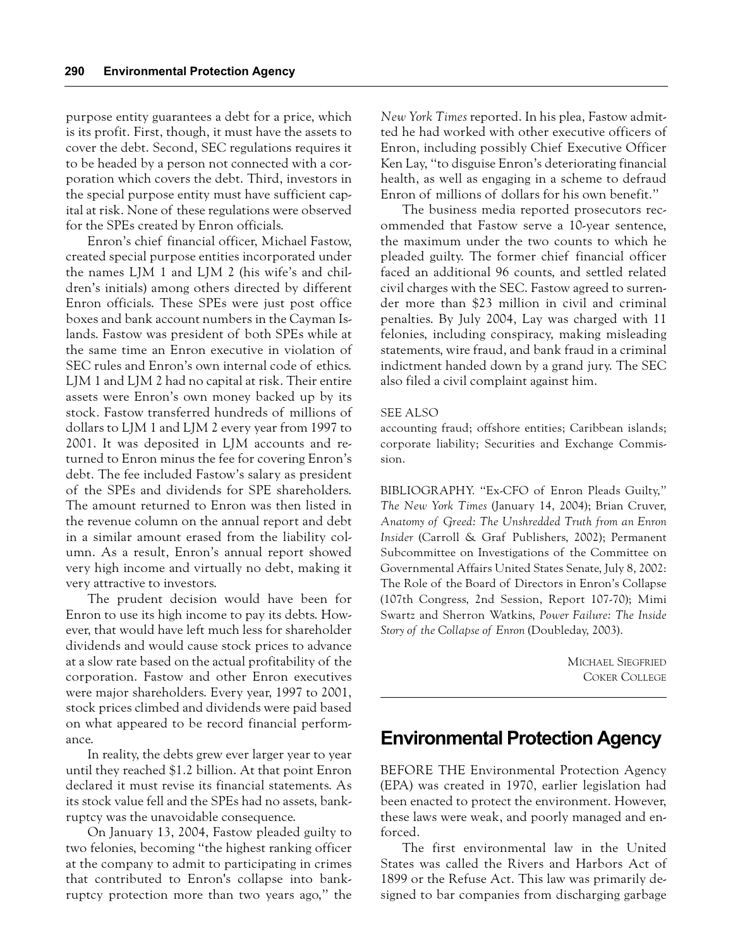purpose entity guarantees a debt for a price, which is its profit. First, though, it must have the assets to cover the debt. Second, SEC regulations requires it to be headed by a person not connected with a corporation which covers the debt. Third, investors in the special purpose entity must have sufficient capital at risk. None of these regulations were observed for the SPEs created by Enron officials.

Enron's chief financial officer, Michael Fastow, created special purpose entities incorporated under the names LJM 1 and LJM 2 (his wife's and children's initials) among others directed by different Enron officials. These SPEs were just post office boxes and bank account numbers in the Cayman Islands. Fastow was president of both SPEs while at the same time an Enron executive in violation of SEC rules and Enron's own internal code of ethics. LJM 1 and LJM 2 had no capital at risk. Their entire assets were Enron's own money backed up by its stock. Fastow transferred hundreds of millions of dollars to LJM 1 and LJM 2 every year from 1997 to 2001. It was deposited in LJM accounts and returned to Enron minus the fee for covering Enron's debt. The fee included Fastow's salary as president of the SPEs and dividends for SPE shareholders. The amount returned to Enron was then listed in the revenue column on the annual report and debt in a similar amount erased from the liability column. As a result, Enron's annual report showed very high income and virtually no debt, making it very attractive to investors.

The prudent decision would have been for Enron to use its high income to pay its debts. However, that would have left much less for shareholder dividends and would cause stock prices to advance at a slow rate based on the actual profitability of the corporation. Fastow and other Enron executives were major shareholders. Every year, 1997 to 2001, stock prices climbed and dividends were paid based on what appeared to be record financial performance.

In reality, the debts grew ever larger year to year until they reached \$1.2 billion. At that point Enron declared it must revise its financial statements. As its stock value fell and the SPEs had no assets, bankruptcy was the unavoidable consequence.

On January 13, 2004, Fastow pleaded guilty to two felonies, becoming "the highest ranking officer at the company to admit to participating in crimes that contributed to Enron's collapse into bankruptcy protection more than two years ago," the *New York Times* reported. In his plea, Fastow admitted he had worked with other executive officers of Enron, including possibly Chief Executive Officer Ken Lay, "to disguise Enron's deteriorating financial health, as well as engaging in a scheme to defraud Enron of millions of dollars for his own benefit."

The business media reported prosecutors recommended that Fastow serve a 10-year sentence, the maximum under the two counts to which he pleaded guilty. The former chief financial officer faced an additional 96 counts, and settled related civil charges with the SEC. Fastow agreed to surrender more than \$23 million in civil and criminal penalties. By July 2004, Lay was charged with 11 felonies, including conspiracy, making misleading statements, wire fraud, and bank fraud in a criminal indictment handed down by a grand jury. The SEC also filed a civil complaint against him.

### SEE ALSO

accounting fraud; offshore entities; Caribbean islands; corporate liability; Securities and Exchange Commission.

BIBLIOGRAPHY. "Ex-CFO of Enron Pleads Guilty," *The New York Times* (January 14, 2004); Brian Cruver, *Anatomy of Greed: The Unshredded Truth from an Enron Insider* (Carroll & Graf Publishers, 2002); Permanent Subcommittee on Investigations of the Committee on Governmental Affairs United States Senate, July 8, 2002: The Role of the Board of Directors in Enron's Collapse (107th Congress, 2nd Session, Report 107-70); Mimi Swartz and Sherron Watkins, *Power Failure: The Inside Story of the Collapse of Enron* (Doubleday, 2003).

> MICHAEL SIEGFRIED COKER COLLEGE

# **Environmental Protection Agency**

BEFORE THE Environmental Protection Agency (EPA) was created in 1970, earlier legislation had been enacted to protect the environment. However, these laws were weak, and poorly managed and enforced.

The first environmental law in the United States was called the Rivers and Harbors Act of 1899 or the Refuse Act. This law was primarily designed to bar companies from discharging garbage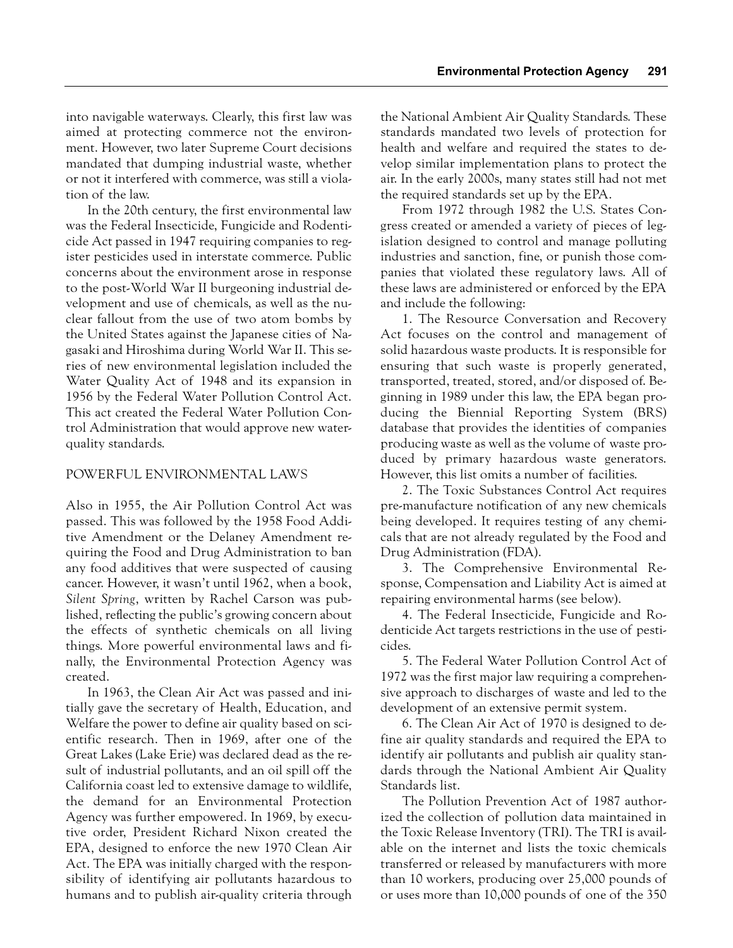into navigable waterways. Clearly, this first law was aimed at protecting commerce not the environment. However, two later Supreme Court decisions mandated that dumping industrial waste, whether or not it interfered with commerce, was still a violation of the law.

In the 20th century, the first environmental law was the Federal Insecticide, Fungicide and Rodenticide Act passed in 1947 requiring companies to register pesticides used in interstate commerce. Public concerns about the environment arose in response to the post-World War II burgeoning industrial development and use of chemicals, as well as the nuclear fallout from the use of two atom bombs by the United States against the Japanese cities of Nagasaki and Hiroshima during World War II. This series of new environmental legislation included the Water Quality Act of 1948 and its expansion in 1956 by the Federal Water Pollution Control Act. This act created the Federal Water Pollution Control Administration that would approve new waterquality standards.

### POWERFUL ENVIRONMENTAL LAWS

Also in 1955, the Air Pollution Control Act was passed. This was followed by the 1958 Food Additive Amendment or the Delaney Amendment requiring the Food and Drug Administration to ban any food additives that were suspected of causing cancer. However, it wasn't until 1962, when a book, *Silent Spring*, written by Rachel Carson was published, reflecting the public's growing concern about the effects of synthetic chemicals on all living things. More powerful environmental laws and finally, the Environmental Protection Agency was created.

In 1963, the Clean Air Act was passed and initially gave the secretary of Health, Education, and Welfare the power to define air quality based on scientific research. Then in 1969, after one of the Great Lakes (Lake Erie) was declared dead as the result of industrial pollutants, and an oil spill off the California coast led to extensive damage to wildlife, the demand for an Environmental Protection Agency was further empowered. In 1969, by executive order, President Richard Nixon created the EPA, designed to enforce the new 1970 Clean Air Act. The EPA was initially charged with the responsibility of identifying air pollutants hazardous to humans and to publish air-quality criteria through the National Ambient Air Quality Standards. These standards mandated two levels of protection for health and welfare and required the states to develop similar implementation plans to protect the air. In the early 2000s, many states still had not met the required standards set up by the EPA.

From 1972 through 1982 the U.S. States Congress created or amended a variety of pieces of legislation designed to control and manage polluting industries and sanction, fine, or punish those companies that violated these regulatory laws. All of these laws are administered or enforced by the EPA and include the following:

1. The Resource Conversation and Recovery Act focuses on the control and management of solid hazardous waste products. It is responsible for ensuring that such waste is properly generated, transported, treated, stored, and/or disposed of. Beginning in 1989 under this law, the EPA began producing the Biennial Reporting System (BRS) database that provides the identities of companies producing waste as well as the volume of waste produced by primary hazardous waste generators. However, this list omits a number of facilities.

2. The Toxic Substances Control Act requires pre-manufacture notification of any new chemicals being developed. It requires testing of any chemicals that are not already regulated by the Food and Drug Administration (FDA).

3. The Comprehensive Environmental Response, Compensation and Liability Act is aimed at repairing environmental harms (see below).

4. The Federal Insecticide, Fungicide and Rodenticide Act targets restrictions in the use of pesticides.

5. The Federal Water Pollution Control Act of 1972 was the first major law requiring a comprehensive approach to discharges of waste and led to the development of an extensive permit system.

6. The Clean Air Act of 1970 is designed to define air quality standards and required the EPA to identify air pollutants and publish air quality standards through the National Ambient Air Quality Standards list.

The Pollution Prevention Act of 1987 authorized the collection of pollution data maintained in the Toxic Release Inventory (TRI). The TRI is available on the internet and lists the toxic chemicals transferred or released by manufacturers with more than 10 workers, producing over 25,000 pounds of or uses more than 10,000 pounds of one of the 350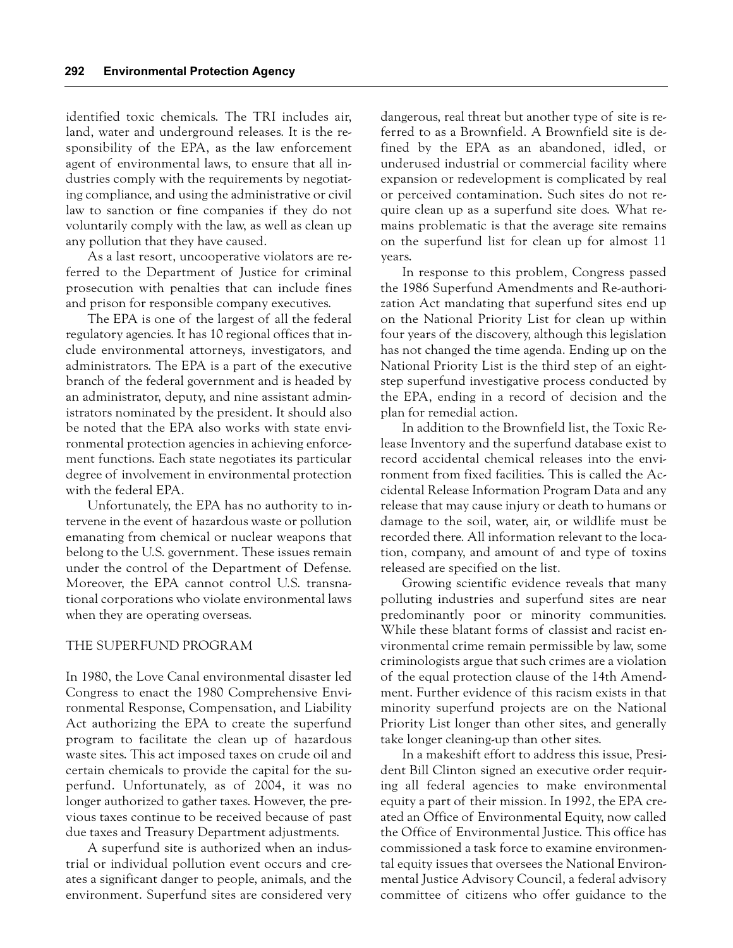identified toxic chemicals. The TRI includes air, land, water and underground releases. It is the responsibility of the EPA, as the law enforcement agent of environmental laws, to ensure that all industries comply with the requirements by negotiating compliance, and using the administrative or civil law to sanction or fine companies if they do not voluntarily comply with the law, as well as clean up any pollution that they have caused.

As a last resort, uncooperative violators are referred to the Department of Justice for criminal prosecution with penalties that can include fines and prison for responsible company executives.

The EPA is one of the largest of all the federal regulatory agencies. It has 10 regional offices that include environmental attorneys, investigators, and administrators. The EPA is a part of the executive branch of the federal government and is headed by an administrator, deputy, and nine assistant administrators nominated by the president. It should also be noted that the EPA also works with state environmental protection agencies in achieving enforcement functions. Each state negotiates its particular degree of involvement in environmental protection with the federal EPA.

Unfortunately, the EPA has no authority to intervene in the event of hazardous waste or pollution emanating from chemical or nuclear weapons that belong to the U.S. government. These issues remain under the control of the Department of Defense. Moreover, the EPA cannot control U.S. transnational corporations who violate environmental laws when they are operating overseas.

### THE SUPERFUND PROGRAM

In 1980, the Love Canal environmental disaster led Congress to enact the 1980 Comprehensive Environmental Response, Compensation, and Liability Act authorizing the EPA to create the superfund program to facilitate the clean up of hazardous waste sites. This act imposed taxes on crude oil and certain chemicals to provide the capital for the superfund. Unfortunately, as of 2004, it was no longer authorized to gather taxes. However, the previous taxes continue to be received because of past due taxes and Treasury Department adjustments.

A superfund site is authorized when an industrial or individual pollution event occurs and creates a significant danger to people, animals, and the environment. Superfund sites are considered very dangerous, real threat but another type of site is referred to as a Brownfield. A Brownfield site is defined by the EPA as an abandoned, idled, or underused industrial or commercial facility where expansion or redevelopment is complicated by real or perceived contamination. Such sites do not require clean up as a superfund site does. What remains problematic is that the average site remains on the superfund list for clean up for almost 11 years.

In response to this problem, Congress passed the 1986 Superfund Amendments and Re-authorization Act mandating that superfund sites end up on the National Priority List for clean up within four years of the discovery, although this legislation has not changed the time agenda. Ending up on the National Priority List is the third step of an eightstep superfund investigative process conducted by the EPA, ending in a record of decision and the plan for remedial action.

In addition to the Brownfield list, the Toxic Release Inventory and the superfund database exist to record accidental chemical releases into the environment from fixed facilities. This is called the Accidental Release Information Program Data and any release that may cause injury or death to humans or damage to the soil, water, air, or wildlife must be recorded there. All information relevant to the location, company, and amount of and type of toxins released are specified on the list.

Growing scientific evidence reveals that many polluting industries and superfund sites are near predominantly poor or minority communities. While these blatant forms of classist and racist environmental crime remain permissible by law, some criminologists argue that such crimes are a violation of the equal protection clause of the 14th Amendment. Further evidence of this racism exists in that minority superfund projects are on the National Priority List longer than other sites, and generally take longer cleaning-up than other sites.

In a makeshift effort to address this issue, President Bill Clinton signed an executive order requiring all federal agencies to make environmental equity a part of their mission. In 1992, the EPA created an Office of Environmental Equity, now called the Office of Environmental Justice. This office has commissioned a task force to examine environmental equity issues that oversees the National Environmental Justice Advisory Council, a federal advisory committee of citizens who offer guidance to the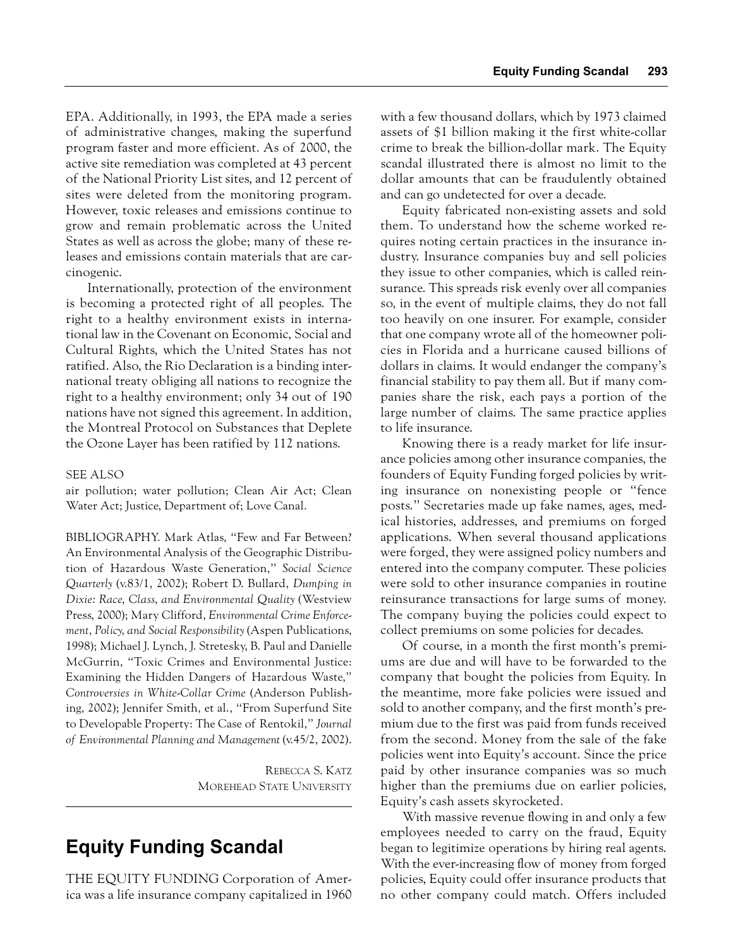EPA. Additionally, in 1993, the EPA made a series of administrative changes, making the superfund program faster and more efficient. As of 2000, the active site remediation was completed at 43 percent of the National Priority List sites, and 12 percent of sites were deleted from the monitoring program. However, toxic releases and emissions continue to grow and remain problematic across the United States as well as across the globe; many of these releases and emissions contain materials that are carcinogenic.

Internationally, protection of the environment is becoming a protected right of all peoples. The right to a healthy environment exists in international law in the Covenant on Economic, Social and Cultural Rights, which the United States has not ratified. Also, the Rio Declaration is a binding international treaty obliging all nations to recognize the right to a healthy environment; only 34 out of 190 nations have not signed this agreement. In addition, the Montreal Protocol on Substances that Deplete the Ozone Layer has been ratified by 112 nations.

### SEE ALSO

air pollution; water pollution; Clean Air Act; Clean Water Act; Justice, Department of; Love Canal.

BIBLIOGRAPHY. Mark Atlas, "Few and Far Between? An Environmental Analysis of the Geographic Distribution of Hazardous Waste Generation," *Social Science Quarterly* (v.83/1, 2002); Robert D. Bullard, *Dumping in Dixie: Race, Class, and Environmental Quality* (Westview Press, 2000); Mary Clifford, *Environmental Crime Enforcement, Policy, and Social Responsibility* (Aspen Publications, 1998); Michael J. Lynch, J. Stretesky, B. Paul and Danielle McGurrin, "Toxic Crimes and Environmental Justice: Examining the Hidden Dangers of Hazardous Waste," *Controversies in White-Collar Crime* (Anderson Publishing, 2002); Jennifer Smith, et al., "From Superfund Site to Developable Property: The Case of Rentokil," *Journal of Environmental Planning and Management* (v.45/2, 2002).

> REBECCA S. KATZ MOREHEAD STATE UNIVERSITY

# **Equity Funding Scandal**

THE EQUITY FUNDING Corporation of America was a life insurance company capitalized in 1960 with a few thousand dollars, which by 1973 claimed assets of \$1 billion making it the first white-collar crime to break the billion-dollar mark. The Equity scandal illustrated there is almost no limit to the dollar amounts that can be fraudulently obtained and can go undetected for over a decade.

Equity fabricated non-existing assets and sold them. To understand how the scheme worked requires noting certain practices in the insurance industry. Insurance companies buy and sell policies they issue to other companies, which is called reinsurance. This spreads risk evenly over all companies so, in the event of multiple claims, they do not fall too heavily on one insurer. For example, consider that one company wrote all of the homeowner policies in Florida and a hurricane caused billions of dollars in claims. It would endanger the company's financial stability to pay them all. But if many companies share the risk, each pays a portion of the large number of claims. The same practice applies to life insurance.

Knowing there is a ready market for life insurance policies among other insurance companies, the founders of Equity Funding forged policies by writing insurance on nonexisting people or "fence posts." Secretaries made up fake names, ages, medical histories, addresses, and premiums on forged applications. When several thousand applications were forged, they were assigned policy numbers and entered into the company computer. These policies were sold to other insurance companies in routine reinsurance transactions for large sums of money. The company buying the policies could expect to collect premiums on some policies for decades.

Of course, in a month the first month's premiums are due and will have to be forwarded to the company that bought the policies from Equity. In the meantime, more fake policies were issued and sold to another company, and the first month's premium due to the first was paid from funds received from the second. Money from the sale of the fake policies went into Equity's account. Since the price paid by other insurance companies was so much higher than the premiums due on earlier policies, Equity's cash assets skyrocketed.

With massive revenue flowing in and only a few employees needed to carry on the fraud, Equity began to legitimize operations by hiring real agents. With the ever-increasing flow of money from forged policies, Equity could offer insurance products that no other company could match. Offers included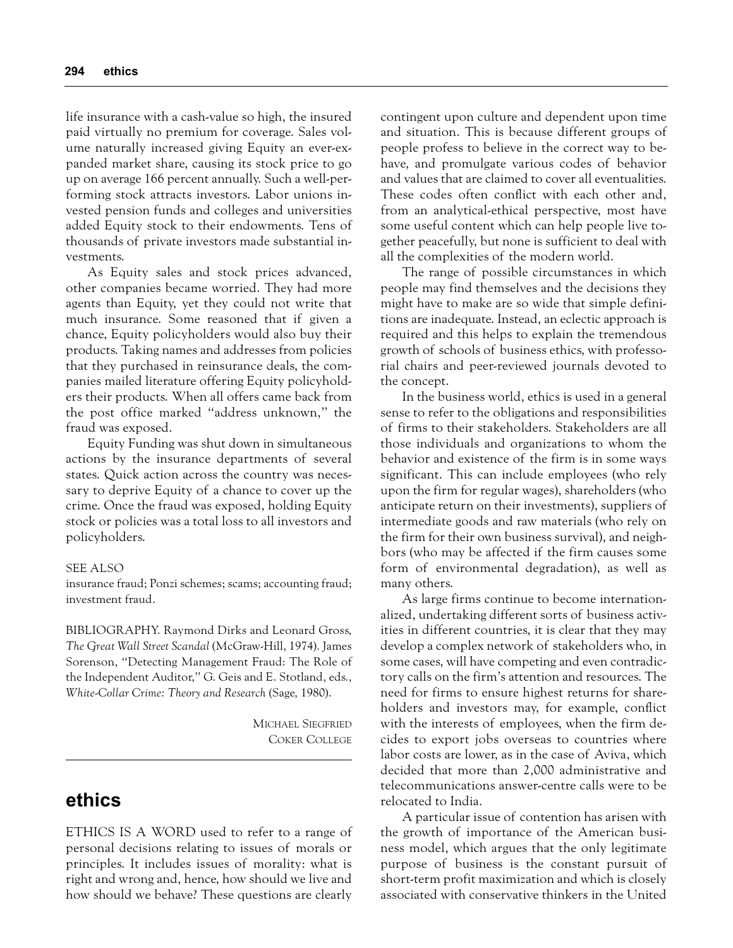life insurance with a cash-value so high, the insured paid virtually no premium for coverage. Sales volume naturally increased giving Equity an ever-expanded market share, causing its stock price to go up on average 166 percent annually. Such a well-performing stock attracts investors. Labor unions invested pension funds and colleges and universities added Equity stock to their endowments. Tens of thousands of private investors made substantial investments.

As Equity sales and stock prices advanced, other companies became worried. They had more agents than Equity, yet they could not write that much insurance. Some reasoned that if given a chance, Equity policyholders would also buy their products. Taking names and addresses from policies that they purchased in reinsurance deals, the companies mailed literature offering Equity policyholders their products. When all offers came back from the post office marked "address unknown," the fraud was exposed.

Equity Funding was shut down in simultaneous actions by the insurance departments of several states. Quick action across the country was necessary to deprive Equity of a chance to cover up the crime. Once the fraud was exposed, holding Equity stock or policies was a total loss to all investors and policyholders.

### SEE ALSO

insurance fraud; Ponzi schemes; scams; accounting fraud; investment fraud.

BIBLIOGRAPHY. Raymond Dirks and Leonard Gross, *The Great Wall Street Scandal* (McGraw-Hill, 1974). James Sorenson, "Detecting Management Fraud: The Role of the Independent Auditor," G. Geis and E. Stotland, eds., *White-Collar Crime: Theory and Research* (Sage, 1980).

> MICHAEL SIEGFRIED COKER COLLEGE

# **ethics**

ETHICS IS A WORD used to refer to a range of personal decisions relating to issues of morals or principles. It includes issues of morality: what is right and wrong and, hence, how should we live and how should we behave? These questions are clearly

contingent upon culture and dependent upon time and situation. This is because different groups of people profess to believe in the correct way to behave, and promulgate various codes of behavior and values that are claimed to cover all eventualities. These codes often conflict with each other and, from an analytical-ethical perspective, most have some useful content which can help people live together peacefully, but none is sufficient to deal with all the complexities of the modern world.

The range of possible circumstances in which people may find themselves and the decisions they might have to make are so wide that simple definitions are inadequate. Instead, an eclectic approach is required and this helps to explain the tremendous growth of schools of business ethics, with professorial chairs and peer-reviewed journals devoted to the concept.

In the business world, ethics is used in a general sense to refer to the obligations and responsibilities of firms to their stakeholders. Stakeholders are all those individuals and organizations to whom the behavior and existence of the firm is in some ways significant. This can include employees (who rely upon the firm for regular wages), shareholders (who anticipate return on their investments), suppliers of intermediate goods and raw materials (who rely on the firm for their own business survival), and neighbors (who may be affected if the firm causes some form of environmental degradation), as well as many others.

As large firms continue to become internationalized, undertaking different sorts of business activities in different countries, it is clear that they may develop a complex network of stakeholders who, in some cases, will have competing and even contradictory calls on the firm's attention and resources. The need for firms to ensure highest returns for shareholders and investors may, for example, conflict with the interests of employees, when the firm decides to export jobs overseas to countries where labor costs are lower, as in the case of Aviva, which decided that more than 2,000 administrative and telecommunications answer-centre calls were to be relocated to India.

A particular issue of contention has arisen with the growth of importance of the American business model, which argues that the only legitimate purpose of business is the constant pursuit of short-term profit maximization and which is closely associated with conservative thinkers in the United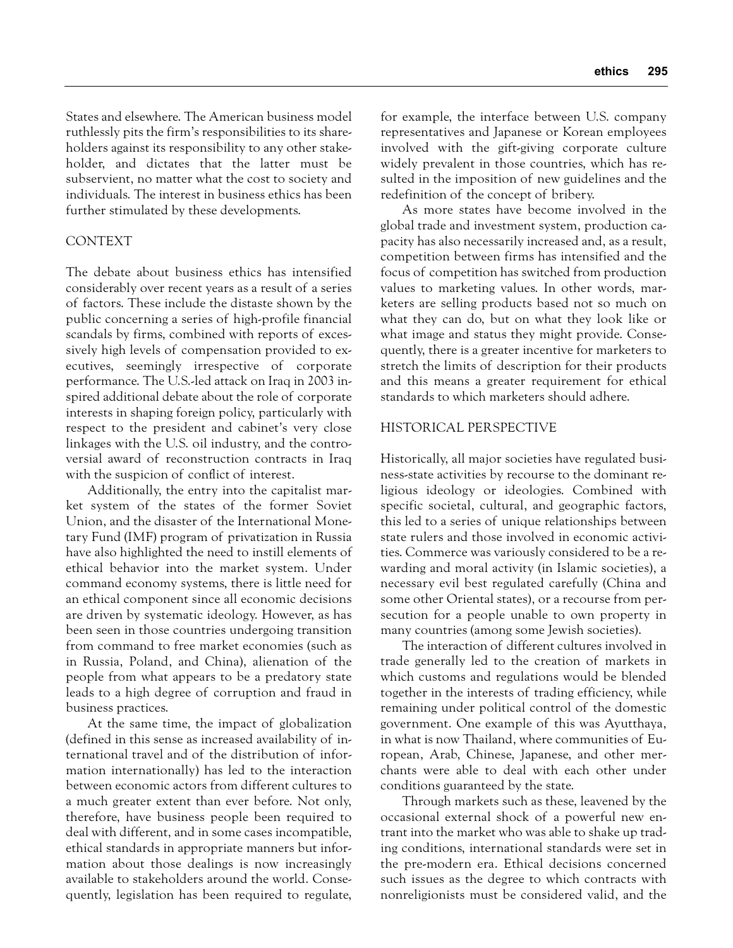States and elsewhere. The American business model ruthlessly pits the firm's responsibilities to its shareholders against its responsibility to any other stakeholder, and dictates that the latter must be subservient, no matter what the cost to society and individuals. The interest in business ethics has been further stimulated by these developments.

### CONTEXT

The debate about business ethics has intensified considerably over recent years as a result of a series of factors. These include the distaste shown by the public concerning a series of high-profile financial scandals by firms, combined with reports of excessively high levels of compensation provided to executives, seemingly irrespective of corporate performance. The U.S.-led attack on Iraq in 2003 inspired additional debate about the role of corporate interests in shaping foreign policy, particularly with respect to the president and cabinet's very close linkages with the U.S. oil industry, and the controversial award of reconstruction contracts in Iraq with the suspicion of conflict of interest.

Additionally, the entry into the capitalist market system of the states of the former Soviet Union, and the disaster of the International Monetary Fund (IMF) program of privatization in Russia have also highlighted the need to instill elements of ethical behavior into the market system. Under command economy systems, there is little need for an ethical component since all economic decisions are driven by systematic ideology. However, as has been seen in those countries undergoing transition from command to free market economies (such as in Russia, Poland, and China), alienation of the people from what appears to be a predatory state leads to a high degree of corruption and fraud in business practices.

At the same time, the impact of globalization (defined in this sense as increased availability of international travel and of the distribution of information internationally) has led to the interaction between economic actors from different cultures to a much greater extent than ever before. Not only, therefore, have business people been required to deal with different, and in some cases incompatible, ethical standards in appropriate manners but information about those dealings is now increasingly available to stakeholders around the world. Consequently, legislation has been required to regulate,

for example, the interface between U.S. company representatives and Japanese or Korean employees involved with the gift-giving corporate culture widely prevalent in those countries, which has resulted in the imposition of new guidelines and the redefinition of the concept of bribery.

As more states have become involved in the global trade and investment system, production capacity has also necessarily increased and, as a result, competition between firms has intensified and the focus of competition has switched from production values to marketing values. In other words, marketers are selling products based not so much on what they can do, but on what they look like or what image and status they might provide. Consequently, there is a greater incentive for marketers to stretch the limits of description for their products and this means a greater requirement for ethical standards to which marketers should adhere.

### HISTORICAL PERSPECTIVE

Historically, all major societies have regulated business-state activities by recourse to the dominant religious ideology or ideologies. Combined with specific societal, cultural, and geographic factors, this led to a series of unique relationships between state rulers and those involved in economic activities. Commerce was variously considered to be a rewarding and moral activity (in Islamic societies), a necessary evil best regulated carefully (China and some other Oriental states), or a recourse from persecution for a people unable to own property in many countries (among some Jewish societies).

The interaction of different cultures involved in trade generally led to the creation of markets in which customs and regulations would be blended together in the interests of trading efficiency, while remaining under political control of the domestic government. One example of this was Ayutthaya, in what is now Thailand, where communities of European, Arab, Chinese, Japanese, and other merchants were able to deal with each other under conditions guaranteed by the state.

Through markets such as these, leavened by the occasional external shock of a powerful new entrant into the market who was able to shake up trading conditions, international standards were set in the pre-modern era. Ethical decisions concerned such issues as the degree to which contracts with nonreligionists must be considered valid, and the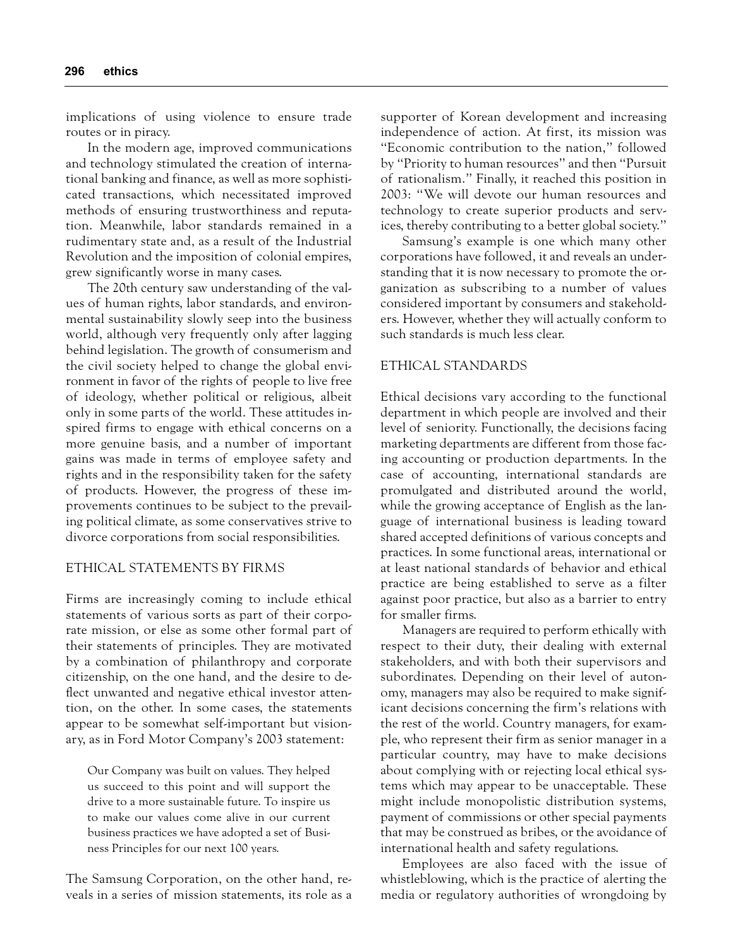implications of using violence to ensure trade routes or in piracy.

In the modern age, improved communications and technology stimulated the creation of international banking and finance, as well as more sophisticated transactions, which necessitated improved methods of ensuring trustworthiness and reputation. Meanwhile, labor standards remained in a rudimentary state and, as a result of the Industrial Revolution and the imposition of colonial empires, grew significantly worse in many cases.

The 20th century saw understanding of the values of human rights, labor standards, and environmental sustainability slowly seep into the business world, although very frequently only after lagging behind legislation. The growth of consumerism and the civil society helped to change the global environment in favor of the rights of people to live free of ideology, whether political or religious, albeit only in some parts of the world. These attitudes inspired firms to engage with ethical concerns on a more genuine basis, and a number of important gains was made in terms of employee safety and rights and in the responsibility taken for the safety of products. However, the progress of these improvements continues to be subject to the prevailing political climate, as some conservatives strive to divorce corporations from social responsibilities.

### ETHICAL STATEMENTS BY FIRMS

Firms are increasingly coming to include ethical statements of various sorts as part of their corporate mission, or else as some other formal part of their statements of principles. They are motivated by a combination of philanthropy and corporate citizenship, on the one hand, and the desire to deflect unwanted and negative ethical investor attention, on the other. In some cases, the statements appear to be somewhat self-important but visionary, as in Ford Motor Company's 2003 statement:

Our Company was built on values. They helped us succeed to this point and will support the drive to a more sustainable future. To inspire us to make our values come alive in our current business practices we have adopted a set of Business Principles for our next 100 years.

The Samsung Corporation, on the other hand, reveals in a series of mission statements, its role as a supporter of Korean development and increasing independence of action. At first, its mission was "Economic contribution to the nation," followed by "Priority to human resources" and then "Pursuit of rationalism." Finally, it reached this position in 2003: "We will devote our human resources and technology to create superior products and services, thereby contributing to a better global society."

Samsung's example is one which many other corporations have followed, it and reveals an understanding that it is now necessary to promote the organization as subscribing to a number of values considered important by consumers and stakeholders. However, whether they will actually conform to such standards is much less clear.

### ETHICAL STANDARDS

Ethical decisions vary according to the functional department in which people are involved and their level of seniority. Functionally, the decisions facing marketing departments are different from those facing accounting or production departments. In the case of accounting, international standards are promulgated and distributed around the world, while the growing acceptance of English as the language of international business is leading toward shared accepted definitions of various concepts and practices. In some functional areas, international or at least national standards of behavior and ethical practice are being established to serve as a filter against poor practice, but also as a barrier to entry for smaller firms.

Managers are required to perform ethically with respect to their duty, their dealing with external stakeholders, and with both their supervisors and subordinates. Depending on their level of autonomy, managers may also be required to make significant decisions concerning the firm's relations with the rest of the world. Country managers, for example, who represent their firm as senior manager in a particular country, may have to make decisions about complying with or rejecting local ethical systems which may appear to be unacceptable. These might include monopolistic distribution systems, payment of commissions or other special payments that may be construed as bribes, or the avoidance of international health and safety regulations.

Employees are also faced with the issue of whistleblowing, which is the practice of alerting the media or regulatory authorities of wrongdoing by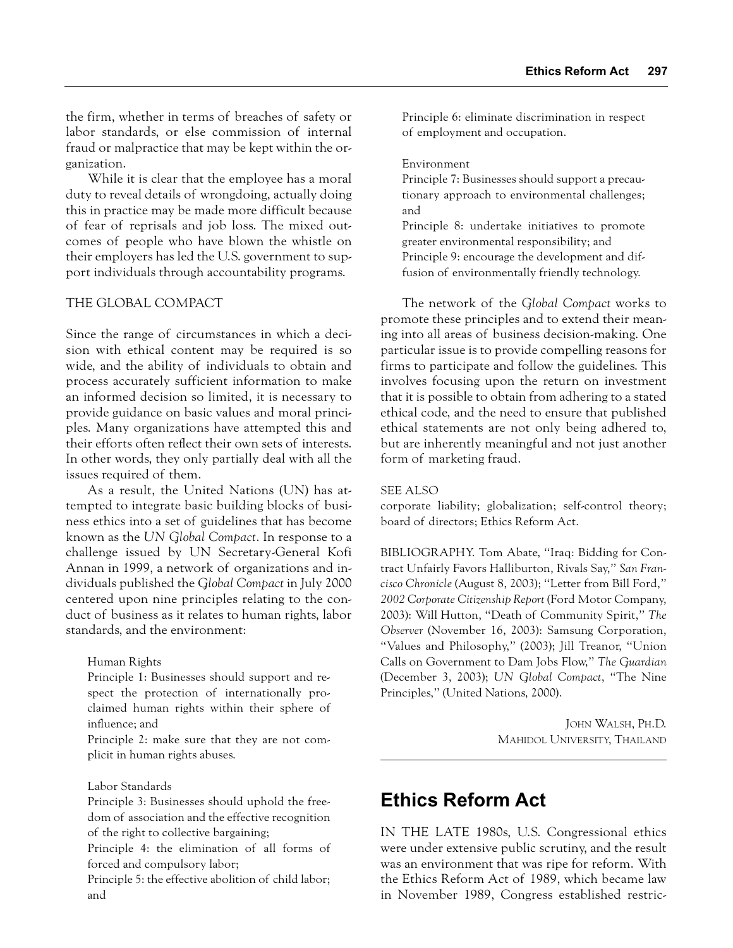the firm, whether in terms of breaches of safety or labor standards, or else commission of internal fraud or malpractice that may be kept within the organization.

While it is clear that the employee has a moral duty to reveal details of wrongdoing, actually doing this in practice may be made more difficult because of fear of reprisals and job loss. The mixed outcomes of people who have blown the whistle on their employers has led the U.S. government to support individuals through accountability programs.

### THE GLOBAL COMPACT

Since the range of circumstances in which a decision with ethical content may be required is so wide, and the ability of individuals to obtain and process accurately sufficient information to make an informed decision so limited, it is necessary to provide guidance on basic values and moral principles. Many organizations have attempted this and their efforts often reflect their own sets of interests. In other words, they only partially deal with all the issues required of them.

As a result, the United Nations (UN) has attempted to integrate basic building blocks of business ethics into a set of guidelines that has become known as the *UN Global Compact*. In response to a challenge issued by UN Secretary-General Kofi Annan in 1999, a network of organizations and individuals published the *Global Compact* in July 2000 centered upon nine principles relating to the conduct of business as it relates to human rights, labor standards, and the environment:

### Human Rights

Principle 1: Businesses should support and respect the protection of internationally proclaimed human rights within their sphere of influence; and

Principle 2: make sure that they are not complicit in human rights abuses.

### Labor Standards

Principle 3: Businesses should uphold the freedom of association and the effective recognition of the right to collective bargaining;

Principle 4: the elimination of all forms of forced and compulsory labor;

Principle 5: the effective abolition of child labor; and

Principle 6: eliminate discrimination in respect of employment and occupation.

### Environment

Principle 7: Businesses should support a precautionary approach to environmental challenges; and

Principle 8: undertake initiatives to promote greater environmental responsibility; and Principle 9: encourage the development and diffusion of environmentally friendly technology.

The network of the *Global Compact* works to promote these principles and to extend their meaning into all areas of business decision-making. One particular issue is to provide compelling reasons for firms to participate and follow the guidelines. This involves focusing upon the return on investment that it is possible to obtain from adhering to a stated ethical code, and the need to ensure that published ethical statements are not only being adhered to, but are inherently meaningful and not just another form of marketing fraud.

### SEE ALSO

corporate liability; globalization; self-control theory; board of directors; Ethics Reform Act.

BIBLIOGRAPHY. Tom Abate, "Iraq: Bidding for Contract Unfairly Favors Halliburton, Rivals Say," *San Francisco Chronicle* (August 8, 2003); "Letter from Bill Ford," *2002 Corporate Citizenship Report* (Ford Motor Company, 2003): Will Hutton, "Death of Community Spirit," *The Observer* (November 16, 2003): Samsung Corporation, "Values and Philosophy," (2003); Jill Treanor, "Union Calls on Government to Dam Jobs Flow," *The Guardian* (December 3, 2003); *UN Global Compact*, "The Nine Principles," (United Nations, 2000).

> JOHN WALSH, PH.D. MAHIDOL UNIVERSITY, THAILAND

# **Ethics Reform Act**

IN THE LATE 1980s, U.S. Congressional ethics were under extensive public scrutiny, and the result was an environment that was ripe for reform. With the Ethics Reform Act of 1989, which became law in November 1989, Congress established restric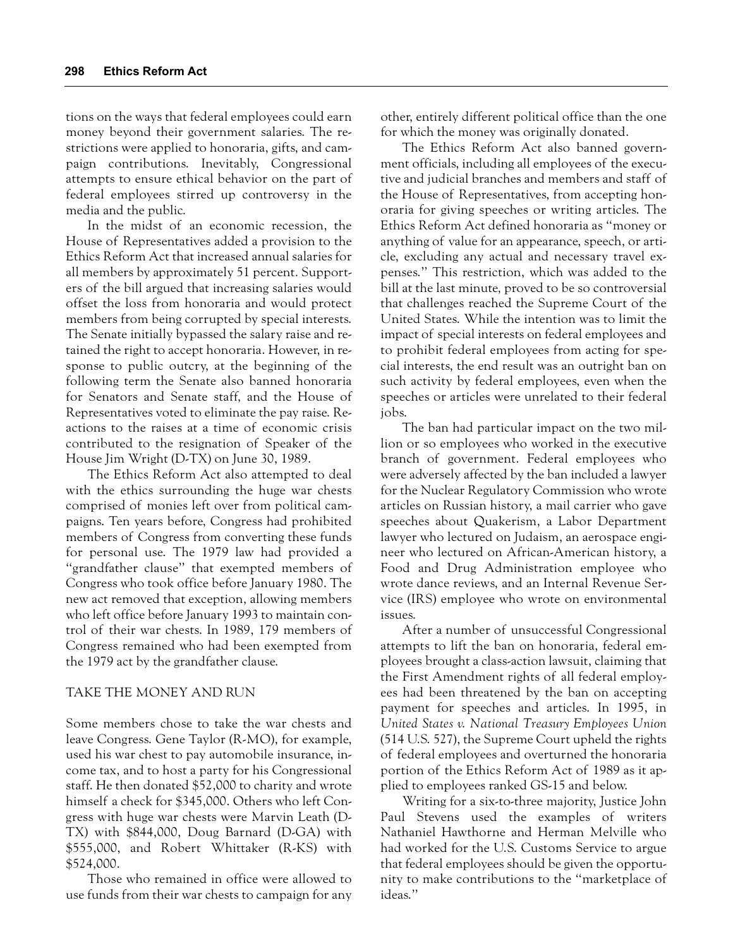tions on the ways that federal employees could earn money beyond their government salaries. The restrictions were applied to honoraria, gifts, and campaign contributions. Inevitably, Congressional attempts to ensure ethical behavior on the part of federal employees stirred up controversy in the media and the public.

In the midst of an economic recession, the House of Representatives added a provision to the Ethics Reform Act that increased annual salaries for all members by approximately 51 percent. Supporters of the bill argued that increasing salaries would offset the loss from honoraria and would protect members from being corrupted by special interests. The Senate initially bypassed the salary raise and retained the right to accept honoraria. However, in response to public outcry, at the beginning of the following term the Senate also banned honoraria for Senators and Senate staff, and the House of Representatives voted to eliminate the pay raise. Reactions to the raises at a time of economic crisis contributed to the resignation of Speaker of the House Jim Wright (D-TX) on June 30, 1989.

The Ethics Reform Act also attempted to deal with the ethics surrounding the huge war chests comprised of monies left over from political campaigns. Ten years before, Congress had prohibited members of Congress from converting these funds for personal use. The 1979 law had provided a "grandfather clause" that exempted members of Congress who took office before January 1980. The new act removed that exception, allowing members who left office before January 1993 to maintain control of their war chests. In 1989, 179 members of Congress remained who had been exempted from the 1979 act by the grandfather clause.

### TAKE THE MONEY AND RUN

Some members chose to take the war chests and leave Congress. Gene Taylor (R-MO), for example, used his war chest to pay automobile insurance, income tax, and to host a party for his Congressional staff. He then donated \$52,000 to charity and wrote himself a check for \$345,000. Others who left Congress with huge war chests were Marvin Leath (D-TX) with \$844,000, Doug Barnard (D-GA) with \$555,000, and Robert Whittaker (R-KS) with \$524,000.

Those who remained in office were allowed to use funds from their war chests to campaign for any other, entirely different political office than the one for which the money was originally donated.

The Ethics Reform Act also banned government officials, including all employees of the executive and judicial branches and members and staff of the House of Representatives, from accepting honoraria for giving speeches or writing articles. The Ethics Reform Act defined honoraria as "money or anything of value for an appearance, speech, or article, excluding any actual and necessary travel expenses." This restriction, which was added to the bill at the last minute, proved to be so controversial that challenges reached the Supreme Court of the United States. While the intention was to limit the impact of special interests on federal employees and to prohibit federal employees from acting for special interests, the end result was an outright ban on such activity by federal employees, even when the speeches or articles were unrelated to their federal jobs.

The ban had particular impact on the two million or so employees who worked in the executive branch of government. Federal employees who were adversely affected by the ban included a lawyer for the Nuclear Regulatory Commission who wrote articles on Russian history, a mail carrier who gave speeches about Quakerism, a Labor Department lawyer who lectured on Judaism, an aerospace engineer who lectured on African-American history, a Food and Drug Administration employee who wrote dance reviews, and an Internal Revenue Service (IRS) employee who wrote on environmental issues.

After a number of unsuccessful Congressional attempts to lift the ban on honoraria, federal employees brought a class-action lawsuit, claiming that the First Amendment rights of all federal employees had been threatened by the ban on accepting payment for speeches and articles. In 1995, in *United States v. National Treasury Employees Union* (514 U.S. 527), the Supreme Court upheld the rights of federal employees and overturned the honoraria portion of the Ethics Reform Act of 1989 as it applied to employees ranked GS-15 and below.

Writing for a six-to-three majority, Justice John Paul Stevens used the examples of writers Nathaniel Hawthorne and Herman Melville who had worked for the U.S. Customs Service to argue that federal employees should be given the opportunity to make contributions to the "marketplace of ideas."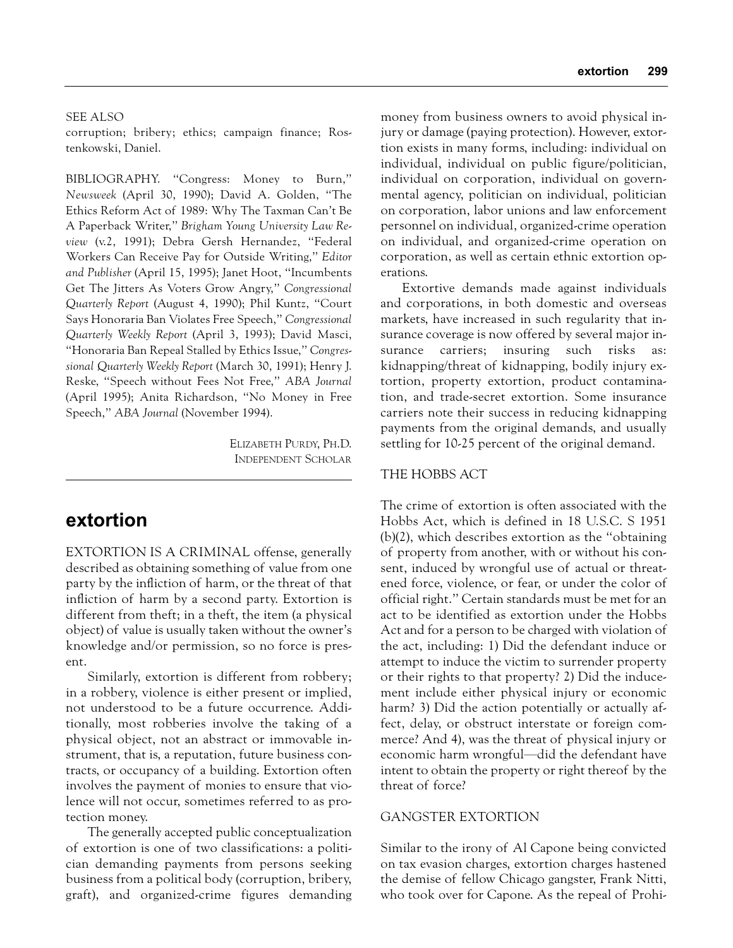### SEE ALSO

corruption; bribery; ethics; campaign finance; Rostenkowski, Daniel.

BIBLIOGRAPHY. "Congress: Money to Burn," *Newsweek* (April 30, 1990); David A. Golden, "The Ethics Reform Act of 1989: Why The Taxman Can't Be A Paperback Writer," *Brigham Young University Law Review* (v.2, 1991); Debra Gersh Hernandez, "Federal Workers Can Receive Pay for Outside Writing," *Editor and Publisher* (April 15, 1995); Janet Hoot, "Incumbents Get The Jitters As Voters Grow Angry," *Congressional Quarterly Report* (August 4, 1990); Phil Kuntz, "Court Says Honoraria Ban Violates Free Speech," *Congressional Quarterly Weekly Report* (April 3, 1993); David Masci, "Honoraria Ban Repeal Stalled by Ethics Issue," *Congressional Quarterly Weekly Report* (March 30, 1991); Henry J. Reske, "Speech without Fees Not Free," *ABA Journal* (April 1995); Anita Richardson, "No Money in Free Speech," *ABA Journal* (November 1994).

> ELIZABETH PURDY, PH.D. INDEPENDENT SCHOLAR

# **extortion**

EXTORTION IS A CRIMINAL offense, generally described as obtaining something of value from one party by the infliction of harm, or the threat of that infliction of harm by a second party. Extortion is different from theft; in a theft, the item (a physical object) of value is usually taken without the owner's knowledge and/or permission, so no force is present.

Similarly, extortion is different from robbery; in a robbery, violence is either present or implied, not understood to be a future occurrence. Additionally, most robberies involve the taking of a physical object, not an abstract or immovable instrument, that is, a reputation, future business contracts, or occupancy of a building. Extortion often involves the payment of monies to ensure that violence will not occur, sometimes referred to as protection money.

The generally accepted public conceptualization of extortion is one of two classifications: a politician demanding payments from persons seeking business from a political body (corruption, bribery, graft), and organized-crime figures demanding

money from business owners to avoid physical injury or damage (paying protection). However, extortion exists in many forms, including: individual on individual, individual on public figure/politician, individual on corporation, individual on governmental agency, politician on individual, politician on corporation, labor unions and law enforcement personnel on individual, organized-crime operation on individual, and organized-crime operation on corporation, as well as certain ethnic extortion operations.

Extortive demands made against individuals and corporations, in both domestic and overseas markets, have increased in such regularity that insurance coverage is now offered by several major insurance carriers; insuring such risks as: kidnapping/threat of kidnapping, bodily injury extortion, property extortion, product contamination, and trade-secret extortion. Some insurance carriers note their success in reducing kidnapping payments from the original demands, and usually settling for 10-25 percent of the original demand.

### THE HOBBS ACT

The crime of extortion is often associated with the Hobbs Act, which is defined in 18 U.S.C. S 1951 (b)(2), which describes extortion as the "obtaining of property from another, with or without his consent, induced by wrongful use of actual or threatened force, violence, or fear, or under the color of official right." Certain standards must be met for an act to be identified as extortion under the Hobbs Act and for a person to be charged with violation of the act, including: 1) Did the defendant induce or attempt to induce the victim to surrender property or their rights to that property? 2) Did the inducement include either physical injury or economic harm? 3) Did the action potentially or actually affect, delay, or obstruct interstate or foreign commerce? And 4), was the threat of physical injury or economic harm wrongful—did the defendant have intent to obtain the property or right thereof by the threat of force?

### GANGSTER EXTORTION

Similar to the irony of Al Capone being convicted on tax evasion charges, extortion charges hastened the demise of fellow Chicago gangster, Frank Nitti, who took over for Capone. As the repeal of Prohi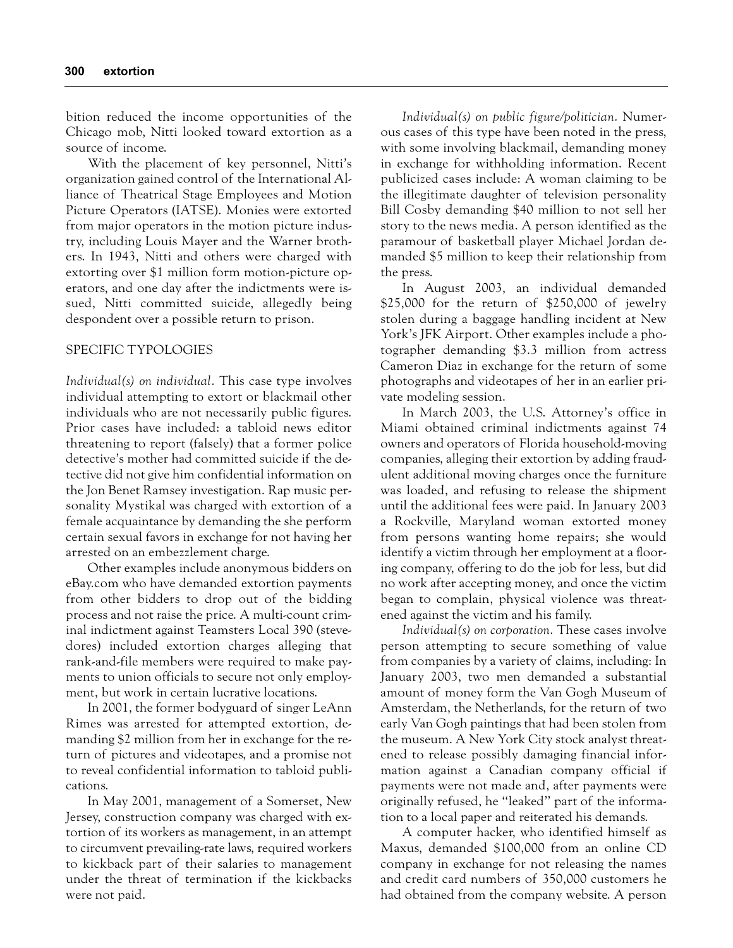bition reduced the income opportunities of the Chicago mob, Nitti looked toward extortion as a source of income.

With the placement of key personnel, Nitti's organization gained control of the International Alliance of Theatrical Stage Employees and Motion Picture Operators (IATSE). Monies were extorted from major operators in the motion picture industry, including Louis Mayer and the Warner brothers. In 1943, Nitti and others were charged with extorting over \$1 million form motion-picture operators, and one day after the indictments were issued, Nitti committed suicide, allegedly being despondent over a possible return to prison.

### SPECIFIC TYPOLOGIES

*Individual(s) on individual.* This case type involves individual attempting to extort or blackmail other individuals who are not necessarily public figures. Prior cases have included: a tabloid news editor threatening to report (falsely) that a former police detective's mother had committed suicide if the detective did not give him confidential information on the Jon Benet Ramsey investigation. Rap music personality Mystikal was charged with extortion of a female acquaintance by demanding the she perform certain sexual favors in exchange for not having her arrested on an embezzlement charge.

Other examples include anonymous bidders on eBay.com who have demanded extortion payments from other bidders to drop out of the bidding process and not raise the price. A multi-count criminal indictment against Teamsters Local 390 (stevedores) included extortion charges alleging that rank-and-file members were required to make payments to union officials to secure not only employment, but work in certain lucrative locations.

In 2001, the former bodyguard of singer LeAnn Rimes was arrested for attempted extortion, demanding \$2 million from her in exchange for the return of pictures and videotapes, and a promise not to reveal confidential information to tabloid publications.

In May 2001, management of a Somerset, New Jersey, construction company was charged with extortion of its workers as management, in an attempt to circumvent prevailing-rate laws, required workers to kickback part of their salaries to management under the threat of termination if the kickbacks were not paid.

*Individual(s) on public figure/politician.* Numerous cases of this type have been noted in the press, with some involving blackmail, demanding money in exchange for withholding information. Recent publicized cases include: A woman claiming to be the illegitimate daughter of television personality Bill Cosby demanding \$40 million to not sell her story to the news media. A person identified as the paramour of basketball player Michael Jordan demanded \$5 million to keep their relationship from the press.

In August 2003, an individual demanded \$25,000 for the return of \$250,000 of jewelry stolen during a baggage handling incident at New York's JFK Airport. Other examples include a photographer demanding \$3.3 million from actress Cameron Diaz in exchange for the return of some photographs and videotapes of her in an earlier private modeling session.

In March 2003, the U.S. Attorney's office in Miami obtained criminal indictments against 74 owners and operators of Florida household-moving companies, alleging their extortion by adding fraudulent additional moving charges once the furniture was loaded, and refusing to release the shipment until the additional fees were paid. In January 2003 a Rockville, Maryland woman extorted money from persons wanting home repairs; she would identify a victim through her employment at a flooring company, offering to do the job for less, but did no work after accepting money, and once the victim began to complain, physical violence was threatened against the victim and his family.

*Individual(s) on corporation.* These cases involve person attempting to secure something of value from companies by a variety of claims, including: In January 2003, two men demanded a substantial amount of money form the Van Gogh Museum of Amsterdam, the Netherlands, for the return of two early Van Gogh paintings that had been stolen from the museum. A New York City stock analyst threatened to release possibly damaging financial information against a Canadian company official if payments were not made and, after payments were originally refused, he "leaked" part of the information to a local paper and reiterated his demands.

A computer hacker, who identified himself as Maxus, demanded \$100,000 from an online CD company in exchange for not releasing the names and credit card numbers of 350,000 customers he had obtained from the company website. A person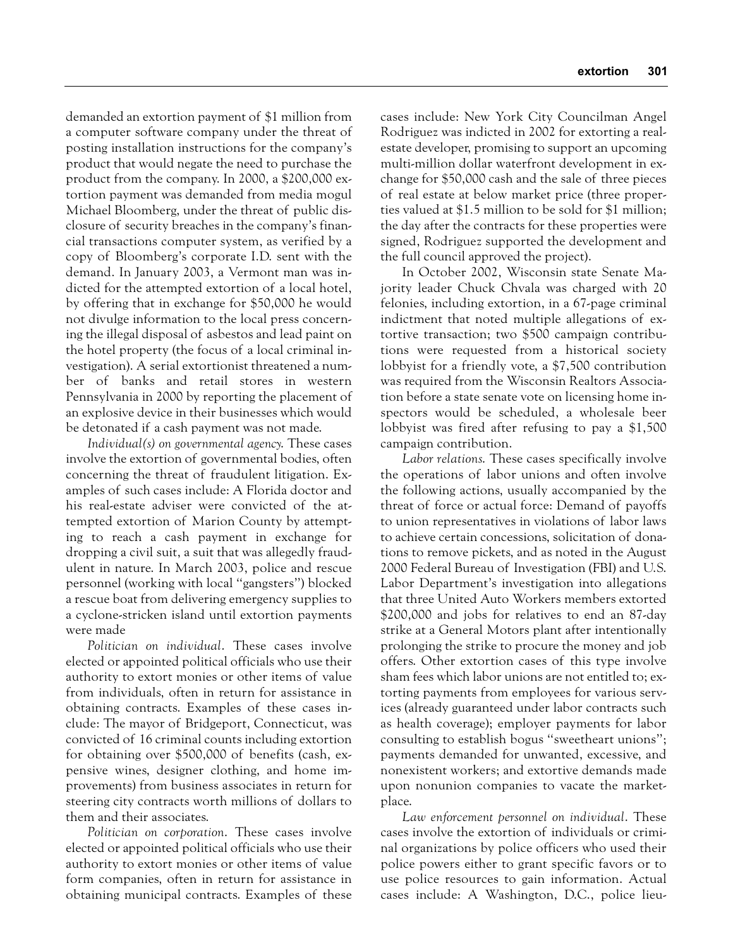demanded an extortion payment of \$1 million from a computer software company under the threat of posting installation instructions for the company's product that would negate the need to purchase the product from the company. In 2000, a \$200,000 extortion payment was demanded from media mogul Michael Bloomberg, under the threat of public disclosure of security breaches in the company's financial transactions computer system, as verified by a copy of Bloomberg's corporate I.D. sent with the demand. In January 2003, a Vermont man was indicted for the attempted extortion of a local hotel, by offering that in exchange for \$50,000 he would not divulge information to the local press concerning the illegal disposal of asbestos and lead paint on the hotel property (the focus of a local criminal investigation). A serial extortionist threatened a number of banks and retail stores in western Pennsylvania in 2000 by reporting the placement of an explosive device in their businesses which would be detonated if a cash payment was not made.

*Individual(s) on governmental agency.* These cases involve the extortion of governmental bodies, often concerning the threat of fraudulent litigation. Examples of such cases include: A Florida doctor and his real-estate adviser were convicted of the attempted extortion of Marion County by attempting to reach a cash payment in exchange for dropping a civil suit, a suit that was allegedly fraudulent in nature. In March 2003, police and rescue personnel (working with local "gangsters") blocked a rescue boat from delivering emergency supplies to a cyclone-stricken island until extortion payments were made

*Politician on individual.* These cases involve elected or appointed political officials who use their authority to extort monies or other items of value from individuals, often in return for assistance in obtaining contracts. Examples of these cases include: The mayor of Bridgeport, Connecticut, was convicted of 16 criminal counts including extortion for obtaining over \$500,000 of benefits (cash, expensive wines, designer clothing, and home improvements) from business associates in return for steering city contracts worth millions of dollars to them and their associates.

*Politician on corporation.* These cases involve elected or appointed political officials who use their authority to extort monies or other items of value form companies, often in return for assistance in obtaining municipal contracts. Examples of these cases include: New York City Councilman Angel Rodriguez was indicted in 2002 for extorting a realestate developer, promising to support an upcoming multi-million dollar waterfront development in exchange for \$50,000 cash and the sale of three pieces of real estate at below market price (three properties valued at \$1.5 million to be sold for \$1 million; the day after the contracts for these properties were signed, Rodriguez supported the development and the full council approved the project).

In October 2002, Wisconsin state Senate Majority leader Chuck Chvala was charged with 20 felonies, including extortion, in a 67-page criminal indictment that noted multiple allegations of extortive transaction; two \$500 campaign contributions were requested from a historical society lobbyist for a friendly vote, a \$7,500 contribution was required from the Wisconsin Realtors Association before a state senate vote on licensing home inspectors would be scheduled, a wholesale beer lobbyist was fired after refusing to pay a \$1,500 campaign contribution.

*Labor relations.* These cases specifically involve the operations of labor unions and often involve the following actions, usually accompanied by the threat of force or actual force: Demand of payoffs to union representatives in violations of labor laws to achieve certain concessions, solicitation of donations to remove pickets, and as noted in the August 2000 Federal Bureau of Investigation (FBI) and U.S. Labor Department's investigation into allegations that three United Auto Workers members extorted \$200,000 and jobs for relatives to end an 87-day strike at a General Motors plant after intentionally prolonging the strike to procure the money and job offers. Other extortion cases of this type involve sham fees which labor unions are not entitled to; extorting payments from employees for various services (already guaranteed under labor contracts such as health coverage); employer payments for labor consulting to establish bogus "sweetheart unions"; payments demanded for unwanted, excessive, and nonexistent workers; and extortive demands made upon nonunion companies to vacate the marketplace.

*Law enforcement personnel on individual.* These cases involve the extortion of individuals or criminal organizations by police officers who used their police powers either to grant specific favors or to use police resources to gain information. Actual cases include: A Washington, D.C., police lieu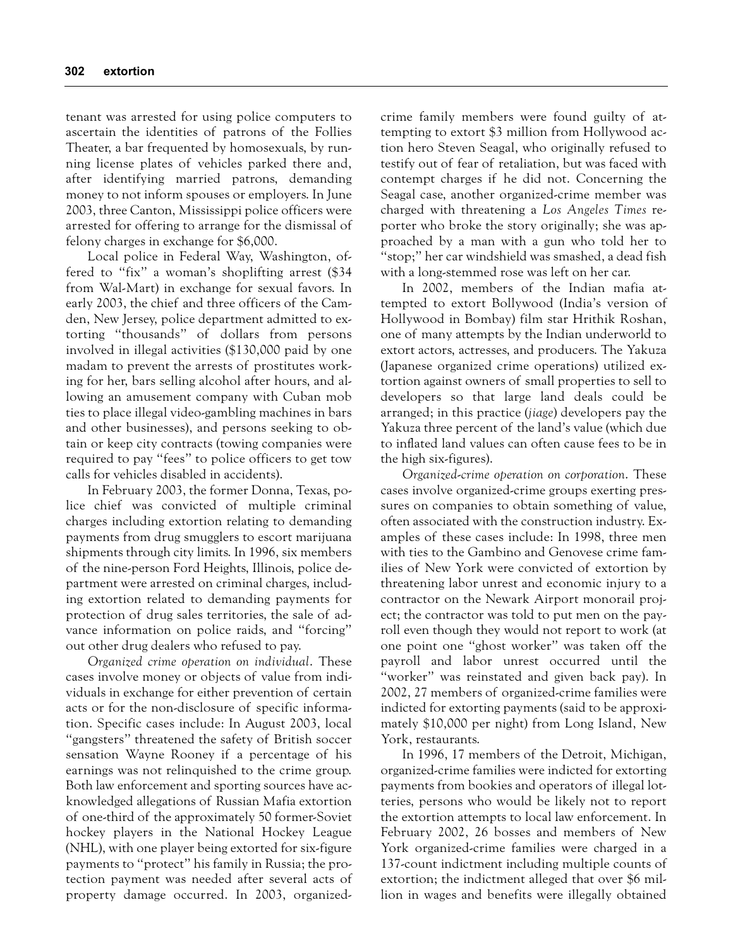tenant was arrested for using police computers to ascertain the identities of patrons of the Follies Theater, a bar frequented by homosexuals, by running license plates of vehicles parked there and, after identifying married patrons, demanding money to not inform spouses or employers. In June 2003, three Canton, Mississippi police officers were arrested for offering to arrange for the dismissal of felony charges in exchange for \$6,000.

Local police in Federal Way, Washington, offered to "fix" a woman's shoplifting arrest (\$34 from Wal-Mart) in exchange for sexual favors. In early 2003, the chief and three officers of the Camden, New Jersey, police department admitted to extorting "thousands" of dollars from persons involved in illegal activities (\$130,000 paid by one madam to prevent the arrests of prostitutes working for her, bars selling alcohol after hours, and allowing an amusement company with Cuban mob ties to place illegal video-gambling machines in bars and other businesses), and persons seeking to obtain or keep city contracts (towing companies were required to pay "fees" to police officers to get tow calls for vehicles disabled in accidents).

In February 2003, the former Donna, Texas, police chief was convicted of multiple criminal charges including extortion relating to demanding payments from drug smugglers to escort marijuana shipments through city limits. In 1996, six members of the nine-person Ford Heights, Illinois, police department were arrested on criminal charges, including extortion related to demanding payments for protection of drug sales territories, the sale of advance information on police raids, and "forcing" out other drug dealers who refused to pay.

*Organized crime operation on individual.* These cases involve money or objects of value from individuals in exchange for either prevention of certain acts or for the non-disclosure of specific information. Specific cases include: In August 2003, local "gangsters" threatened the safety of British soccer sensation Wayne Rooney if a percentage of his earnings was not relinquished to the crime group. Both law enforcement and sporting sources have acknowledged allegations of Russian Mafia extortion of one-third of the approximately 50 former-Soviet hockey players in the National Hockey League (NHL), with one player being extorted for six-figure payments to "protect" his family in Russia; the protection payment was needed after several acts of property damage occurred. In 2003, organizedcrime family members were found guilty of attempting to extort \$3 million from Hollywood action hero Steven Seagal, who originally refused to testify out of fear of retaliation, but was faced with contempt charges if he did not. Concerning the Seagal case, another organized-crime member was charged with threatening a *Los Angeles Times* reporter who broke the story originally; she was approached by a man with a gun who told her to "stop;" her car windshield was smashed, a dead fish with a long-stemmed rose was left on her car.

In 2002, members of the Indian mafia attempted to extort Bollywood (India's version of Hollywood in Bombay) film star Hrithik Roshan, one of many attempts by the Indian underworld to extort actors, actresses, and producers. The Yakuza (Japanese organized crime operations) utilized extortion against owners of small properties to sell to developers so that large land deals could be arranged; in this practice (*jiage*) developers pay the Yakuza three percent of the land's value (which due to inflated land values can often cause fees to be in the high six-figures).

*Organized-crime operation on corporation.* These cases involve organized-crime groups exerting pressures on companies to obtain something of value, often associated with the construction industry. Examples of these cases include: In 1998, three men with ties to the Gambino and Genovese crime families of New York were convicted of extortion by threatening labor unrest and economic injury to a contractor on the Newark Airport monorail project; the contractor was told to put men on the payroll even though they would not report to work (at one point one "ghost worker" was taken off the payroll and labor unrest occurred until the "worker" was reinstated and given back pay). In 2002, 27 members of organized-crime families were indicted for extorting payments (said to be approximately \$10,000 per night) from Long Island, New York, restaurants.

In 1996, 17 members of the Detroit, Michigan, organized-crime families were indicted for extorting payments from bookies and operators of illegal lotteries, persons who would be likely not to report the extortion attempts to local law enforcement. In February 2002, 26 bosses and members of New York organized-crime families were charged in a 137-count indictment including multiple counts of extortion; the indictment alleged that over \$6 million in wages and benefits were illegally obtained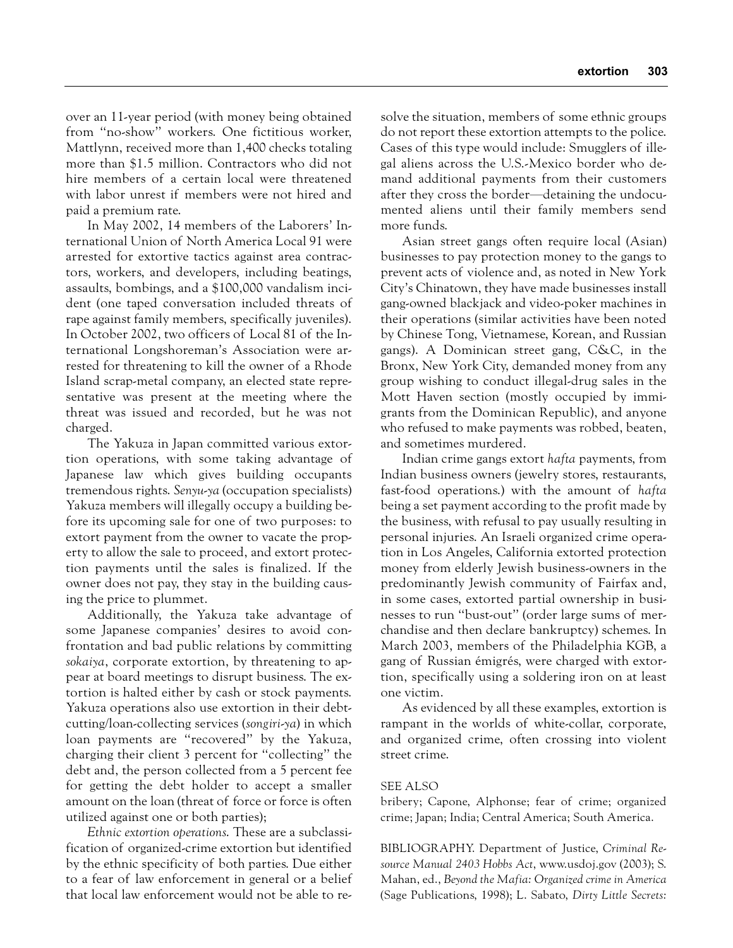over an 11-year period (with money being obtained from "no-show" workers. One fictitious worker, Mattlynn, received more than 1,400 checks totaling more than \$1.5 million. Contractors who did not hire members of a certain local were threatened with labor unrest if members were not hired and paid a premium rate.

In May 2002, 14 members of the Laborers' International Union of North America Local 91 were arrested for extortive tactics against area contractors, workers, and developers, including beatings, assaults, bombings, and a \$100,000 vandalism incident (one taped conversation included threats of rape against family members, specifically juveniles). In October 2002, two officers of Local 81 of the International Longshoreman's Association were arrested for threatening to kill the owner of a Rhode Island scrap-metal company, an elected state representative was present at the meeting where the threat was issued and recorded, but he was not charged.

The Yakuza in Japan committed various extortion operations, with some taking advantage of Japanese law which gives building occupants tremendous rights. *Senyu-ya* (occupation specialists) Yakuza members will illegally occupy a building before its upcoming sale for one of two purposes: to extort payment from the owner to vacate the property to allow the sale to proceed, and extort protection payments until the sales is finalized. If the owner does not pay, they stay in the building causing the price to plummet.

Additionally, the Yakuza take advantage of some Japanese companies' desires to avoid confrontation and bad public relations by committing *sokaiya*, corporate extortion, by threatening to appear at board meetings to disrupt business. The extortion is halted either by cash or stock payments. Yakuza operations also use extortion in their debtcutting/loan-collecting services (*songiri-ya*) in which loan payments are "recovered" by the Yakuza, charging their client 3 percent for "collecting" the debt and, the person collected from a 5 percent fee for getting the debt holder to accept a smaller amount on the loan (threat of force or force is often utilized against one or both parties);

*Ethnic extortion operations.* These are a subclassification of organized-crime extortion but identified by the ethnic specificity of both parties. Due either to a fear of law enforcement in general or a belief that local law enforcement would not be able to resolve the situation, members of some ethnic groups do not report these extortion attempts to the police. Cases of this type would include: Smugglers of illegal aliens across the U.S.-Mexico border who demand additional payments from their customers after they cross the border—detaining the undocumented aliens until their family members send more funds.

Asian street gangs often require local (Asian) businesses to pay protection money to the gangs to prevent acts of violence and, as noted in New York City's Chinatown, they have made businesses install gang-owned blackjack and video-poker machines in their operations (similar activities have been noted by Chinese Tong, Vietnamese, Korean, and Russian gangs). A Dominican street gang, C&C, in the Bronx, New York City, demanded money from any group wishing to conduct illegal-drug sales in the Mott Haven section (mostly occupied by immigrants from the Dominican Republic), and anyone who refused to make payments was robbed, beaten, and sometimes murdered.

Indian crime gangs extort *hafta* payments, from Indian business owners (jewelry stores, restaurants, fast-food operations.) with the amount of *hafta* being a set payment according to the profit made by the business, with refusal to pay usually resulting in personal injuries. An Israeli organized crime operation in Los Angeles, California extorted protection money from elderly Jewish business-owners in the predominantly Jewish community of Fairfax and, in some cases, extorted partial ownership in businesses to run "bust-out" (order large sums of merchandise and then declare bankruptcy) schemes. In March 2003, members of the Philadelphia KGB, a gang of Russian émigrés, were charged with extortion, specifically using a soldering iron on at least one victim.

As evidenced by all these examples, extortion is rampant in the worlds of white-collar, corporate, and organized crime, often crossing into violent street crime.

### SEE ALSO

bribery; Capone, Alphonse; fear of crime; organized crime; Japan; India; Central America; South America.

BIBLIOGRAPHY. Department of Justice, *Criminal Resource Manual 2403 Hobbs Act*, www.usdoj.gov (2003); S. Mahan, ed., *Beyond the Mafia: Organized crime in America* (Sage Publications, 1998); L. Sabato, *Dirty Little Secrets:*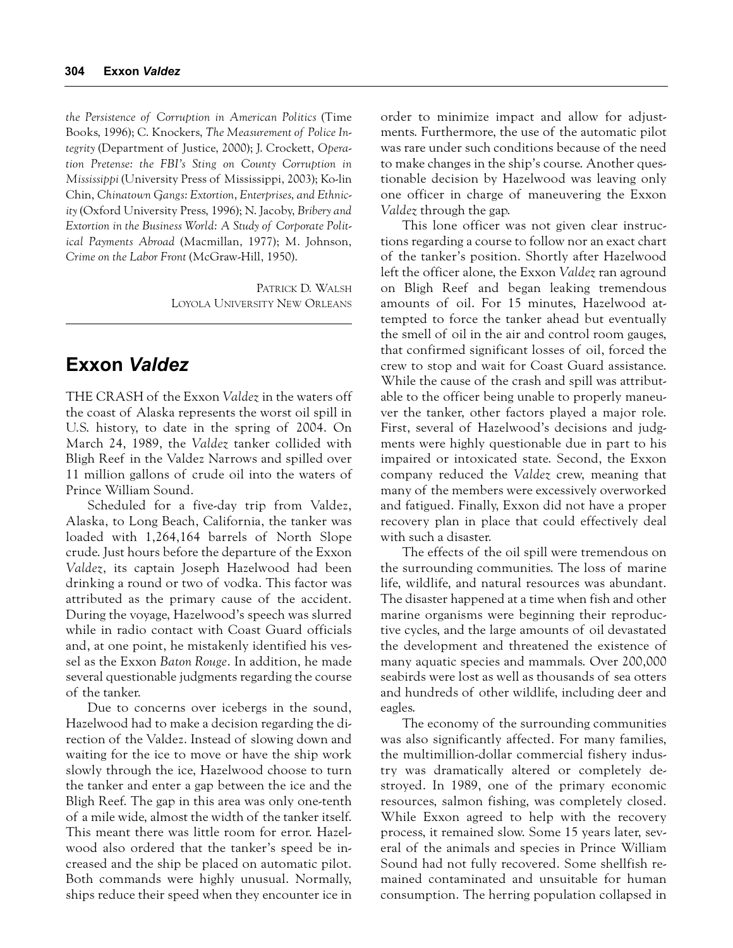*the Persistence of Corruption in American Politics* (Time Books, 1996); C. Knockers, *The Measurement of Police Integrity* (Department of Justice, 2000); J. Crockett, *Operation Pretense: the FBI's Sting on County Corruption in Mississippi* (University Press of Mississippi, 2003); Ko-lin Chin, *Chinatown Gangs: Extortion, Enterprises, and Ethnicity* (Oxford University Press, 1996); N. Jacoby, *Bribery and Extortion in the Business World: A Study of Corporate Political Payments Abroad* (Macmillan, 1977); M. Johnson, *Crime on the Labor Front* (McGraw-Hill, 1950).

> PATRICK D. WALSH LOYOLA UNIVERSITY NEW ORLEANS

# **Exxon** *Valdez*

THE CRASH of the Exxon *Valdez* in the waters off the coast of Alaska represents the worst oil spill in U.S. history, to date in the spring of 2004. On March 24, 1989, the *Valdez* tanker collided with Bligh Reef in the Valdez Narrows and spilled over 11 million gallons of crude oil into the waters of Prince William Sound.

Scheduled for a five-day trip from Valdez, Alaska, to Long Beach, California, the tanker was loaded with 1,264,164 barrels of North Slope crude. Just hours before the departure of the Exxon *Valdez*, its captain Joseph Hazelwood had been drinking a round or two of vodka. This factor was attributed as the primary cause of the accident. During the voyage, Hazelwood's speech was slurred while in radio contact with Coast Guard officials and, at one point, he mistakenly identified his vessel as the Exxon *Baton Rouge*. In addition, he made several questionable judgments regarding the course of the tanker.

Due to concerns over icebergs in the sound, Hazelwood had to make a decision regarding the direction of the Valdez. Instead of slowing down and waiting for the ice to move or have the ship work slowly through the ice, Hazelwood choose to turn the tanker and enter a gap between the ice and the Bligh Reef. The gap in this area was only one-tenth of a mile wide, almost the width of the tanker itself. This meant there was little room for error. Hazelwood also ordered that the tanker's speed be increased and the ship be placed on automatic pilot. Both commands were highly unusual. Normally, ships reduce their speed when they encounter ice in order to minimize impact and allow for adjustments. Furthermore, the use of the automatic pilot was rare under such conditions because of the need to make changes in the ship's course. Another questionable decision by Hazelwood was leaving only one officer in charge of maneuvering the Exxon *Valdez* through the gap.

This lone officer was not given clear instructions regarding a course to follow nor an exact chart of the tanker's position. Shortly after Hazelwood left the officer alone, the Exxon *Valdez* ran aground on Bligh Reef and began leaking tremendous amounts of oil. For 15 minutes, Hazelwood attempted to force the tanker ahead but eventually the smell of oil in the air and control room gauges, that confirmed significant losses of oil, forced the crew to stop and wait for Coast Guard assistance. While the cause of the crash and spill was attributable to the officer being unable to properly maneuver the tanker, other factors played a major role. First, several of Hazelwood's decisions and judgments were highly questionable due in part to his impaired or intoxicated state. Second, the Exxon company reduced the *Valdez* crew, meaning that many of the members were excessively overworked and fatigued. Finally, Exxon did not have a proper recovery plan in place that could effectively deal with such a disaster.

The effects of the oil spill were tremendous on the surrounding communities. The loss of marine life, wildlife, and natural resources was abundant. The disaster happened at a time when fish and other marine organisms were beginning their reproductive cycles, and the large amounts of oil devastated the development and threatened the existence of many aquatic species and mammals. Over 200,000 seabirds were lost as well as thousands of sea otters and hundreds of other wildlife, including deer and eagles.

The economy of the surrounding communities was also significantly affected. For many families, the multimillion-dollar commercial fishery industry was dramatically altered or completely destroyed. In 1989, one of the primary economic resources, salmon fishing, was completely closed. While Exxon agreed to help with the recovery process, it remained slow. Some 15 years later, several of the animals and species in Prince William Sound had not fully recovered. Some shellfish remained contaminated and unsuitable for human consumption. The herring population collapsed in